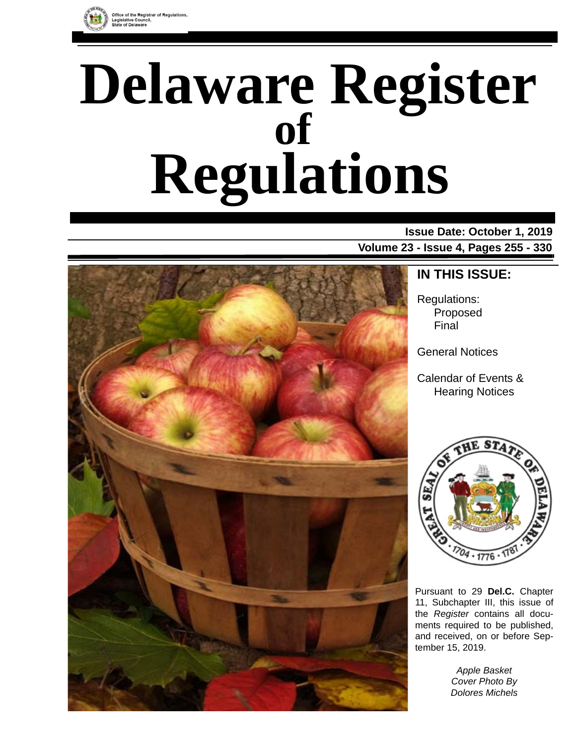

# **Delaware Register Regulations of**

**Issue Date: October 1, 2019 Volume 23 - Issue 4, Pages 255 - 330**



# **IN THIS ISSUE:**

Regulations: Proposed Final

General Notices

Calendar of Events & Hearing Notices



Pursuant to 29 **Del.C.** Chapter 11, Subchapter III, this issue of the *Register* contains all documents required to be published, and received, on or before September 15, 2019.

> *Apple Basket Cover Photo By Dolores Michels*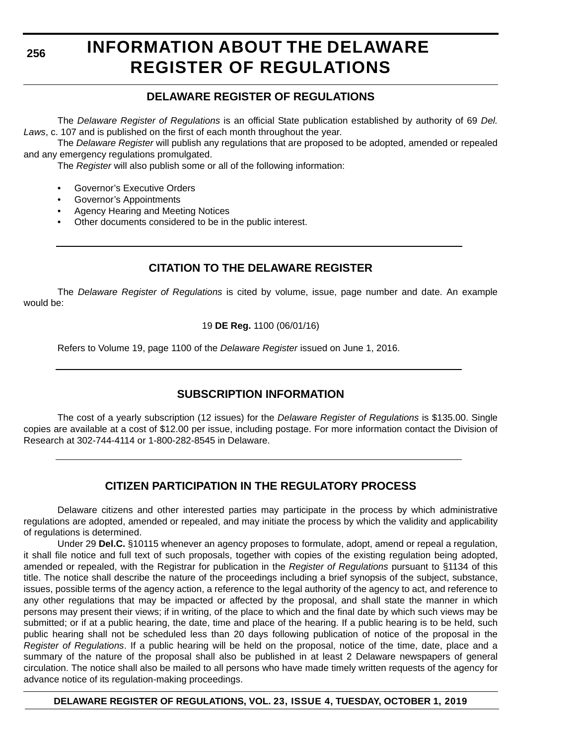**256**

# **INFORMATION ABOUT THE DELAWARE REGISTER OF REGULATIONS**

# **DELAWARE REGISTER OF REGULATIONS**

The *Delaware Register of Regulations* is an official State publication established by authority of 69 *Del. Laws*, c. 107 and is published on the first of each month throughout the year.

The *Delaware Register* will publish any regulations that are proposed to be adopted, amended or repealed and any emergency regulations promulgated.

The *Register* will also publish some or all of the following information:

- Governor's Executive Orders
- Governor's Appointments
- Agency Hearing and Meeting Notices
- Other documents considered to be in the public interest.

# **CITATION TO THE DELAWARE REGISTER**

The *Delaware Register of Regulations* is cited by volume, issue, page number and date. An example would be:

19 **DE Reg.** 1100 (06/01/16)

Refers to Volume 19, page 1100 of the *Delaware Register* issued on June 1, 2016.

# **SUBSCRIPTION INFORMATION**

The cost of a yearly subscription (12 issues) for the *Delaware Register of Regulations* is \$135.00. Single copies are available at a cost of \$12.00 per issue, including postage. For more information contact the Division of Research at 302-744-4114 or 1-800-282-8545 in Delaware.

# **CITIZEN PARTICIPATION IN THE REGULATORY PROCESS**

Delaware citizens and other interested parties may participate in the process by which administrative regulations are adopted, amended or repealed, and may initiate the process by which the validity and applicability of regulations is determined.

Under 29 **Del.C.** §10115 whenever an agency proposes to formulate, adopt, amend or repeal a regulation, it shall file notice and full text of such proposals, together with copies of the existing regulation being adopted, amended or repealed, with the Registrar for publication in the *Register of Regulations* pursuant to §1134 of this title. The notice shall describe the nature of the proceedings including a brief synopsis of the subject, substance, issues, possible terms of the agency action, a reference to the legal authority of the agency to act, and reference to any other regulations that may be impacted or affected by the proposal, and shall state the manner in which persons may present their views; if in writing, of the place to which and the final date by which such views may be submitted; or if at a public hearing, the date, time and place of the hearing. If a public hearing is to be held, such public hearing shall not be scheduled less than 20 days following publication of notice of the proposal in the *Register of Regulations*. If a public hearing will be held on the proposal, notice of the time, date, place and a summary of the nature of the proposal shall also be published in at least 2 Delaware newspapers of general circulation. The notice shall also be mailed to all persons who have made timely written requests of the agency for advance notice of its regulation-making proceedings.

**DELAWARE REGISTER OF REGULATIONS, VOL. 23, ISSUE 4, TUESDAY, OCTOBER 1, 2019**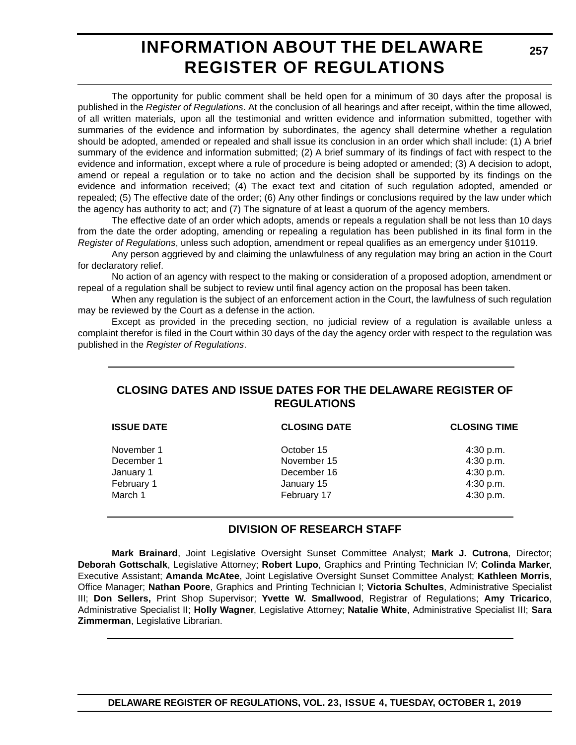# **INFORMATION ABOUT THE DELAWARE REGISTER OF REGULATIONS**

The opportunity for public comment shall be held open for a minimum of 30 days after the proposal is published in the *Register of Regulations*. At the conclusion of all hearings and after receipt, within the time allowed, of all written materials, upon all the testimonial and written evidence and information submitted, together with summaries of the evidence and information by subordinates, the agency shall determine whether a regulation should be adopted, amended or repealed and shall issue its conclusion in an order which shall include: (1) A brief summary of the evidence and information submitted; (2) A brief summary of its findings of fact with respect to the evidence and information, except where a rule of procedure is being adopted or amended; (3) A decision to adopt, amend or repeal a regulation or to take no action and the decision shall be supported by its findings on the evidence and information received; (4) The exact text and citation of such regulation adopted, amended or repealed; (5) The effective date of the order; (6) Any other findings or conclusions required by the law under which the agency has authority to act; and (7) The signature of at least a quorum of the agency members.

The effective date of an order which adopts, amends or repeals a regulation shall be not less than 10 days from the date the order adopting, amending or repealing a regulation has been published in its final form in the *Register of Regulations*, unless such adoption, amendment or repeal qualifies as an emergency under §10119.

Any person aggrieved by and claiming the unlawfulness of any regulation may bring an action in the Court for declaratory relief.

No action of an agency with respect to the making or consideration of a proposed adoption, amendment or repeal of a regulation shall be subject to review until final agency action on the proposal has been taken.

When any regulation is the subject of an enforcement action in the Court, the lawfulness of such regulation may be reviewed by the Court as a defense in the action.

Except as provided in the preceding section, no judicial review of a regulation is available unless a complaint therefor is filed in the Court within 30 days of the day the agency order with respect to the regulation was published in the *Register of Regulations*.

# **CLOSING DATES AND ISSUE DATES FOR THE DELAWARE REGISTER OF REGULATIONS**

| <b>ISSUE DATE</b> | <b>CLOSING DATE</b> | <b>CLOSING TIME</b> |
|-------------------|---------------------|---------------------|
| November 1        | October 15          | 4:30 p.m.           |
| December 1        | November 15         | 4:30 p.m.           |
| January 1         | December 16         | 4:30 p.m.           |
| February 1        | January 15          | 4:30 p.m.           |
| March 1           | February 17         | 4:30 p.m.           |
|                   |                     |                     |

# **DIVISION OF RESEARCH STAFF**

**Mark Brainard**, Joint Legislative Oversight Sunset Committee Analyst; **Mark J. Cutrona**, Director; **Deborah Gottschalk**, Legislative Attorney; **Robert Lupo**, Graphics and Printing Technician IV; **Colinda Marker**, Executive Assistant; **Amanda McAtee**, Joint Legislative Oversight Sunset Committee Analyst; **Kathleen Morris**, Office Manager; **Nathan Poore**, Graphics and Printing Technician I; **Victoria Schultes**, Administrative Specialist III; **Don Sellers,** Print Shop Supervisor; **Yvette W. Smallwood**, Registrar of Regulations; **Amy Tricarico**, Administrative Specialist II; **Holly Wagner**, Legislative Attorney; **Natalie White**, Administrative Specialist III; **Sara Zimmerman**, Legislative Librarian.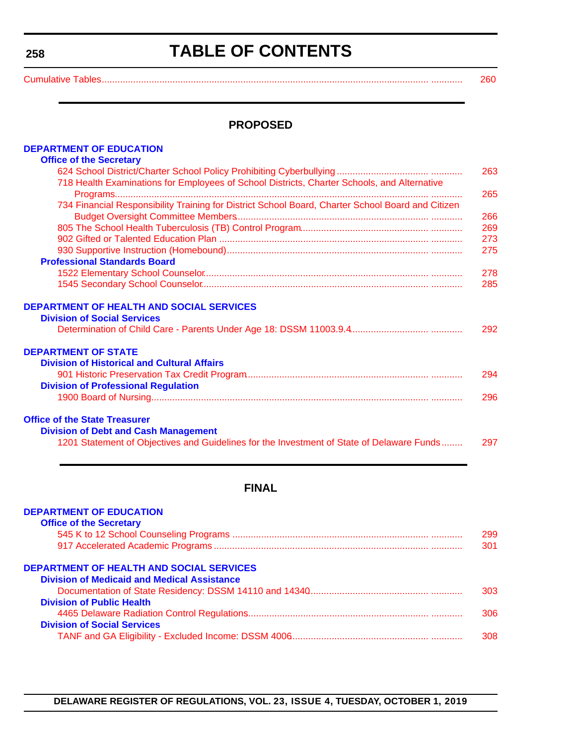# **TABLE OF CONTENTS**

<span id="page-3-0"></span>Cumulative Tables....................

| ., |         |   |
|----|---------|---|
|    | ٠       |   |
|    | ×.<br>٠ | ٠ |
|    |         |   |

### **PROPOSED**

| <b>DEPARTMENT OF EDUCATION</b>                                                                    |     |
|---------------------------------------------------------------------------------------------------|-----|
| <b>Office of the Secretary</b>                                                                    |     |
|                                                                                                   | 263 |
| 718 Health Examinations for Employees of School Districts, Charter Schools, and Alternative       |     |
|                                                                                                   | 265 |
| 734 Financial Responsibility Training for District School Board, Charter School Board and Citizen |     |
|                                                                                                   | 266 |
|                                                                                                   | 269 |
|                                                                                                   | 273 |
|                                                                                                   | 275 |
| <b>Professional Standards Board</b>                                                               |     |
|                                                                                                   | 278 |
|                                                                                                   | 285 |
| <b>DEPARTMENT OF HEALTH AND SOCIAL SERVICES</b>                                                   |     |
| <b>Division of Social Services</b>                                                                |     |
|                                                                                                   | 292 |
| <b>DEPARTMENT OF STATE</b>                                                                        |     |
| <b>Division of Historical and Cultural Affairs</b>                                                |     |
|                                                                                                   | 294 |
| <b>Division of Professional Regulation</b>                                                        |     |
|                                                                                                   | 296 |
| <b>Office of the State Treasurer</b>                                                              |     |
| <b>Division of Debt and Cash Management</b>                                                       |     |
| 1201 Statement of Objectives and Guidelines for the Investment of State of Delaware Funds         | 297 |

# **FINAL**

| 299 |
|-----|
| 301 |
|     |
|     |
| 303 |
|     |
| 306 |
|     |
| 308 |
|     |

#### **DELAWARE REGISTER OF REGULATIONS, VOL. 23, ISSUE 4, TUESDAY, OCTOBER 1, 2019**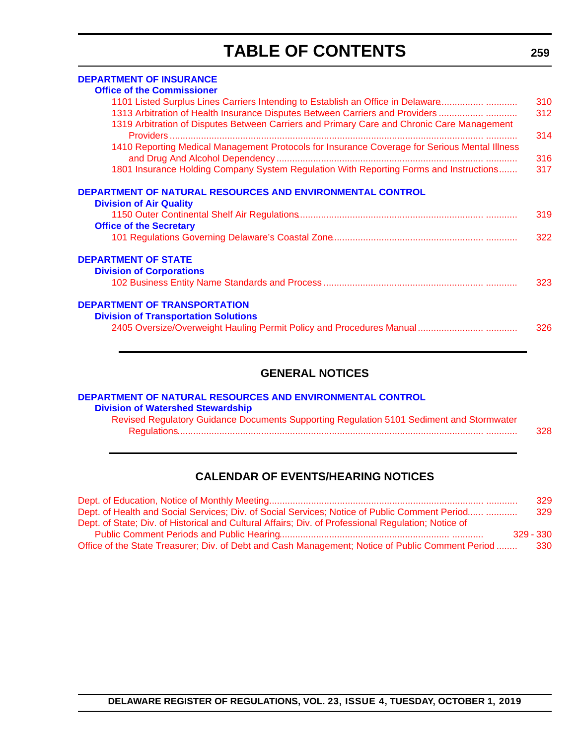# **TABLE OF CONTENTS**

| <b>DEPARTMENT OF INSURANCE</b>                                                                |     |
|-----------------------------------------------------------------------------------------------|-----|
| <b>Office of the Commissioner</b>                                                             |     |
| 1101 Listed Surplus Lines Carriers Intending to Establish an Office in Delaware               | 310 |
| 1313 Arbitration of Health Insurance Disputes Between Carriers and Providers                  | 312 |
| 1319 Arbitration of Disputes Between Carriers and Primary Care and Chronic Care Management    | 314 |
| 1410 Reporting Medical Management Protocols for Insurance Coverage for Serious Mental Illness | 316 |
| 1801 Insurance Holding Company System Regulation With Reporting Forms and Instructions        | 317 |
| DEPARTMENT OF NATURAL RESOURCES AND ENVIRONMENTAL CONTROL<br><b>Division of Air Quality</b>   |     |
| <b>Office of the Secretary</b>                                                                | 319 |
|                                                                                               | 322 |
| <b>DEPARTMENT OF STATE</b>                                                                    |     |
| <b>Division of Corporations</b>                                                               |     |
|                                                                                               | 323 |
| <b>DEPARTMENT OF TRANSPORTATION</b>                                                           |     |
| <b>Division of Transportation Solutions</b>                                                   |     |
|                                                                                               | 326 |

# **GENERAL NOTICES**

| DEPARTMENT OF NATURAL RESOURCES AND ENVIRONMENTAL CONTROL                                |     |
|------------------------------------------------------------------------------------------|-----|
| <b>Division of Watershed Stewardship</b>                                                 |     |
| Revised Regulatory Guidance Documents Supporting Regulation 5101 Sediment and Stormwater |     |
|                                                                                          | 328 |
|                                                                                          |     |

# **CALENDAR OF EVENTS/HEARING NOTICES**

|                                                                                                     | 329         |
|-----------------------------------------------------------------------------------------------------|-------------|
| Dept. of Health and Social Services; Div. of Social Services; Notice of Public Comment Period       | 329         |
| Dept. of State; Div. of Historical and Cultural Affairs; Div. of Professional Regulation; Notice of |             |
|                                                                                                     | $329 - 330$ |
| Office of the State Treasurer; Div. of Debt and Cash Management; Notice of Public Comment Period    | -330        |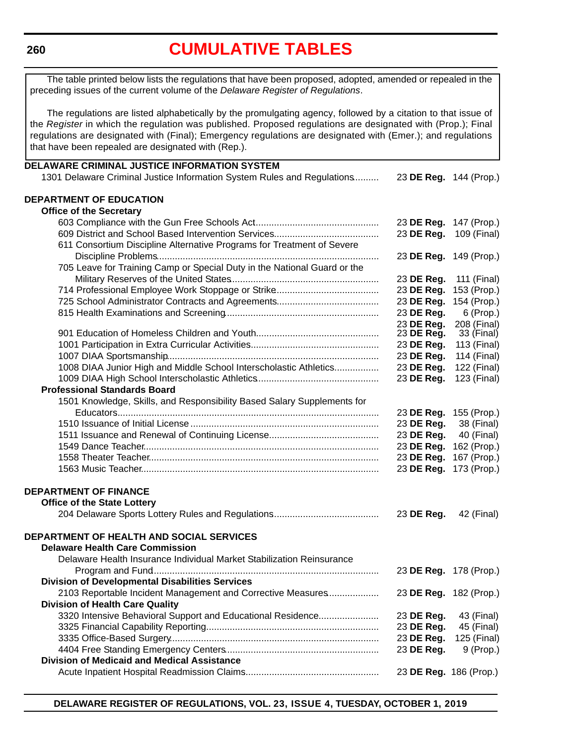#### <span id="page-5-0"></span>**260**

# **[CUMULATIVE TABLES](#page-3-0)**

The table printed below lists the regulations that have been proposed, adopted, amended or repealed in the preceding issues of the current volume of the *Delaware Register of Regulations*.

The regulations are listed alphabetically by the promulgating agency, followed by a citation to that issue of the *Register* in which the regulation was published. Proposed regulations are designated with (Prop.); Final regulations are designated with (Final); Emergency regulations are designated with (Emer.); and regulations that have been repealed are designated with (Rep.).

| DELAWARE CRIMINAL JUSTICE INFORMATION SYSTEM                                       |                          |                           |
|------------------------------------------------------------------------------------|--------------------------|---------------------------|
| 1301 Delaware Criminal Justice Information System Rules and Regulations            | 23 DE Reg. 144 (Prop.)   |                           |
|                                                                                    |                          |                           |
| DEPARTMENT OF EDUCATION                                                            |                          |                           |
| <b>Office of the Secretary</b>                                                     |                          |                           |
|                                                                                    | 23 DE Reg. 147 (Prop.)   |                           |
|                                                                                    | 23 DE Reg.               | 109 (Final)               |
| 611 Consortium Discipline Alternative Programs for Treatment of Severe             |                          |                           |
|                                                                                    | 23 DE Reg. 149 (Prop.)   |                           |
| 705 Leave for Training Camp or Special Duty in the National Guard or the           |                          |                           |
|                                                                                    | 23 DE Reg.               | 111 (Final)               |
|                                                                                    | 23 DE Reg.               | 153 (Prop.)               |
|                                                                                    | 23 DE Reg.               | 154 (Prop.)               |
|                                                                                    | 23 DE Reg.               | $6$ (Prop.)               |
|                                                                                    | 23 DE Reg.<br>23 DE Reg. | 208 (Final)<br>33 (Final) |
|                                                                                    | 23 DE Reg.               | 113 (Final)               |
|                                                                                    | 23 DE Reg.               | 114 (Final)               |
| 1008 DIAA Junior High and Middle School Interscholastic Athletics                  | 23 DE Reg.               | 122 (Final)               |
|                                                                                    | 23 DE Reg.               | 123 (Final)               |
| <b>Professional Standards Board</b>                                                |                          |                           |
| 1501 Knowledge, Skills, and Responsibility Based Salary Supplements for            |                          |                           |
|                                                                                    | 23 DE Reg. 155 (Prop.)   |                           |
|                                                                                    | 23 DE Reg.               | 38 (Final)                |
|                                                                                    | 23 DE Reg.               | 40 (Final)                |
|                                                                                    | 23 DE Reg.               | 162 (Prop.)               |
|                                                                                    | 23 DE Reg.               | 167 (Prop.)               |
|                                                                                    | 23 DE Reg. 173 (Prop.)   |                           |
|                                                                                    |                          |                           |
| <b>DEPARTMENT OF FINANCE</b>                                                       |                          |                           |
| <b>Office of the State Lottery</b>                                                 |                          |                           |
|                                                                                    | 23 DE Reg.               | 42 (Final)                |
|                                                                                    |                          |                           |
| DEPARTMENT OF HEALTH AND SOCIAL SERVICES<br><b>Delaware Health Care Commission</b> |                          |                           |
| Delaware Health Insurance Individual Market Stabilization Reinsurance              |                          |                           |
|                                                                                    |                          | 23 DE Reg. 178 (Prop.)    |
| <b>Division of Developmental Disabilities Services</b>                             |                          |                           |
| 2103 Reportable Incident Management and Corrective Measures                        | 23 DE Reg. 182 (Prop.)   |                           |
| <b>Division of Health Care Quality</b>                                             |                          |                           |
| 3320 Intensive Behavioral Support and Educational Residence                        | 23 DE Reg.               | 43 (Final)                |
|                                                                                    | 23 DE Reg.               | 45 (Final)                |
|                                                                                    | 23 DE Reg.               | 125 (Final)               |
|                                                                                    | 23 DE Reg.               | 9 (Prop.)                 |
| <b>Division of Medicaid and Medical Assistance</b>                                 |                          |                           |
|                                                                                    | 23 DE Reg. 186 (Prop.)   |                           |
|                                                                                    |                          |                           |

**DELAWARE REGISTER OF REGULATIONS, VOL. 23, ISSUE 4, TUESDAY, OCTOBER 1, 2019**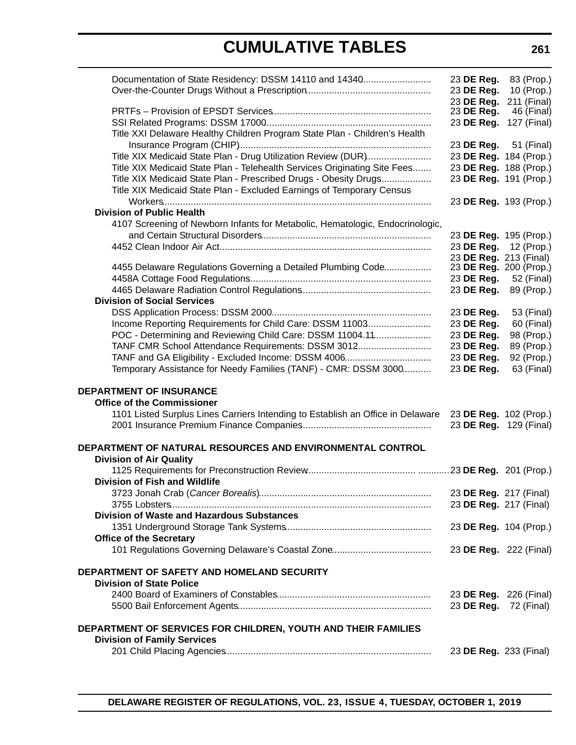# **CUMULATIVE TABLES**

| Documentation of State Residency: DSSM 14110 and 14340                          | 23 DE Reg.             | 83 (Prop.)             |
|---------------------------------------------------------------------------------|------------------------|------------------------|
|                                                                                 | 23 DE Reg.             | 10 (Prop.)             |
|                                                                                 | 23 DE Reg.             | 211 (Final)            |
|                                                                                 | 23 DE Reg.             | 46 (Final)             |
|                                                                                 | 23 DE Reg.             | 127 (Final)            |
| Title XXI Delaware Healthy Children Program State Plan - Children's Health      |                        |                        |
|                                                                                 | 23 DE Reg. 51 (Final)  |                        |
| Title XIX Medicaid State Plan - Drug Utilization Review (DUR)                   |                        | 23 DE Reg. 184 (Prop.) |
| Title XIX Medicaid State Plan - Telehealth Services Originating Site Fees       |                        | 23 DE Reg. 188 (Prop.) |
| Title XIX Medicaid State Plan - Prescribed Drugs - Obesity Drugs                |                        | 23 DE Reg. 191 (Prop.) |
| Title XIX Medicaid State Plan - Excluded Earnings of Temporary Census           |                        |                        |
|                                                                                 |                        | 23 DE Reg. 193 (Prop.) |
| <b>Division of Public Health</b>                                                |                        |                        |
| 4107 Screening of Newborn Infants for Metabolic, Hematologic, Endocrinologic,   |                        |                        |
|                                                                                 |                        | 23 DE Reg. 195 (Prop.) |
|                                                                                 |                        | 23 DE Reg. 12 (Prop.)  |
|                                                                                 |                        | 23 DE Reg. 213 (Final) |
| 4455 Delaware Regulations Governing a Detailed Plumbing Code                    | 23 DE Reg. 200 (Prop.) |                        |
|                                                                                 | 23 DE Reg.             | 52 (Final)             |
|                                                                                 | 23 DE Reg.             | 89 (Prop.)             |
| <b>Division of Social Services</b>                                              |                        |                        |
|                                                                                 | 23 DE Reg.             | 53 (Final)             |
| Income Reporting Requirements for Child Care: DSSM 11003                        | 23 DE Reg.             | 60 (Final)             |
| POC - Determining and Reviewing Child Care: DSSM 11004.11                       | 23 DE Reg.             | 98 (Prop.)             |
| TANF CMR School Attendance Requirements: DSSM 3012                              | 23 DE Reg.             | 89 (Prop.)             |
| TANF and GA Eligibility - Excluded Income: DSSM 4006                            | 23 DE Reg.             | 92 (Prop.)             |
| Temporary Assistance for Needy Families (TANF) - CMR: DSSM 3000                 | 23 DE Reg.             | 63 (Final)             |
| <b>DEPARTMENT OF INSURANCE</b>                                                  |                        |                        |
| <b>Office of the Commissioner</b>                                               |                        |                        |
| 1101 Listed Surplus Lines Carriers Intending to Establish an Office in Delaware | 23 DE Reg. 102 (Prop.) |                        |
|                                                                                 | 23 DE Reg. 129 (Final) |                        |
|                                                                                 |                        |                        |
| DEPARTMENT OF NATURAL RESOURCES AND ENVIRONMENTAL CONTROL                       |                        |                        |
| <b>Division of Air Quality</b>                                                  |                        |                        |
|                                                                                 |                        |                        |
| Division of Fish and Wildlife                                                   |                        |                        |
| 3723 Jonah Crab (Cancer Borealis).                                              | 23 DE Reg. 217 (Final) |                        |
|                                                                                 | 23 DE Reg. 217 (Final) |                        |
| <b>Division of Waste and Hazardous Substances</b>                               |                        |                        |
|                                                                                 | 23 DE Reg. 104 (Prop.) |                        |
| <b>Office of the Secretary</b>                                                  |                        |                        |
|                                                                                 | 23 DE Reg. 222 (Final) |                        |
|                                                                                 |                        |                        |
| DEPARTMENT OF SAFETY AND HOMELAND SECURITY                                      |                        |                        |
| <b>Division of State Police</b>                                                 |                        |                        |
|                                                                                 | 23 DE Reg. 226 (Final) |                        |
|                                                                                 | 23 DE Reg.             | 72 (Final)             |
|                                                                                 |                        |                        |
| DEPARTMENT OF SERVICES FOR CHILDREN, YOUTH AND THEIR FAMILIES                   |                        |                        |
| <b>Division of Family Services</b>                                              |                        |                        |
|                                                                                 | 23 DE Reg. 233 (Final) |                        |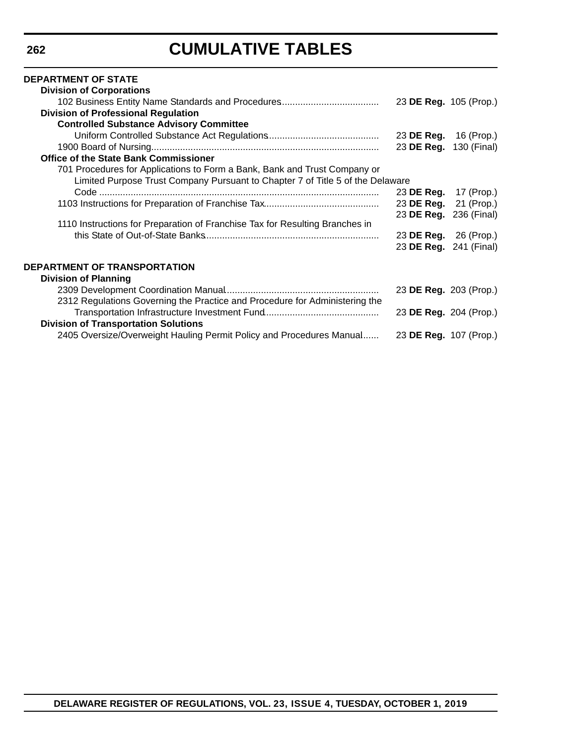# **CUMULATIVE TABLES**

#### **DEPARTMENT OF STATE Division of Corporations** 102 Business Entity Name Standards and Procedures...................................... 23 **DE Reg.** 105 (Prop.) **Division of Professional Regulation Controlled Substance Advisory Committee** Uniform Controlled Substance Act Regulations........................................... 23 **DE Reg.** 16 (Prop.) 1900 Board of Nursing....................................................................................... 23 **DE Reg.** 130 (Final) **Office of the State Bank Commissioner** 701 Procedures for Applications to Form a Bank, Bank and Trust Company or Limited Purpose Trust Company Pursuant to Chapter 7 of Title 5 of the Delaware Code ........................................................................................................... 23 **DE Reg.** 17 (Prop.) 1103 Instructions for Preparation of Franchise Tax............................................ 23 **DE Reg.** 21 (Prop.) 23 **DE Reg.** 236 (Final) 1110 Instructions for Preparation of Franchise Tax for Resulting Branches in this State of Out-of-State Banks................................................................... 23 **DE Reg.** 26 (Prop.) 23 **DE Reg.** 241 (Final) **DEPARTMENT OF TRANSPORTATION Division of Planning** 2309 Development Coordination Manual........................................................... 23 **DE Reg.** 203 (Prop.) 2312 Regulations Governing the Practice and Procedure for Administering the Transportation Infrastructure Investment Fund............................................ 23 **DE Reg.** 204 (Prop.) **Division of Transportation Solutions** 2405 Oversize/Overweight Hauling Permit Policy and Procedures Manual....... 23 **DE Reg.** 107 (Prop.)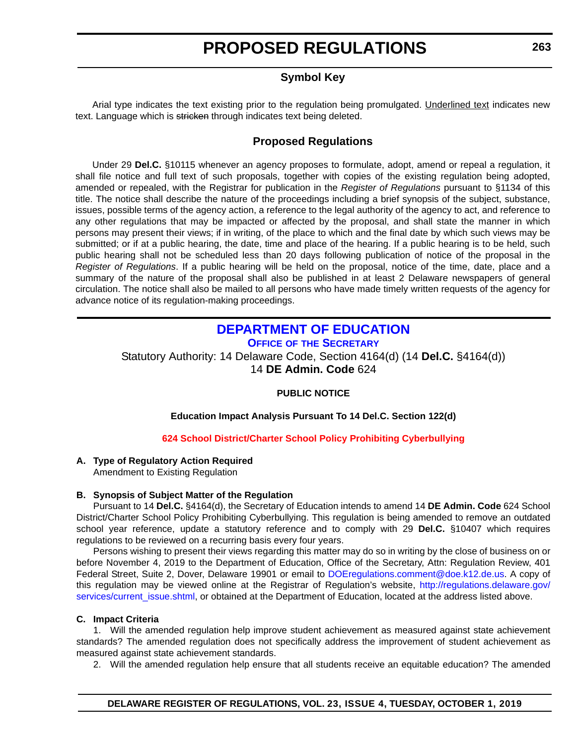# **Symbol Key**

<span id="page-8-0"></span>Arial type indicates the text existing prior to the regulation being promulgated. Underlined text indicates new text. Language which is stricken through indicates text being deleted.

### **Proposed Regulations**

Under 29 **Del.C.** §10115 whenever an agency proposes to formulate, adopt, amend or repeal a regulation, it shall file notice and full text of such proposals, together with copies of the existing regulation being adopted, amended or repealed, with the Registrar for publication in the *Register of Regulations* pursuant to §1134 of this title. The notice shall describe the nature of the proceedings including a brief synopsis of the subject, substance, issues, possible terms of the agency action, a reference to the legal authority of the agency to act, and reference to any other regulations that may be impacted or affected by the proposal, and shall state the manner in which persons may present their views; if in writing, of the place to which and the final date by which such views may be submitted; or if at a public hearing, the date, time and place of the hearing. If a public hearing is to be held, such public hearing shall not be scheduled less than 20 days following publication of notice of the proposal in the *Register of Regulations*. If a public hearing will be held on the proposal, notice of the time, date, place and a summary of the nature of the proposal shall also be published in at least 2 Delaware newspapers of general circulation. The notice shall also be mailed to all persons who have made timely written requests of the agency for advance notice of its regulation-making proceedings.

### **[DEPARTMENT OF EDUCATION](https://www.doe.k12.de.us/) OFFICE OF THE SECRETARY**

Statutory Authority: 14 Delaware Code, Section 4164(d) (14 **Del.C.** §4164(d)) 14 **DE Admin. Code** 624

### **PUBLIC NOTICE**

#### **Education Impact Analysis Pursuant To 14 Del.C. Section 122(d)**

### **[624 School District/Charter School Policy Prohibiting Cyberbullying](#page-3-0)**

### **A. Type of Regulatory Action Required**

Amendment to Existing Regulation

#### **B. Synopsis of Subject Matter of the Regulation**

Pursuant to 14 **Del.C.** §4164(d), the Secretary of Education intends to amend 14 **DE Admin. Code** 624 School District/Charter School Policy Prohibiting Cyberbullying. This regulation is being amended to remove an outdated school year reference, update a statutory reference and to comply with 29 **Del.C.** §10407 which requires regulations to be reviewed on a recurring basis every four years.

Persons wishing to present their views regarding this matter may do so in writing by the close of business on or before November 4, 2019 to the Department of Education, Office of the Secretary, Attn: Regulation Review, 401 Federal Street, Suite 2, Dover, Delaware 19901 or email to [DOEregulations.comment@doe.k12.de.us](mailto:DOEregulations.comment@doe.k12.de.us). A copy of this regulation may be viewed online at the Registrar of Regulation's website, [http://regulations.delaware.gov/](http://regulations.delaware.gov/services/current_issue.shtml) [services/current\\_issue.shtml](http://regulations.delaware.gov/services/current_issue.shtml), or obtained at the Department of Education, located at the address listed above.

#### **C. Impact Criteria**

1. Will the amended regulation help improve student achievement as measured against state achievement standards? The amended regulation does not specifically address the improvement of student achievement as measured against state achievement standards.

2. Will the amended regulation help ensure that all students receive an equitable education? The amended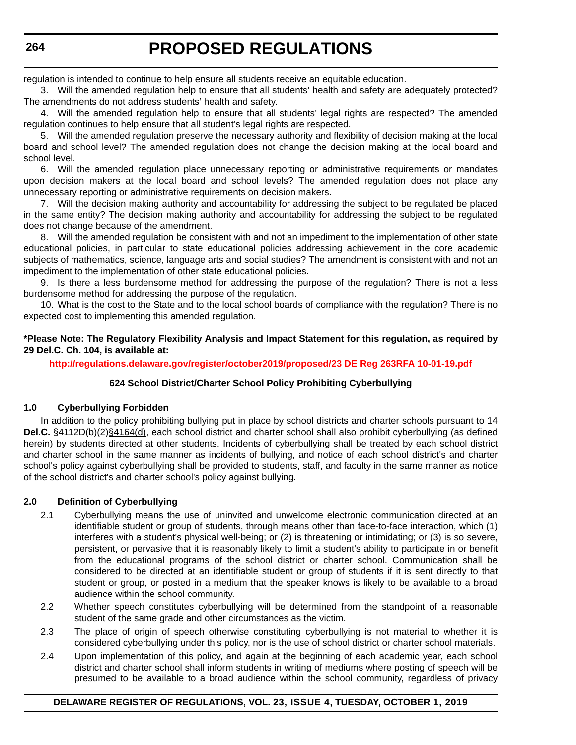regulation is intended to continue to help ensure all students receive an equitable education.

3. Will the amended regulation help to ensure that all students' health and safety are adequately protected? The amendments do not address students' health and safety.

4. Will the amended regulation help to ensure that all students' legal rights are respected? The amended regulation continues to help ensure that all student's legal rights are respected.

5. Will the amended regulation preserve the necessary authority and flexibility of decision making at the local board and school level? The amended regulation does not change the decision making at the local board and school level.

6. Will the amended regulation place unnecessary reporting or administrative requirements or mandates upon decision makers at the local board and school levels? The amended regulation does not place any unnecessary reporting or administrative requirements on decision makers.

7. Will the decision making authority and accountability for addressing the subject to be regulated be placed in the same entity? The decision making authority and accountability for addressing the subject to be regulated does not change because of the amendment.

8. Will the amended regulation be consistent with and not an impediment to the implementation of other state educational policies, in particular to state educational policies addressing achievement in the core academic subjects of mathematics, science, language arts and social studies? The amendment is consistent with and not an impediment to the implementation of other state educational policies.

9. Is there a less burdensome method for addressing the purpose of the regulation? There is not a less burdensome method for addressing the purpose of the regulation.

10. What is the cost to the State and to the local school boards of compliance with the regulation? There is no expected cost to implementing this amended regulation.

#### **\*Please Note: The Regulatory Flexibility Analysis and Impact Statement for this regulation, as required by 29 Del.C. Ch. 104, is available at:**

**<http://regulations.delaware.gov/register/october2019/proposed/23 DE Reg 263RFA 10-01-19.pdf>**

### **624 School District/Charter School Policy Prohibiting Cyberbullying**

#### **1.0 Cyberbullying Forbidden**

In addition to the policy prohibiting bullying put in place by school districts and charter schools pursuant to 14 **Del.C.** §4112D(b)(2)§4164(d), each school district and charter school shall also prohibit cyberbullying (as defined herein) by students directed at other students. Incidents of cyberbullying shall be treated by each school district and charter school in the same manner as incidents of bullying, and notice of each school district's and charter school's policy against cyberbullying shall be provided to students, staff, and faculty in the same manner as notice of the school district's and charter school's policy against bullying.

### **2.0 Definition of Cyberbullying**

- 2.1 Cyberbullying means the use of uninvited and unwelcome electronic communication directed at an identifiable student or group of students, through means other than face-to-face interaction, which (1) interferes with a student's physical well-being; or (2) is threatening or intimidating; or (3) is so severe, persistent, or pervasive that it is reasonably likely to limit a student's ability to participate in or benefit from the educational programs of the school district or charter school. Communication shall be considered to be directed at an identifiable student or group of students if it is sent directly to that student or group, or posted in a medium that the speaker knows is likely to be available to a broad audience within the school community.
- 2.2 Whether speech constitutes cyberbullying will be determined from the standpoint of a reasonable student of the same grade and other circumstances as the victim.
- 2.3 The place of origin of speech otherwise constituting cyberbullying is not material to whether it is considered cyberbullying under this policy, nor is the use of school district or charter school materials.
- 2.4 Upon implementation of this policy, and again at the beginning of each academic year, each school district and charter school shall inform students in writing of mediums where posting of speech will be presumed to be available to a broad audience within the school community, regardless of privacy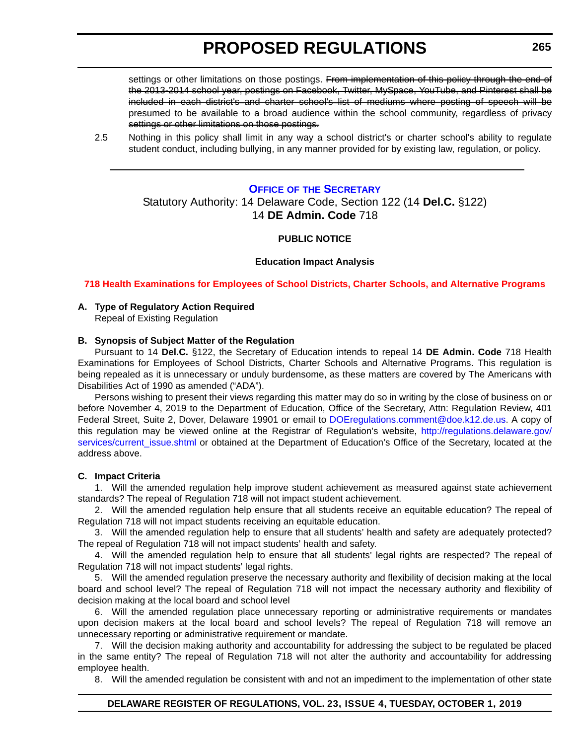<span id="page-10-0"></span>settings or other limitations on those postings. From implementation of this policy through the end of the 2013-2014 school year, postings on Facebook, Twitter, MySpace, YouTube, and Pinterest shall be included in each district's and charter school's list of mediums where posting of speech will be presumed to be available to a broad audience within the school community, regardless of privacy settings or other limitations on those postings.

2.5 Nothing in this policy shall limit in any way a school district's or charter school's ability to regulate student conduct, including bullying, in any manner provided for by existing law, regulation, or policy.

#### **OFFICE OF [THE SECRETARY](https://www.doe.k12.de.us/)**

### Statutory Authority: 14 Delaware Code, Section 122 (14 **Del.C.** §122) 14 **DE Admin. Code** 718

#### **PUBLIC NOTICE**

#### **Education Impact Analysis**

**[718 Health Examinations for Employees of School Districts, Charter Schools, and Alternative Programs](#page-3-0)**

# **A. Type of Regulatory Action Required**

Repeal of Existing Regulation

#### **B. Synopsis of Subject Matter of the Regulation**

Pursuant to 14 **Del.C.** §122, the Secretary of Education intends to repeal 14 **DE Admin. Code** 718 Health Examinations for Employees of School Districts, Charter Schools and Alternative Programs. This regulation is being repealed as it is unnecessary or unduly burdensome, as these matters are covered by The Americans with Disabilities Act of 1990 as amended ("ADA").

Persons wishing to present their views regarding this matter may do so in writing by the close of business on or before November 4, 2019 to the Department of Education, Office of the Secretary, Attn: Regulation Review, 401 Federal Street, Suite 2, Dover, Delaware 19901 or email to [DOEregulations.comment@doe.k12.de.us.](mailto:DOEregulations.comment@doe.k12.de.us) A copy of this regulation may be viewed online at the Registrar of Regulation's website, [http://regulations.delaware.gov/](http://regulations.delaware.gov/services/current_issue.shtml) [services/current\\_issue.shtml](http://regulations.delaware.gov/services/current_issue.shtml) or obtained at the Department of Education's Office of the Secretary, located at the address above.

#### **C. Impact Criteria**

1. Will the amended regulation help improve student achievement as measured against state achievement standards? The repeal of Regulation 718 will not impact student achievement.

2. Will the amended regulation help ensure that all students receive an equitable education? The repeal of Regulation 718 will not impact students receiving an equitable education.

3. Will the amended regulation help to ensure that all students' health and safety are adequately protected? The repeal of Regulation 718 will not impact students' health and safety.

4. Will the amended regulation help to ensure that all students' legal rights are respected? The repeal of Regulation 718 will not impact students' legal rights.

5. Will the amended regulation preserve the necessary authority and flexibility of decision making at the local board and school level? The repeal of Regulation 718 will not impact the necessary authority and flexibility of decision making at the local board and school level

6. Will the amended regulation place unnecessary reporting or administrative requirements or mandates upon decision makers at the local board and school levels? The repeal of Regulation 718 will remove an unnecessary reporting or administrative requirement or mandate.

7. Will the decision making authority and accountability for addressing the subject to be regulated be placed in the same entity? The repeal of Regulation 718 will not alter the authority and accountability for addressing employee health.

8. Will the amended regulation be consistent with and not an impediment to the implementation of other state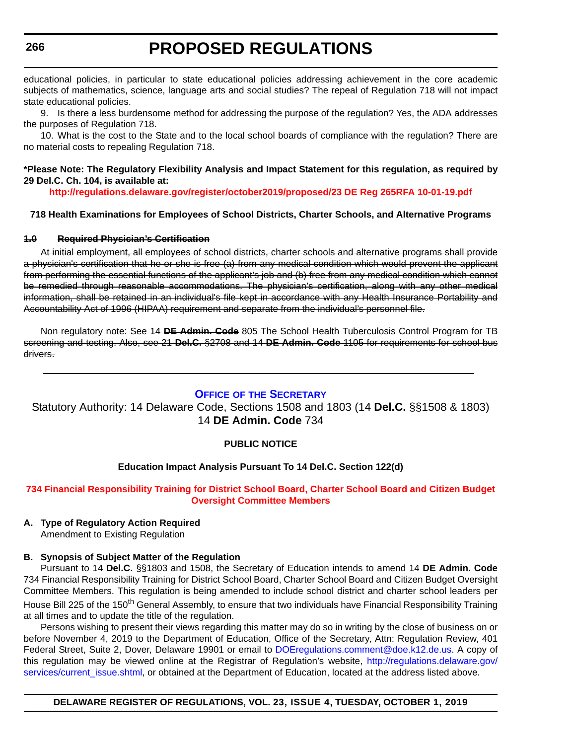<span id="page-11-0"></span>educational policies, in particular to state educational policies addressing achievement in the core academic subjects of mathematics, science, language arts and social studies? The repeal of Regulation 718 will not impact state educational policies.

9. Is there a less burdensome method for addressing the purpose of the regulation? Yes, the ADA addresses the purposes of Regulation 718.

10. What is the cost to the State and to the local school boards of compliance with the regulation? There are no material costs to repealing Regulation 718.

#### **\*Please Note: The Regulatory Flexibility Analysis and Impact Statement for this regulation, as required by 29 Del.C. Ch. 104, is available at:**

**<http://regulations.delaware.gov/register/october2019/proposed/23 DE Reg 265RFA 10-01-19.pdf>**

#### **718 Health Examinations for Employees of School Districts, Charter Schools, and Alternative Programs**

#### **1.0 Required Physician's Certification**

At initial employment, all employees of school districts, charter schools and alternative programs shall provide a physician's certification that he or she is free (a) from any medical condition which would prevent the applicant from performing the essential functions of the applicant's job and (b) free from any medical condition which cannot be remedied through reasonable accommodations. The physician's certification, along with any other medical information, shall be retained in an individual's file kept in accordance with any Health Insurance Portability and Accountability Act of 1996 (HIPAA) requirement and separate from the individual's personnel file.

Non regulatory note: See 14 **DE Admin. Code** 805 The School Health Tuberculosis Control Program for TB screening and testing. Also, see 21 **Del.C.** §2708 and 14 **DE Admin. Code** 1105 for requirements for school bus drivers.

#### **OFFICE OF [THE SECRETARY](https://www.doe.k12.de.us/)**

Statutory Authority: 14 Delaware Code, Sections 1508 and 1803 (14 **Del.C.** §§1508 & 1803) 14 **DE Admin. Code** 734

#### **PUBLIC NOTICE**

#### **Education Impact Analysis Pursuant To 14 Del.C. Section 122(d)**

#### **[734 Financial Responsibility Training for District School Board, Charter School Board and Citizen Budget](#page-3-0)  Oversight Committee Members**

# **A. Type of Regulatory Action Required**

Amendment to Existing Regulation

#### **B. Synopsis of Subject Matter of the Regulation**

Pursuant to 14 **Del.C.** §§1803 and 1508, the Secretary of Education intends to amend 14 **DE Admin. Code** 734 Financial Responsibility Training for District School Board, Charter School Board and Citizen Budget Oversight Committee Members. This regulation is being amended to include school district and charter school leaders per House Bill 225 of the 150<sup>th</sup> General Assembly, to ensure that two individuals have Financial Responsibility Training at all times and to update the title of the regulation.

Persons wishing to present their views regarding this matter may do so in writing by the close of business on or before November 4, 2019 to the Department of Education, Office of the Secretary, Attn: Regulation Review, 401 Federal Street, Suite 2, Dover, Delaware 19901 or email to [DOEregulations.comment@doe.k12.de.us](mailto:DOEregulations.comment@doe.k12.de.us). A copy of this regulation may be viewed online at the Registrar of Regulation's website, [http://regulations.delaware.gov/](http://regulations.delaware.gov/services/current_issue.shtml) [services/current\\_issue.shtml](http://regulations.delaware.gov/services/current_issue.shtml), or obtained at the Department of Education, located at the address listed above.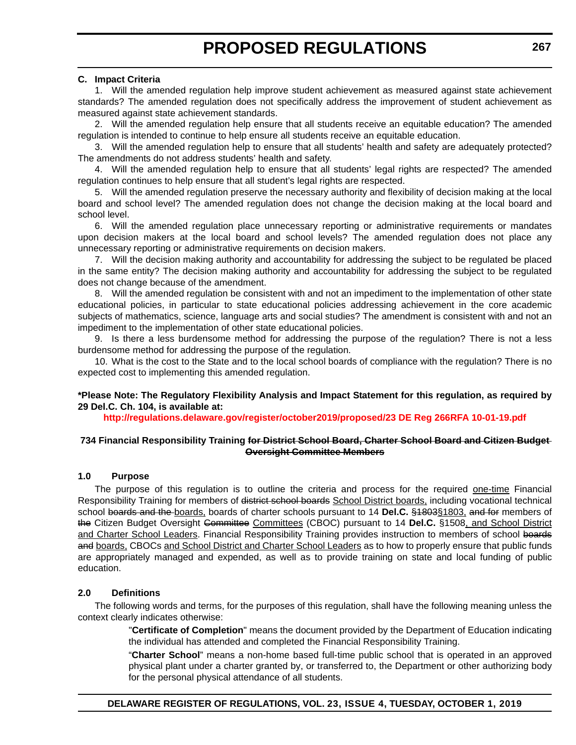#### **C. Impact Criteria**

1. Will the amended regulation help improve student achievement as measured against state achievement standards? The amended regulation does not specifically address the improvement of student achievement as measured against state achievement standards.

2. Will the amended regulation help ensure that all students receive an equitable education? The amended regulation is intended to continue to help ensure all students receive an equitable education.

3. Will the amended regulation help to ensure that all students' health and safety are adequately protected? The amendments do not address students' health and safety.

4. Will the amended regulation help to ensure that all students' legal rights are respected? The amended regulation continues to help ensure that all student's legal rights are respected.

5. Will the amended regulation preserve the necessary authority and flexibility of decision making at the local board and school level? The amended regulation does not change the decision making at the local board and school level.

6. Will the amended regulation place unnecessary reporting or administrative requirements or mandates upon decision makers at the local board and school levels? The amended regulation does not place any unnecessary reporting or administrative requirements on decision makers.

7. Will the decision making authority and accountability for addressing the subject to be regulated be placed in the same entity? The decision making authority and accountability for addressing the subject to be regulated does not change because of the amendment.

8. Will the amended regulation be consistent with and not an impediment to the implementation of other state educational policies, in particular to state educational policies addressing achievement in the core academic subjects of mathematics, science, language arts and social studies? The amendment is consistent with and not an impediment to the implementation of other state educational policies.

9. Is there a less burdensome method for addressing the purpose of the regulation? There is not a less burdensome method for addressing the purpose of the regulation.

10. What is the cost to the State and to the local school boards of compliance with the regulation? There is no expected cost to implementing this amended regulation.

#### **\*Please Note: The Regulatory Flexibility Analysis and Impact Statement for this regulation, as required by 29 Del.C. Ch. 104, is available at:**

**<http://regulations.delaware.gov/register/october2019/proposed/23 DE Reg 266RFA 10-01-19.pdf>**

#### **734 Financial Responsibility Training for District School Board, Charter School Board and Citizen Budget Oversight Committee Members**

#### **1.0 Purpose**

The purpose of this regulation is to outline the criteria and process for the required one-time Financial Responsibility Training for members of district school boards School District boards, including vocational technical school boards and the boards, boards of charter schools pursuant to 14 **Del.C.** §1803§1803, and for members of the Citizen Budget Oversight Committee Committees (CBOC) pursuant to 14 **Del.C.** §1508, and School District and Charter School Leaders. Financial Responsibility Training provides instruction to members of school boards and boards, CBOCs and School District and Charter School Leaders as to how to properly ensure that public funds are appropriately managed and expended, as well as to provide training on state and local funding of public education.

#### **2.0 Definitions**

The following words and terms, for the purposes of this regulation, shall have the following meaning unless the context clearly indicates otherwise:

> "**Certificate of Completion**" means the document provided by the Department of Education indicating the individual has attended and completed the Financial Responsibility Training.

> "**Charter School**" means a non-home based full-time public school that is operated in an approved physical plant under a charter granted by, or transferred to, the Department or other authorizing body for the personal physical attendance of all students.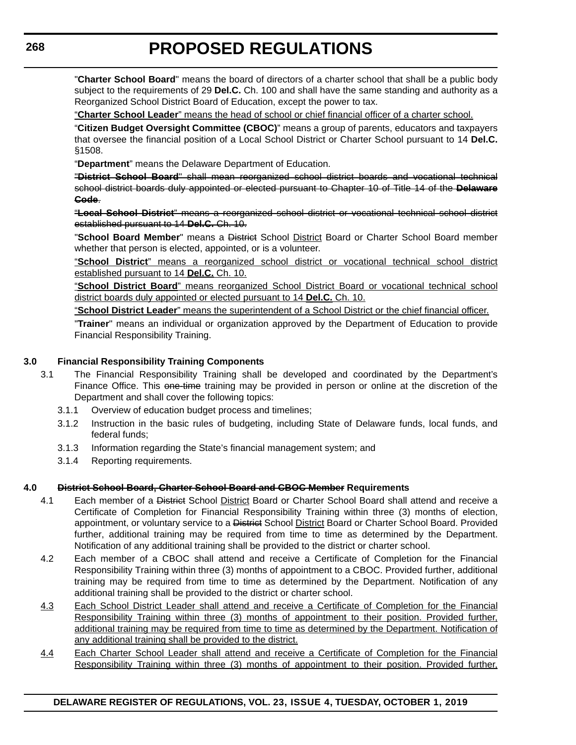"**Charter School Board**" means the board of directors of a charter school that shall be a public body subject to the requirements of 29 **Del.C.** Ch. 100 and shall have the same standing and authority as a Reorganized School District Board of Education, except the power to tax.

"**Charter School Leader**" means the head of school or chief financial officer of a charter school.

"**Citizen Budget Oversight Committee (CBOC)**" means a group of parents, educators and taxpayers that oversee the financial position of a Local School District or Charter School pursuant to 14 **Del.C.** §1508.

"**Department**" means the Delaware Department of Education.

"**District School Board**" shall mean reorganized school district boards and vocational technical school district boards duly appointed or elected pursuant to Chapter 10 of Title 14 of the **Delaware Code**.

"**Local School District**" means a reorganized school district or vocational technical school district established pursuant to 14 **Del.C.** Ch. 10.

"**School Board Member**" means a District School District Board or Charter School Board member whether that person is elected, appointed, or is a volunteer.

"**School District**" means a reorganized school district or vocational technical school district established pursuant to 14 **Del.C.** Ch. 10.

"**School District Board**" means reorganized School District Board or vocational technical school district boards duly appointed or elected pursuant to 14 **Del.C.** Ch. 10.

"**School District Leader**" means the superintendent of a School District or the chief financial officer.

"**Trainer**" means an individual or organization approved by the Department of Education to provide Financial Responsibility Training.

#### **3.0 Financial Responsibility Training Components**

- 3.1 The Financial Responsibility Training shall be developed and coordinated by the Department's Finance Office. This one-time training may be provided in person or online at the discretion of the Department and shall cover the following topics:
	- 3.1.1 Overview of education budget process and timelines;
	- 3.1.2 Instruction in the basic rules of budgeting, including State of Delaware funds, local funds, and federal funds;
	- 3.1.3 Information regarding the State's financial management system; and
	- 3.1.4 Reporting requirements.

#### **4.0 District School Board, Charter School Board and CBOC Member Requirements**

- 4.1 Each member of a District School District Board or Charter School Board shall attend and receive a Certificate of Completion for Financial Responsibility Training within three (3) months of election, appointment, or voluntary service to a District School District Board or Charter School Board. Provided further, additional training may be required from time to time as determined by the Department. Notification of any additional training shall be provided to the district or charter school.
- 4.2 Each member of a CBOC shall attend and receive a Certificate of Completion for the Financial Responsibility Training within three (3) months of appointment to a CBOC. Provided further, additional training may be required from time to time as determined by the Department. Notification of any additional training shall be provided to the district or charter school.
- 4.3 Each School District Leader shall attend and receive a Certificate of Completion for the Financial Responsibility Training within three (3) months of appointment to their position. Provided further, additional training may be required from time to time as determined by the Department. Notification of any additional training shall be provided to the district.
- 4.4 Each Charter School Leader shall attend and receive a Certificate of Completion for the Financial Responsibility Training within three (3) months of appointment to their position. Provided further,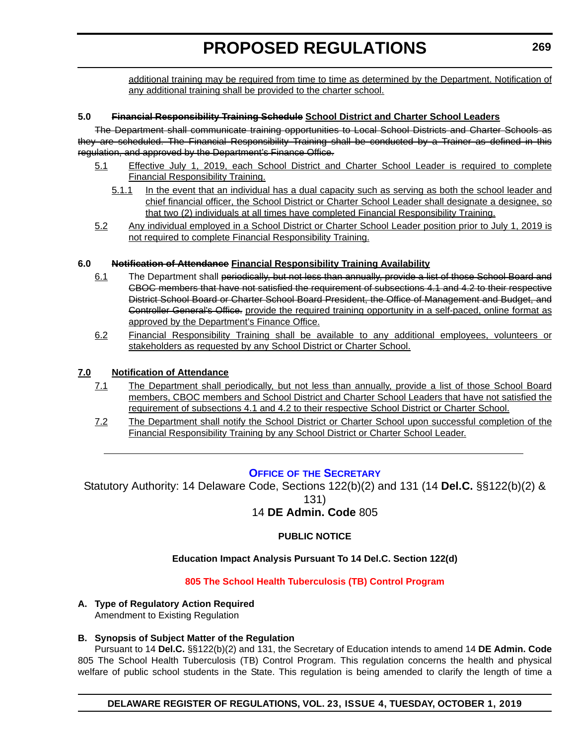<span id="page-14-0"></span>additional training may be required from time to time as determined by the Department. Notification of any additional training shall be provided to the charter school.

#### **5.0 Financial Responsibility Training Schedule School District and Charter School Leaders**

The Department shall communicate training opportunities to Local School Districts and Charter Schools as they are scheduled. The Financial Responsibility Training shall be conducted by a Trainer as defined in this regulation, and approved by the Department's Finance Office.

- 5.1 Effective July 1, 2019, each School District and Charter School Leader is required to complete Financial Responsibility Training.
	- 5.1.1 In the event that an individual has a dual capacity such as serving as both the school leader and chief financial officer, the School District or Charter School Leader shall designate a designee, so that two (2) individuals at all times have completed Financial Responsibility Training.
- 5.2 Any individual employed in a School District or Charter School Leader position prior to July 1, 2019 is not required to complete Financial Responsibility Training.

#### **6.0 Notification of Attendance Financial Responsibility Training Availability**

- 6.1 The Department shall periodically, but not less than annually, provide a list of those School Board and CBOC members that have not satisfied the requirement of subsections 4.1 and 4.2 to their respective District School Board or Charter School Board President, the Office of Management and Budget, and Controller General's Office. provide the required training opportunity in a self-paced, online format as approved by the Department's Finance Office.
- 6.2 Financial Responsibility Training shall be available to any additional employees, volunteers or stakeholders as requested by any School District or Charter School.

#### **7.0 Notification of Attendance**

- 7.1 The Department shall periodically, but not less than annually, provide a list of those School Board members, CBOC members and School District and Charter School Leaders that have not satisfied the requirement of subsections 4.1 and 4.2 to their respective School District or Charter School.
- 7.2 The Department shall notify the School District or Charter School upon successful completion of the Financial Responsibility Training by any School District or Charter School Leader.

### **OFFICE OF [THE SECRETARY](https://www.doe.k12.de.us/)**

Statutory Authority: 14 Delaware Code, Sections 122(b)(2) and 131 (14 **Del.C.** §§122(b)(2) & 131) 14 **DE Admin. Code** 805

### **PUBLIC NOTICE**

### **Education Impact Analysis Pursuant To 14 Del.C. Section 122(d)**

#### **[805 The School Health Tuberculosis \(TB\) Control Program](#page-3-0)**

### **A. Type of Regulatory Action Required**

Amendment to Existing Regulation

# **B. Synopsis of Subject Matter of the Regulation**

Pursuant to 14 **Del.C.** §§122(b)(2) and 131, the Secretary of Education intends to amend 14 **DE Admin. Code** 805 The School Health Tuberculosis (TB) Control Program. This regulation concerns the health and physical welfare of public school students in the State. This regulation is being amended to clarify the length of time a

**DELAWARE REGISTER OF REGULATIONS, VOL. 23, ISSUE 4, TUESDAY, OCTOBER 1, 2019**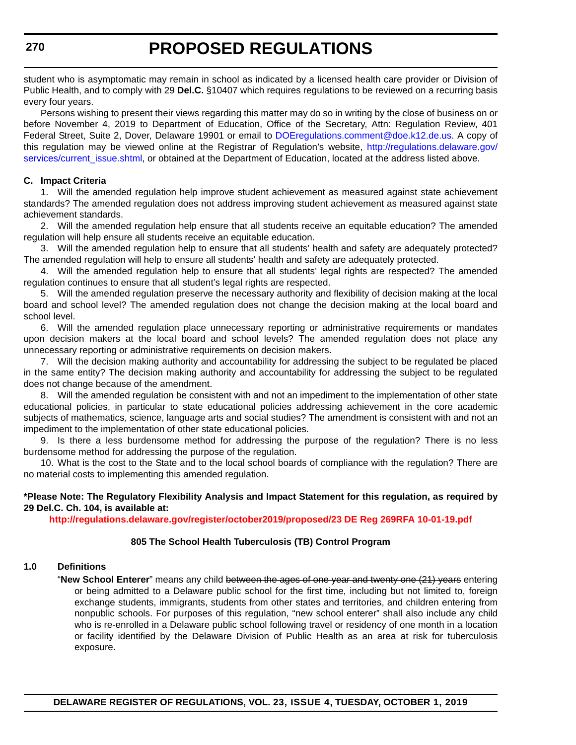student who is asymptomatic may remain in school as indicated by a licensed health care provider or Division of Public Health, and to comply with 29 **Del.C.** §10407 which requires regulations to be reviewed on a recurring basis every four years.

Persons wishing to present their views regarding this matter may do so in writing by the close of business on or before November 4, 2019 to Department of Education, Office of the Secretary, Attn: Regulation Review, 401 Federal Street, Suite 2, Dover, Delaware 19901 or email to [DOEregulations.comment@doe.k12.de.us](mailto:DOEregulations.comment@doe.k12.de.us). A copy of this regulation may be viewed online at the Registrar of Regulation's website, [http://regulations.delaware.gov/](http://regulations.delaware.gov/services/current_issue.shtml) [services/current\\_issue.shtml](http://regulations.delaware.gov/services/current_issue.shtml), or obtained at the Department of Education, located at the address listed above.

#### **C. Impact Criteria**

1. Will the amended regulation help improve student achievement as measured against state achievement standards? The amended regulation does not address improving student achievement as measured against state achievement standards.

2. Will the amended regulation help ensure that all students receive an equitable education? The amended regulation will help ensure all students receive an equitable education.

3. Will the amended regulation help to ensure that all students' health and safety are adequately protected? The amended regulation will help to ensure all students' health and safety are adequately protected.

4. Will the amended regulation help to ensure that all students' legal rights are respected? The amended regulation continues to ensure that all student's legal rights are respected.

5. Will the amended regulation preserve the necessary authority and flexibility of decision making at the local board and school level? The amended regulation does not change the decision making at the local board and school level.

6. Will the amended regulation place unnecessary reporting or administrative requirements or mandates upon decision makers at the local board and school levels? The amended regulation does not place any unnecessary reporting or administrative requirements on decision makers.

7. Will the decision making authority and accountability for addressing the subject to be regulated be placed in the same entity? The decision making authority and accountability for addressing the subject to be regulated does not change because of the amendment.

8. Will the amended regulation be consistent with and not an impediment to the implementation of other state educational policies, in particular to state educational policies addressing achievement in the core academic subjects of mathematics, science, language arts and social studies? The amendment is consistent with and not an impediment to the implementation of other state educational policies.

9. Is there a less burdensome method for addressing the purpose of the regulation? There is no less burdensome method for addressing the purpose of the regulation.

10. What is the cost to the State and to the local school boards of compliance with the regulation? There are no material costs to implementing this amended regulation.

#### **\*Please Note: The Regulatory Flexibility Analysis and Impact Statement for this regulation, as required by 29 Del.C. Ch. 104, is available at:**

**<http://regulations.delaware.gov/register/october2019/proposed/23 DE Reg 269RFA 10-01-19.pdf>**

#### **805 The School Health Tuberculosis (TB) Control Program**

#### **1.0 Definitions**

"**New School Enterer**" means any child between the ages of one year and twenty one (21) years entering or being admitted to a Delaware public school for the first time, including but not limited to, foreign exchange students, immigrants, students from other states and territories, and children entering from nonpublic schools. For purposes of this regulation, "new school enterer" shall also include any child who is re-enrolled in a Delaware public school following travel or residency of one month in a location or facility identified by the Delaware Division of Public Health as an area at risk for tuberculosis exposure.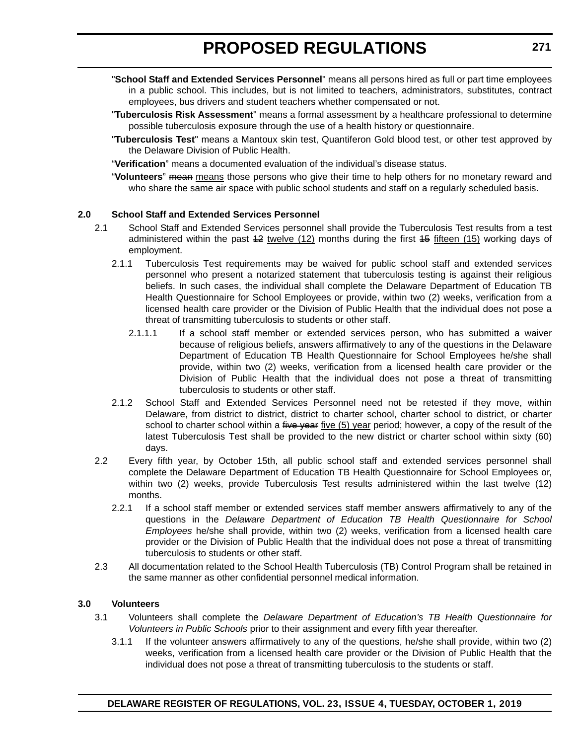- "**School Staff and Extended Services Personnel**" means all persons hired as full or part time employees in a public school. This includes, but is not limited to teachers, administrators, substitutes, contract employees, bus drivers and student teachers whether compensated or not.
- "**Tuberculosis Risk Assessment**" means a formal assessment by a healthcare professional to determine possible tuberculosis exposure through the use of a health history or questionnaire.
- "**Tuberculosis Test**" means a Mantoux skin test, Quantiferon Gold blood test, or other test approved by the Delaware Division of Public Health.
- "**Verification**" means a documented evaluation of the individual's disease status.
- "**Volunteers**" mean means those persons who give their time to help others for no monetary reward and who share the same air space with public school students and staff on a regularly scheduled basis.

#### **2.0 School Staff and Extended Services Personnel**

- 2.1 School Staff and Extended Services personnel shall provide the Tuberculosis Test results from a test administered within the past  $42$  twelve  $(12)$  months during the first  $45$  fifteen  $(15)$  working days of employment.
	- 2.1.1 Tuberculosis Test requirements may be waived for public school staff and extended services personnel who present a notarized statement that tuberculosis testing is against their religious beliefs. In such cases, the individual shall complete the Delaware Department of Education TB Health Questionnaire for School Employees or provide, within two (2) weeks, verification from a licensed health care provider or the Division of Public Health that the individual does not pose a threat of transmitting tuberculosis to students or other staff.
		- 2.1.1.1 If a school staff member or extended services person, who has submitted a waiver because of religious beliefs, answers affirmatively to any of the questions in the Delaware Department of Education TB Health Questionnaire for School Employees he/she shall provide, within two (2) weeks, verification from a licensed health care provider or the Division of Public Health that the individual does not pose a threat of transmitting tuberculosis to students or other staff.
	- 2.1.2 School Staff and Extended Services Personnel need not be retested if they move, within Delaware, from district to district, district to charter school, charter school to district, or charter school to charter school within a five year five (5) year period; however, a copy of the result of the latest Tuberculosis Test shall be provided to the new district or charter school within sixty (60) days.
- 2.2 Every fifth year, by October 15th, all public school staff and extended services personnel shall complete the Delaware Department of Education TB Health Questionnaire for School Employees or, within two (2) weeks, provide Tuberculosis Test results administered within the last twelve (12) months.
	- 2.2.1 If a school staff member or extended services staff member answers affirmatively to any of the questions in the *Delaware Department of Education TB Health Questionnaire for School Employees* he/she shall provide, within two (2) weeks, verification from a licensed health care provider or the Division of Public Health that the individual does not pose a threat of transmitting tuberculosis to students or other staff.
- 2.3 All documentation related to the School Health Tuberculosis (TB) Control Program shall be retained in the same manner as other confidential personnel medical information.

#### **3.0 Volunteers**

- 3.1 Volunteers shall complete the *Delaware Department of Education's TB Health Questionnaire for Volunteers in Public Schools* prior to their assignment and every fifth year thereafter.
	- 3.1.1 If the volunteer answers affirmatively to any of the questions, he/she shall provide, within two (2) weeks, verification from a licensed health care provider or the Division of Public Health that the individual does not pose a threat of transmitting tuberculosis to the students or staff.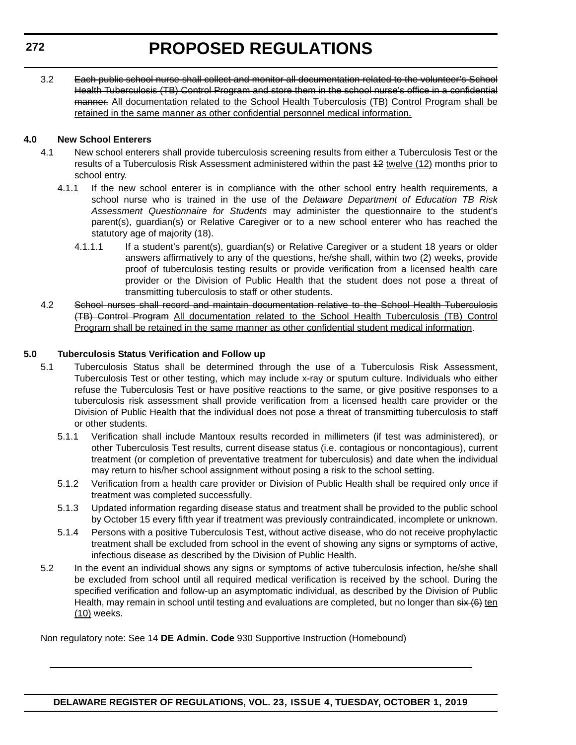3.2 Each public school nurse shall collect and monitor all documentation related to the volunteer's School Health Tuberculosis (TB) Control Program and store them in the school nurse's office in a confidential manner. All documentation related to the School Health Tuberculosis (TB) Control Program shall be retained in the same manner as other confidential personnel medical information.

### **4.0 New School Enterers**

- 4.1 New school enterers shall provide tuberculosis screening results from either a Tuberculosis Test or the results of a Tuberculosis Risk Assessment administered within the past 12 twelve (12) months prior to school entry.
	- 4.1.1 If the new school enterer is in compliance with the other school entry health requirements, a school nurse who is trained in the use of the *Delaware Department of Education TB Risk Assessment Questionnaire for Students* may administer the questionnaire to the student's parent(s), guardian(s) or Relative Caregiver or to a new school enterer who has reached the statutory age of majority (18).
		- 4.1.1.1 If a student's parent(s), guardian(s) or Relative Caregiver or a student 18 years or older answers affirmatively to any of the questions, he/she shall, within two (2) weeks, provide proof of tuberculosis testing results or provide verification from a licensed health care provider or the Division of Public Health that the student does not pose a threat of transmitting tuberculosis to staff or other students.
- 4.2 School nurses shall record and maintain documentation relative to the School Health Tuberculosis (TB) Control Program All documentation related to the School Health Tuberculosis (TB) Control Program shall be retained in the same manner as other confidential student medical information.

### **5.0 Tuberculosis Status Verification and Follow up**

- 5.1 Tuberculosis Status shall be determined through the use of a Tuberculosis Risk Assessment, Tuberculosis Test or other testing, which may include x-ray or sputum culture. Individuals who either refuse the Tuberculosis Test or have positive reactions to the same, or give positive responses to a tuberculosis risk assessment shall provide verification from a licensed health care provider or the Division of Public Health that the individual does not pose a threat of transmitting tuberculosis to staff or other students.
	- 5.1.1 Verification shall include Mantoux results recorded in millimeters (if test was administered), or other Tuberculosis Test results, current disease status (i.e. contagious or noncontagious), current treatment (or completion of preventative treatment for tuberculosis) and date when the individual may return to his/her school assignment without posing a risk to the school setting.
	- 5.1.2 Verification from a health care provider or Division of Public Health shall be required only once if treatment was completed successfully.
	- 5.1.3 Updated information regarding disease status and treatment shall be provided to the public school by October 15 every fifth year if treatment was previously contraindicated, incomplete or unknown.
	- 5.1.4 Persons with a positive Tuberculosis Test, without active disease, who do not receive prophylactic treatment shall be excluded from school in the event of showing any signs or symptoms of active, infectious disease as described by the Division of Public Health.
- 5.2 In the event an individual shows any signs or symptoms of active tuberculosis infection, he/she shall be excluded from school until all required medical verification is received by the school. During the specified verification and follow-up an asymptomatic individual, as described by the Division of Public Health, may remain in school until testing and evaluations are completed, but no longer than six (6) ten (10) weeks.

Non regulatory note: See 14 **DE Admin. Code** 930 Supportive Instruction (Homebound)

### **DELAWARE REGISTER OF REGULATIONS, VOL. 23, ISSUE 4, TUESDAY, OCTOBER 1, 2019**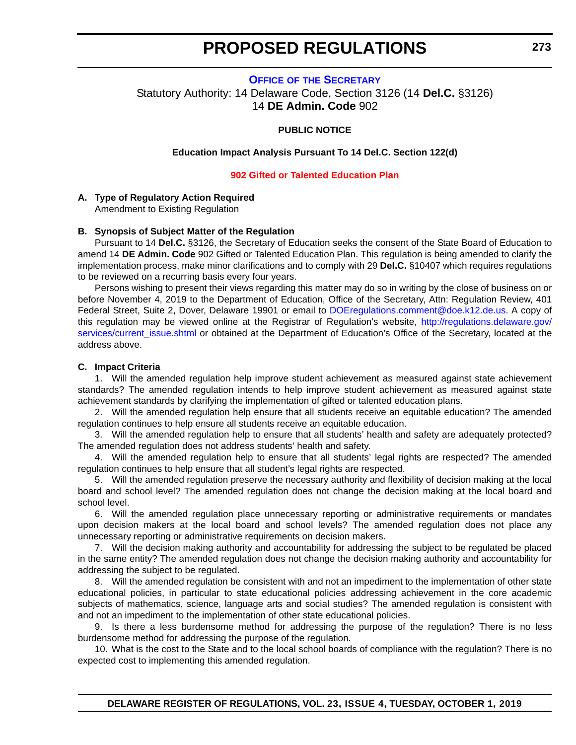#### **OFFICE OF [THE SECRETARY](https://www.doe.k12.de.us/)**

<span id="page-18-0"></span>Statutory Authority: 14 Delaware Code, Section 3126 (14 **Del.C.** §3126) 14 **DE Admin. Code** 902

#### **PUBLIC NOTICE**

#### **Education Impact Analysis Pursuant To 14 Del.C. Section 122(d)**

#### **[902 Gifted or Talented Education Plan](#page-3-0)**

#### **A. Type of Regulatory Action Required**

Amendment to Existing Regulation

#### **B. Synopsis of Subject Matter of the Regulation**

Pursuant to 14 **Del.C.** §3126, the Secretary of Education seeks the consent of the State Board of Education to amend 14 **DE Admin. Code** 902 Gifted or Talented Education Plan. This regulation is being amended to clarify the implementation process, make minor clarifications and to comply with 29 **Del.C.** §10407 which requires regulations to be reviewed on a recurring basis every four years.

Persons wishing to present their views regarding this matter may do so in writing by the close of business on or before November 4, 2019 to the Department of Education, Office of the Secretary, Attn: Regulation Review, 401 Federal Street, Suite 2, Dover, Delaware 19901 or email to [DOEregulations.comment@doe.k12.de.us.](mailto:DOEregulations.comment@doe.k12.de.us) A copy of this regulation may be viewed online at the Registrar of Regulation's website, [http://regulations.delaware.gov/](http://regulations.delaware.gov/services/current_issue.shtml) services/current issue.shtml or obtained at the Department of Education's Office of the Secretary, located at the address above.

#### **C. Impact Criteria**

1. Will the amended regulation help improve student achievement as measured against state achievement standards? The amended regulation intends to help improve student achievement as measured against state achievement standards by clarifying the implementation of gifted or talented education plans.

2. Will the amended regulation help ensure that all students receive an equitable education? The amended regulation continues to help ensure all students receive an equitable education.

3. Will the amended regulation help to ensure that all students' health and safety are adequately protected? The amended regulation does not address students' health and safety.

4. Will the amended regulation help to ensure that all students' legal rights are respected? The amended regulation continues to help ensure that all student's legal rights are respected.

5. Will the amended regulation preserve the necessary authority and flexibility of decision making at the local board and school level? The amended regulation does not change the decision making at the local board and school level.

6. Will the amended regulation place unnecessary reporting or administrative requirements or mandates upon decision makers at the local board and school levels? The amended regulation does not place any unnecessary reporting or administrative requirements on decision makers.

7. Will the decision making authority and accountability for addressing the subject to be regulated be placed in the same entity? The amended regulation does not change the decision making authority and accountability for addressing the subject to be regulated.

8. Will the amended regulation be consistent with and not an impediment to the implementation of other state educational policies, in particular to state educational policies addressing achievement in the core academic subjects of mathematics, science, language arts and social studies? The amended regulation is consistent with and not an impediment to the implementation of other state educational policies.

9. Is there a less burdensome method for addressing the purpose of the regulation? There is no less burdensome method for addressing the purpose of the regulation.

10. What is the cost to the State and to the local school boards of compliance with the regulation? There is no expected cost to implementing this amended regulation.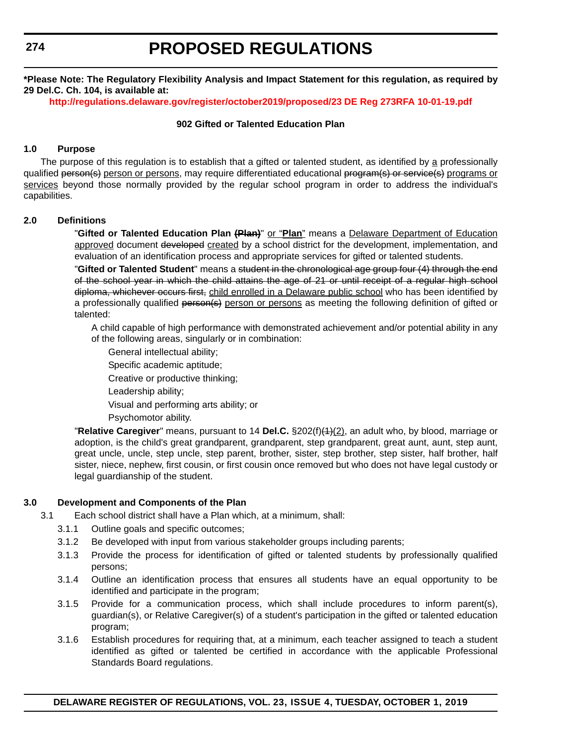**274**

# **PROPOSED REGULATIONS**

**\*Please Note: The Regulatory Flexibility Analysis and Impact Statement for this regulation, as required by 29 Del.C. Ch. 104, is available at:**

**<http://regulations.delaware.gov/register/october2019/proposed/23 DE Reg 273RFA 10-01-19.pdf>**

#### **902 Gifted or Talented Education Plan**

#### **1.0 Purpose**

The purpose of this regulation is to establish that a gifted or talented student, as identified by a professionally qualified person(s) person or persons, may require differentiated educational program(s) or service(s) programs or services beyond those normally provided by the regular school program in order to address the individual's capabilities.

#### **2.0 Definitions**

"**Gifted or Talented Education Plan (Plan)**" or "**Plan**" means a Delaware Department of Education approved document developed created by a school district for the development, implementation, and evaluation of an identification process and appropriate services for gifted or talented students.

"**Gifted or Talented Student**" means a student in the chronological age group four (4) through the end of the school year in which the child attains the age of 21 or until receipt of a regular high school diploma, whichever occurs first, child enrolled in a Delaware public school who has been identified by a professionally qualified person(s) person or persons as meeting the following definition of gifted or talented:

A child capable of high performance with demonstrated achievement and/or potential ability in any of the following areas, singularly or in combination:

- General intellectual ability;
- Specific academic aptitude;

Creative or productive thinking;

- Leadership ability;
- Visual and performing arts ability; or
- Psychomotor ability.

"**Relative Caregiver**" means, pursuant to 14 **Del.C.** §202(f)(1)(2), an adult who, by blood, marriage or adoption, is the child's great grandparent, grandparent, step grandparent, great aunt, aunt, step aunt, great uncle, uncle, step uncle, step parent, brother, sister, step brother, step sister, half brother, half sister, niece, nephew, first cousin, or first cousin once removed but who does not have legal custody or legal guardianship of the student.

#### **3.0 Development and Components of the Plan**

- 3.1 Each school district shall have a Plan which, at a minimum, shall:
	- 3.1.1 Outline goals and specific outcomes;
	- 3.1.2 Be developed with input from various stakeholder groups including parents;
	- 3.1.3 Provide the process for identification of gifted or talented students by professionally qualified persons;
	- 3.1.4 Outline an identification process that ensures all students have an equal opportunity to be identified and participate in the program;
	- 3.1.5 Provide for a communication process, which shall include procedures to inform parent(s), guardian(s), or Relative Caregiver(s) of a student's participation in the gifted or talented education program;
	- 3.1.6 Establish procedures for requiring that, at a minimum, each teacher assigned to teach a student identified as gifted or talented be certified in accordance with the applicable Professional Standards Board regulations.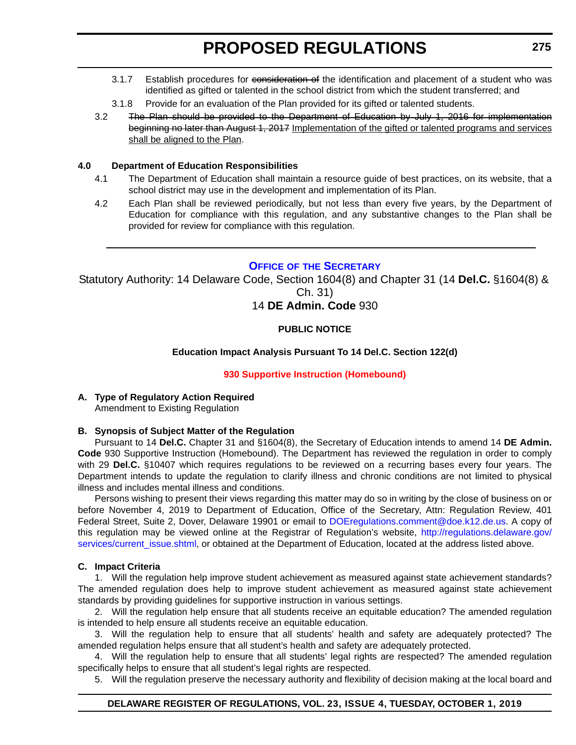- <span id="page-20-0"></span>3.1.7 Establish procedures for consideration of the identification and placement of a student who was identified as gifted or talented in the school district from which the student transferred; and
- 3.1.8 Provide for an evaluation of the Plan provided for its gifted or talented students.
- 3.2 The Plan should be provided to the Department of Education by July 1, 2016 for implementation beginning no later than August 1, 2017 Implementation of the gifted or talented programs and services shall be aligned to the Plan.

#### **4.0 Department of Education Responsibilities**

- 4.1 The Department of Education shall maintain a resource guide of best practices, on its website, that a school district may use in the development and implementation of its Plan.
- 4.2 Each Plan shall be reviewed periodically, but not less than every five years, by the Department of Education for compliance with this regulation, and any substantive changes to the Plan shall be provided for review for compliance with this regulation.

### **OFFICE OF [THE SECRETARY](https://www.doe.k12.de.us/)**

Statutory Authority: 14 Delaware Code, Section 1604(8) and Chapter 31 (14 **Del.C.** §1604(8) & Ch. 31)

14 **DE Admin. Code** 930

#### **PUBLIC NOTICE**

#### **Education Impact Analysis Pursuant To 14 Del.C. Section 122(d)**

#### **[930 Supportive Instruction \(Homebound\)](#page-3-0)**

**A. Type of Regulatory Action Required** Amendment to Existing Regulation

#### **B. Synopsis of Subject Matter of the Regulation**

Pursuant to 14 **Del.C.** Chapter 31 and §1604(8), the Secretary of Education intends to amend 14 **DE Admin. Code** 930 Supportive Instruction (Homebound). The Department has reviewed the regulation in order to comply with 29 **Del.C.** §10407 which requires regulations to be reviewed on a recurring bases every four years. The Department intends to update the regulation to clarify illness and chronic conditions are not limited to physical illness and includes mental illness and conditions.

Persons wishing to present their views regarding this matter may do so in writing by the close of business on or before November 4, 2019 to Department of Education, Office of the Secretary, Attn: Regulation Review, 401 Federal Street, Suite 2, Dover, Delaware 19901 or email to [DOEregulations.comment@doe.k12.de.us.](mailto:DOEregulations.comment@doe.k12.de.us) A copy of this regulation may be viewed online at the Registrar of Regulation's website, [http://regulations.delaware.gov/](http://regulations.delaware.gov/services/current_issue.shtml) [services/current\\_issue.shtml,](http://regulations.delaware.gov/services/current_issue.shtml) or obtained at the Department of Education, located at the address listed above.

#### **C. Impact Criteria**

1. Will the regulation help improve student achievement as measured against state achievement standards? The amended regulation does help to improve student achievement as measured against state achievement standards by providing guidelines for supportive instruction in various settings.

2. Will the regulation help ensure that all students receive an equitable education? The amended regulation is intended to help ensure all students receive an equitable education.

3. Will the regulation help to ensure that all students' health and safety are adequately protected? The amended regulation helps ensure that all student's health and safety are adequately protected.

4. Will the regulation help to ensure that all students' legal rights are respected? The amended regulation specifically helps to ensure that all student's legal rights are respected.

5. Will the regulation preserve the necessary authority and flexibility of decision making at the local board and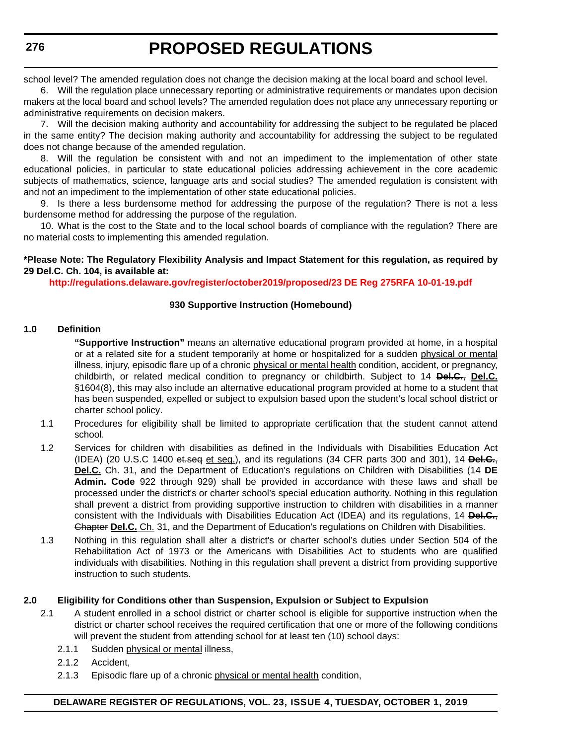school level? The amended regulation does not change the decision making at the local board and school level.

6. Will the regulation place unnecessary reporting or administrative requirements or mandates upon decision makers at the local board and school levels? The amended regulation does not place any unnecessary reporting or administrative requirements on decision makers.

7. Will the decision making authority and accountability for addressing the subject to be regulated be placed in the same entity? The decision making authority and accountability for addressing the subject to be regulated does not change because of the amended regulation.

8. Will the regulation be consistent with and not an impediment to the implementation of other state educational policies, in particular to state educational policies addressing achievement in the core academic subjects of mathematics, science, language arts and social studies? The amended regulation is consistent with and not an impediment to the implementation of other state educational policies.

9. Is there a less burdensome method for addressing the purpose of the regulation? There is not a less burdensome method for addressing the purpose of the regulation.

10. What is the cost to the State and to the local school boards of compliance with the regulation? There are no material costs to implementing this amended regulation.

#### **\*Please Note: The Regulatory Flexibility Analysis and Impact Statement for this regulation, as required by 29 Del.C. Ch. 104, is available at:**

**<http://regulations.delaware.gov/register/october2019/proposed/23 DE Reg 275RFA 10-01-19.pdf>**

#### **930 Supportive Instruction (Homebound)**

#### **1.0 Definition**

**"Supportive Instruction"** means an alternative educational program provided at home, in a hospital or at a related site for a student temporarily at home or hospitalized for a sudden physical or mental illness, injury, episodic flare up of a chronic physical or mental health condition, accident, or pregnancy, childbirth, or related medical condition to pregnancy or childbirth. Subject to 14 **Del.C.**, **Del.C.** §1604(8), this may also include an alternative educational program provided at home to a student that has been suspended, expelled or subject to expulsion based upon the student's local school district or charter school policy.

- 1.1 Procedures for eligibility shall be limited to appropriate certification that the student cannot attend school.
- 1.2 Services for children with disabilities as defined in the Individuals with Disabilities Education Act (IDEA) (20 U.S.C 1400 et.seq et seq.), and its regulations (34 CFR parts 300 and 301), 14 **Del.C.**, **Del.C.** Ch. 31, and the Department of Education's regulations on Children with Disabilities (14 **DE Admin. Code** 922 through 929) shall be provided in accordance with these laws and shall be processed under the district's or charter school's special education authority. Nothing in this regulation shall prevent a district from providing supportive instruction to children with disabilities in a manner consistent with the Individuals with Disabilities Education Act (IDEA) and its regulations, 14 **Del.C.**, Chapter **Del.C.** Ch. 31, and the Department of Education's regulations on Children with Disabilities.
- 1.3 Nothing in this regulation shall alter a district's or charter school's duties under Section 504 of the Rehabilitation Act of 1973 or the Americans with Disabilities Act to students who are qualified individuals with disabilities. Nothing in this regulation shall prevent a district from providing supportive instruction to such students.

#### **2.0 Eligibility for Conditions other than Suspension, Expulsion or Subject to Expulsion**

- 2.1 A student enrolled in a school district or charter school is eligible for supportive instruction when the district or charter school receives the required certification that one or more of the following conditions will prevent the student from attending school for at least ten (10) school days:
	- 2.1.1 Sudden physical or mental illness,
	- 2.1.2 Accident,
	- 2.1.3 Episodic flare up of a chronic physical or mental health condition,

#### **DELAWARE REGISTER OF REGULATIONS, VOL. 23, ISSUE 4, TUESDAY, OCTOBER 1, 2019**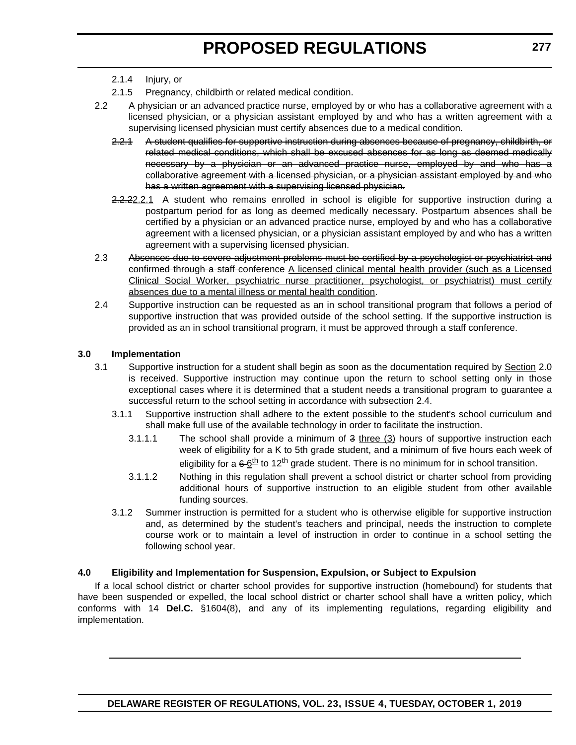- 2.1.4 Injury, or
- 2.1.5 Pregnancy, childbirth or related medical condition.
- 2.2 A physician or an advanced practice nurse, employed by or who has a collaborative agreement with a licensed physician, or a physician assistant employed by and who has a written agreement with a supervising licensed physician must certify absences due to a medical condition.
	- 2.2.1 A student qualifies for supportive instruction during absences because of pregnancy, childbirth, or related medical conditions, which shall be excused absences for as long as deemed medically necessary by a physician or an advanced practice nurse, employed by and who has a collaborative agreement with a licensed physician, or a physician assistant employed by and who has a written agreement with a supervising licensed physician.
	- 2.2.22.2.1 A student who remains enrolled in school is eligible for supportive instruction during a postpartum period for as long as deemed medically necessary. Postpartum absences shall be certified by a physician or an advanced practice nurse, employed by and who has a collaborative agreement with a licensed physician, or a physician assistant employed by and who has a written agreement with a supervising licensed physician.
- 2.3 Absences due to severe adjustment problems must be certified by a psychologist or psychiatrist and confirmed through a staff conference A licensed clinical mental health provider (such as a Licensed Clinical Social Worker, psychiatric nurse practitioner, psychologist, or psychiatrist) must certify absences due to a mental illness or mental health condition.
- 2.4 Supportive instruction can be requested as an in school transitional program that follows a period of supportive instruction that was provided outside of the school setting. If the supportive instruction is provided as an in school transitional program, it must be approved through a staff conference.

#### **3.0 Implementation**

- 3.1 Supportive instruction for a student shall begin as soon as the documentation required by Section 2.0 is received. Supportive instruction may continue upon the return to school setting only in those exceptional cases where it is determined that a student needs a transitional program to guarantee a successful return to the school setting in accordance with subsection 2.4.
	- 3.1.1 Supportive instruction shall adhere to the extent possible to the student's school curriculum and shall make full use of the available technology in order to facilitate the instruction.
		- 3.1.1.1 The school shall provide a minimum of 3 three (3) hours of supportive instruction each week of eligibility for a K to 5th grade student, and a minimum of five hours each week of eligibility for a  $66<sup>th</sup>$  to 12<sup>th</sup> grade student. There is no minimum for in school transition.
		- 3.1.1.2 Nothing in this regulation shall prevent a school district or charter school from providing additional hours of supportive instruction to an eligible student from other available funding sources.
	- 3.1.2 Summer instruction is permitted for a student who is otherwise eligible for supportive instruction and, as determined by the student's teachers and principal, needs the instruction to complete course work or to maintain a level of instruction in order to continue in a school setting the following school year.

#### **4.0 Eligibility and Implementation for Suspension, Expulsion, or Subject to Expulsion**

If a local school district or charter school provides for supportive instruction (homebound) for students that have been suspended or expelled, the local school district or charter school shall have a written policy, which conforms with 14 **Del.C.** §1604(8), and any of its implementing regulations, regarding eligibility and implementation.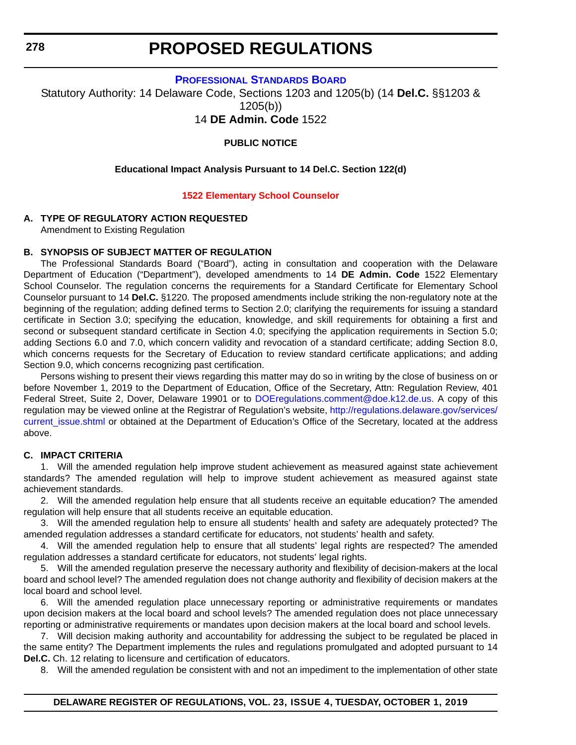<span id="page-23-0"></span>**278**

# **PROPOSED REGULATIONS**

**[PROFESSIONAL STANDARDS BOARD](https://www.doe.k12.de.us/domain/172)**

Statutory Authority: 14 Delaware Code, Sections 1203 and 1205(b) (14 **Del.C.** §§1203 & 1205(b))

14 **DE Admin. Code** 1522

**PUBLIC NOTICE**

#### **Educational Impact Analysis Pursuant to 14 Del.C. Section 122(d)**

#### **[1522 Elementary School Counselor](#page-3-0)**

#### **A. TYPE OF REGULATORY ACTION REQUESTED**

Amendment to Existing Regulation

#### **B. SYNOPSIS OF SUBJECT MATTER OF REGULATION**

The Professional Standards Board ("Board"), acting in consultation and cooperation with the Delaware Department of Education ("Department"), developed amendments to 14 **DE Admin. Code** 1522 Elementary School Counselor. The regulation concerns the requirements for a Standard Certificate for Elementary School Counselor pursuant to 14 **Del.C.** §1220. The proposed amendments include striking the non-regulatory note at the beginning of the regulation; adding defined terms to Section 2.0; clarifying the requirements for issuing a standard certificate in Section 3.0; specifying the education, knowledge, and skill requirements for obtaining a first and second or subsequent standard certificate in Section 4.0; specifying the application requirements in Section 5.0; adding Sections 6.0 and 7.0, which concern validity and revocation of a standard certificate; adding Section 8.0, which concerns requests for the Secretary of Education to review standard certificate applications; and adding Section 9.0, which concerns recognizing past certification.

Persons wishing to present their views regarding this matter may do so in writing by the close of business on or before November 1, 2019 to the Department of Education, Office of the Secretary, Attn: Regulation Review, 401 Federal Street, Suite 2, Dover, Delaware 19901 or to [DOEregulations.comment@doe.k12.de.us.](mailto:DOEregulations.comment@doe.k12.de.us) A copy of this regulation may be viewed online at the Registrar of Regulation's website, [http://regulations.delaware.gov/services/](http://regulations.delaware.gov/services/current_issue.shtml) current issue.shtml or obtained at the Department of Education's Office of the Secretary, located at the address above.

#### **C. IMPACT CRITERIA**

1. Will the amended regulation help improve student achievement as measured against state achievement standards? The amended regulation will help to improve student achievement as measured against state achievement standards.

2. Will the amended regulation help ensure that all students receive an equitable education? The amended regulation will help ensure that all students receive an equitable education.

3. Will the amended regulation help to ensure all students' health and safety are adequately protected? The amended regulation addresses a standard certificate for educators, not students' health and safety.

4. Will the amended regulation help to ensure that all students' legal rights are respected? The amended regulation addresses a standard certificate for educators, not students' legal rights.

5. Will the amended regulation preserve the necessary authority and flexibility of decision-makers at the local board and school level? The amended regulation does not change authority and flexibility of decision makers at the local board and school level.

6. Will the amended regulation place unnecessary reporting or administrative requirements or mandates upon decision makers at the local board and school levels? The amended regulation does not place unnecessary reporting or administrative requirements or mandates upon decision makers at the local board and school levels.

7. Will decision making authority and accountability for addressing the subject to be regulated be placed in the same entity? The Department implements the rules and regulations promulgated and adopted pursuant to 14 **Del.C.** Ch. 12 relating to licensure and certification of educators.

8. Will the amended regulation be consistent with and not an impediment to the implementation of other state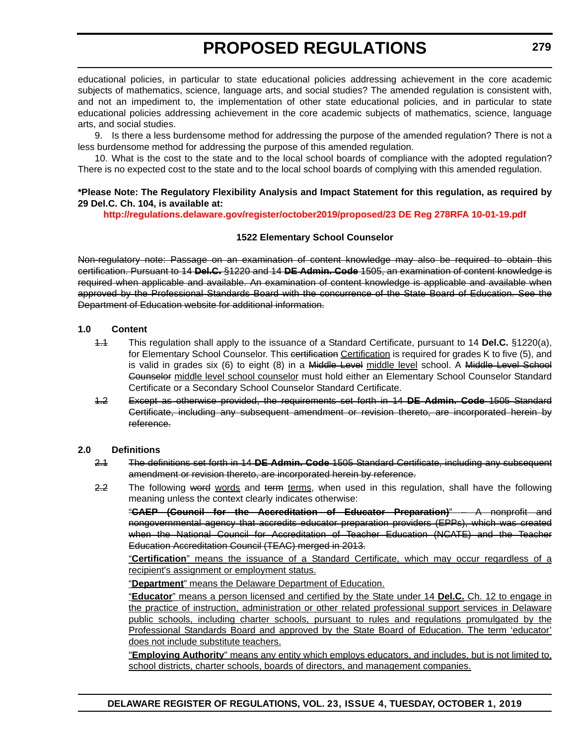educational policies, in particular to state educational policies addressing achievement in the core academic subjects of mathematics, science, language arts, and social studies? The amended regulation is consistent with, and not an impediment to, the implementation of other state educational policies, and in particular to state educational policies addressing achievement in the core academic subjects of mathematics, science, language arts, and social studies.

9. Is there a less burdensome method for addressing the purpose of the amended regulation? There is not a less burdensome method for addressing the purpose of this amended regulation.

10. What is the cost to the state and to the local school boards of compliance with the adopted regulation? There is no expected cost to the state and to the local school boards of complying with this amended regulation.

#### **\*Please Note: The Regulatory Flexibility Analysis and Impact Statement for this regulation, as required by 29 Del.C. Ch. 104, is available at:**

#### **<http://regulations.delaware.gov/register/october2019/proposed/23 DE Reg 278RFA 10-01-19.pdf>**

#### **1522 Elementary School Counselor**

Non-regulatory note: Passage on an examination of content knowledge may also be required to obtain this certification. Pursuant to 14 **Del.C.** §1220 and 14 **DE Admin. Code** 1505, an examination of content knowledge is required when applicable and available. An examination of content knowledge is applicable and available when approved by the Professional Standards Board with the concurrence of the State Board of Education. See the Department of Education website for additional information.

#### **1.0 Content**

- 1.1 This regulation shall apply to the issuance of a Standard Certificate, pursuant to 14 **Del.C.** §1220(a), for Elementary School Counselor. This certification Certification is required for grades K to five (5), and is valid in grades six (6) to eight (8) in a Middle Level middle level school. A Middle Level School Counselor middle level school counselor must hold either an Elementary School Counselor Standard Certificate or a Secondary School Counselor Standard Certificate.
- 1.2 Except as otherwise provided, the requirements set forth in 14 **DE Admin. Code** 1505 Standard Certificate, including any subsequent amendment or revision thereto, are incorporated herein by reference.

#### **2.0 Definitions**

- 2.1 The definitions set forth in 14 **DE Admin. Code** 1505 Standard Certificate, including any subsequent amendment or revision thereto, are incorporated herein by reference.
- 2.2 The following word words and term terms, when used in this regulation, shall have the following meaning unless the context clearly indicates otherwise:

"**CAEP (Council for the Accreditation of Educator Preparation)**" – A nonprofit and nongovernmental agency that accredits educator preparation providers (EPPs), which was created when the National Council for Accreditation of Teacher Education (NCATE) and the Teacher Education Accreditation Council (TEAC) merged in 2013.

"**Certification**" means the issuance of a Standard Certificate, which may occur regardless of a recipient's assignment or employment status.

"**Department**" means the Delaware Department of Education.

"**Educator**" means a person licensed and certified by the State under 14 **Del.C.** Ch. 12 to engage in the practice of instruction, administration or other related professional support services in Delaware public schools, including charter schools, pursuant to rules and regulations promulgated by the Professional Standards Board and approved by the State Board of Education. The term 'educator' does not include substitute teachers.

"**Employing Authority**" means any entity which employs educators, and includes, but is not limited to, school districts, charter schools, boards of directors, and management companies.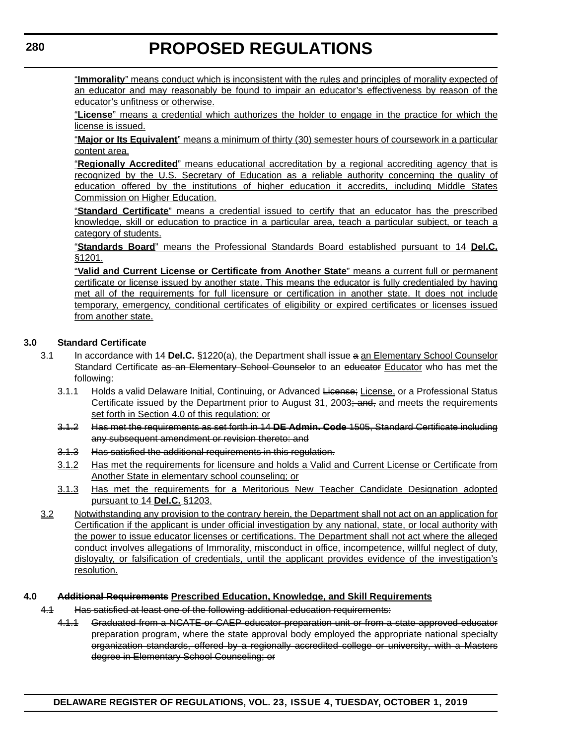"**Immorality**" means conduct which is inconsistent with the rules and principles of morality expected of an educator and may reasonably be found to impair an educator's effectiveness by reason of the educator's unfitness or otherwise.

"**License**" means a credential which authorizes the holder to engage in the practice for which the license is issued.

"**Major or Its Equivalent**" means a minimum of thirty (30) semester hours of coursework in a particular content area.

"**Regionally Accredited**" means educational accreditation by a regional accrediting agency that is recognized by the U.S. Secretary of Education as a reliable authority concerning the quality of education offered by the institutions of higher education it accredits, including Middle States Commission on Higher Education.

"**Standard Certificate**" means a credential issued to certify that an educator has the prescribed knowledge, skill or education to practice in a particular area, teach a particular subject, or teach a category of students.

"**Standards Board**" means the Professional Standards Board established pursuant to 14 **Del.C.** §1201.

"**Valid and Current License or Certificate from Another State**" means a current full or permanent certificate or license issued by another state. This means the educator is fully credentialed by having met all of the requirements for full licensure or certification in another state. It does not include temporary, emergency, conditional certificates of eligibility or expired certificates or licenses issued from another state.

#### **3.0 Standard Certificate**

- 3.1 In accordance with 14 **Del.C.** §1220(a), the Department shall issue a an Elementary School Counselor Standard Certificate as an Elementary School Counselor to an educator Educator who has met the following:
	- 3.1.1 Holds a valid Delaware Initial, Continuing, or Advanced License; License, or a Professional Status Certificate issued by the Department prior to August 31, 2003; and, and meets the requirements set forth in Section 4.0 of this regulation; or
	- 3.1.2 Has met the requirements as set forth in 14 **DE Admin. Code** 1505, Standard Certificate including any subsequent amendment or revision thereto: and
	- 3.1.3 Has satisfied the additional requirements in this regulation.
	- 3.1.2 Has met the requirements for licensure and holds a Valid and Current License or Certificate from Another State in elementary school counseling; or
	- 3.1.3 Has met the requirements for a Meritorious New Teacher Candidate Designation adopted pursuant to 14 **Del.C.** §1203.
- 3.2 Notwithstanding any provision to the contrary herein, the Department shall not act on an application for Certification if the applicant is under official investigation by any national, state, or local authority with the power to issue educator licenses or certifications. The Department shall not act where the alleged conduct involves allegations of Immorality, misconduct in office, incompetence, willful neglect of duty, disloyalty, or falsification of credentials, until the applicant provides evidence of the investigation's resolution.

#### **4.0 Additional Requirements Prescribed Education, Knowledge, and Skill Requirements**

- 4.1 Has satisfied at least one of the following additional education requirements:
	- 4.1.1 Graduated from a NCATE or CAEP educator preparation unit or from a state approved educator preparation program, where the state approval body employed the appropriate national specialty organization standards, offered by a regionally accredited college or university, with a Masters degree in Elementary School Counseling; or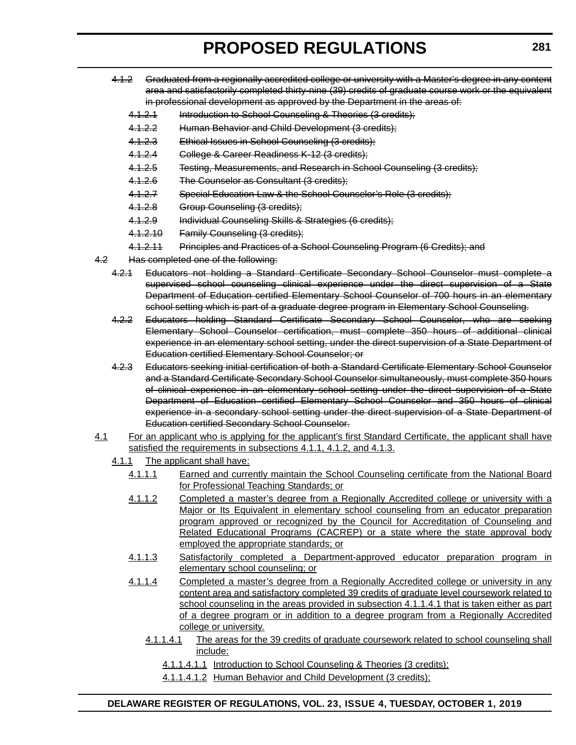- 4.1.2 Graduated from a regionally accredited college or university with a Master's degree in any content area and satisfactorily completed thirty-nine (39) credits of graduate course work or the equivalent in professional development as approved by the Department in the areas of:
	- 4.1.2.1 Introduction to School Counseling & Theories (3 credits);
	- 4.1.2.2 Human Behavior and Child Development (3 credits);
	- 4.1.2.3 Ethical Issues in School Counseling (3 credits);
	- 4.1.2.4 College & Career Readiness K-12 (3 credits);
	- 4.1.2.5 Testing, Measurements, and Research in School Counseling (3 credits);
	- 4.1.2.6 The Counselor as Consultant (3 credits);
	- 4.1.2.7 Special Education Law & the School Counselor's Role (3 credits);
	- 4.1.2.8 Group Counseling (3 credits);
	- 4.1.2.9 Individual Counseling Skills & Strategies (6 credits);
	- 4.1.2.10 Family Counseling (3 credits);
	- 4.1.2.11 Principles and Practices of a School Counseling Program (6 Credits); and
- 4.2 Has completed one of the following:
	- 4.2.1 Educators not holding a Standard Certificate Secondary School Counselor must complete a supervised school counseling clinical experience under the direct supervision of a State Department of Education certified Elementary School Counselor of 700 hours in an elementary school setting which is part of a graduate degree program in Elementary School Counseling.
	- 4.2.2 Educators holding Standard Certificate Secondary School Counselor, who are seeking Elementary School Counselor certification, must complete 350 hours of additional clinical experience in an elementary school setting, under the direct supervision of a State Department of Education certified Elementary School Counselor; or
	- 4.2.3 Educators seeking initial certification of both a Standard Certificate Elementary School Counselor and a Standard Certificate Secondary School Counselor simultaneously, must complete 350 hours of clinical experience in an elementary school setting under the direct supervision of a State Department of Education certified Elementary School Counselor and 350 hours of clinical experience in a secondary school setting under the direct supervision of a State Department of Education certified Secondary School Counselor.
- 4.1 For an applicant who is applying for the applicant's first Standard Certificate, the applicant shall have satisfied the requirements in subsections 4.1.1, 4.1.2, and 4.1.3.
	- 4.1.1 The applicant shall have:
		- 4.1.1.1 Earned and currently maintain the School Counseling certificate from the National Board for Professional Teaching Standards; or
		- 4.1.1.2 Completed a master's degree from a Regionally Accredited college or university with a Major or Its Equivalent in elementary school counseling from an educator preparation program approved or recognized by the Council for Accreditation of Counseling and Related Educational Programs (CACREP) or a state where the state approval body employed the appropriate standards; or
		- 4.1.1.3 Satisfactorily completed a Department-approved educator preparation program in elementary school counseling; or
		- 4.1.1.4 Completed a master's degree from a Regionally Accredited college or university in any content area and satisfactory completed 39 credits of graduate level coursework related to school counseling in the areas provided in subsection 4.1.1.4.1 that is taken either as part of a degree program or in addition to a degree program from a Regionally Accredited college or university.
			- 4.1.1.4.1 The areas for the 39 credits of graduate coursework related to school counseling shall include:
				- 4.1.1.4.1.1 Introduction to School Counseling & Theories (3 credits);
				- 4.1.1.4.1.2 Human Behavior and Child Development (3 credits);

### **DELAWARE REGISTER OF REGULATIONS, VOL. 23, ISSUE 4, TUESDAY, OCTOBER 1, 2019**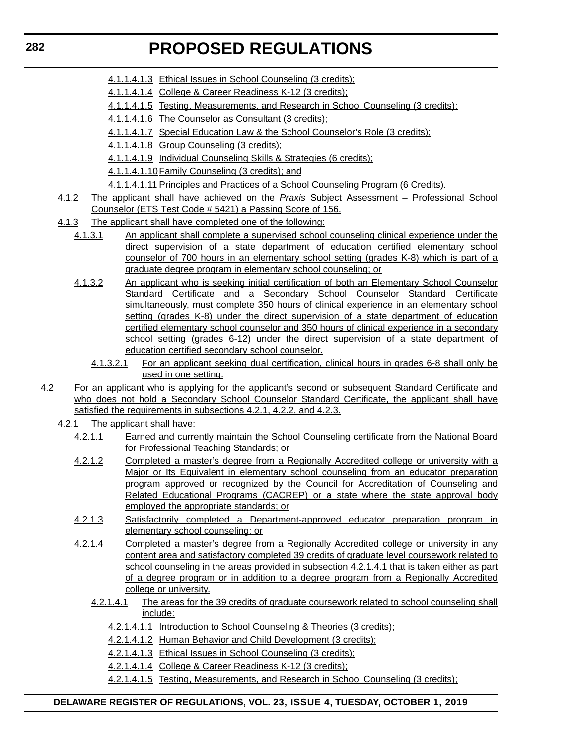- 4.1.1.4.1.3 Ethical Issues in School Counseling (3 credits);
- 4.1.1.4.1.4 College & Career Readiness K-12 (3 credits);
- 4.1.1.4.1.5 Testing, Measurements, and Research in School Counseling (3 credits);
- 4.1.1.4.1.6 The Counselor as Consultant (3 credits);
- 4.1.1.4.1.7 Special Education Law & the School Counselor's Role (3 credits);
- 4.1.1.4.1.8 Group Counseling (3 credits);
- 4.1.1.4.1.9 Individual Counseling Skills & Strategies (6 credits);
- 4.1.1.4.1.10Family Counseling (3 credits); and
- 4.1.1.4.1.11 Principles and Practices of a School Counseling Program (6 Credits).
- 4.1.2 The applicant shall have achieved on the *Praxis* Subject Assessment Professional School Counselor (ETS Test Code # 5421) a Passing Score of 156.
- 4.1.3 The applicant shall have completed one of the following:
	- 4.1.3.1 An applicant shall complete a supervised school counseling clinical experience under the direct supervision of a state department of education certified elementary school counselor of 700 hours in an elementary school setting (grades K-8) which is part of a graduate degree program in elementary school counseling; or
	- 4.1.3.2 An applicant who is seeking initial certification of both an Elementary School Counselor Standard Certificate and a Secondary School Counselor Standard Certificate simultaneously, must complete 350 hours of clinical experience in an elementary school setting (grades K-8) under the direct supervision of a state department of education certified elementary school counselor and 350 hours of clinical experience in a secondary school setting (grades 6-12) under the direct supervision of a state department of education certified secondary school counselor.
		- 4.1.3.2.1 For an applicant seeking dual certification, clinical hours in grades 6-8 shall only be used in one setting.
- 4.2 For an applicant who is applying for the applicant's second or subsequent Standard Certificate and who does not hold a Secondary School Counselor Standard Certificate, the applicant shall have satisfied the requirements in subsections 4.2.1, 4.2.2, and 4.2.3.
	- 4.2.1 The applicant shall have:
		- 4.2.1.1 Earned and currently maintain the School Counseling certificate from the National Board for Professional Teaching Standards; or
		- 4.2.1.2 Completed a master's degree from a Regionally Accredited college or university with a Major or Its Equivalent in elementary school counseling from an educator preparation program approved or recognized by the Council for Accreditation of Counseling and Related Educational Programs (CACREP) or a state where the state approval body employed the appropriate standards; or
		- 4.2.1.3 Satisfactorily completed a Department-approved educator preparation program in elementary school counseling; or
		- 4.2.1.4 Completed a master's degree from a Regionally Accredited college or university in any content area and satisfactory completed 39 credits of graduate level coursework related to school counseling in the areas provided in subsection 4.2.1.4.1 that is taken either as part of a degree program or in addition to a degree program from a Regionally Accredited college or university.
			- 4.2.1.4.1 The areas for the 39 credits of graduate coursework related to school counseling shall include:
				- 4.2.1.4.1.1 Introduction to School Counseling & Theories (3 credits);
				- 4.2.1.4.1.2 Human Behavior and Child Development (3 credits);
				- 4.2.1.4.1.3 Ethical Issues in School Counseling (3 credits);
				- 4.2.1.4.1.4 College & Career Readiness K-12 (3 credits);
				- 4.2.1.4.1.5 Testing, Measurements, and Research in School Counseling (3 credits);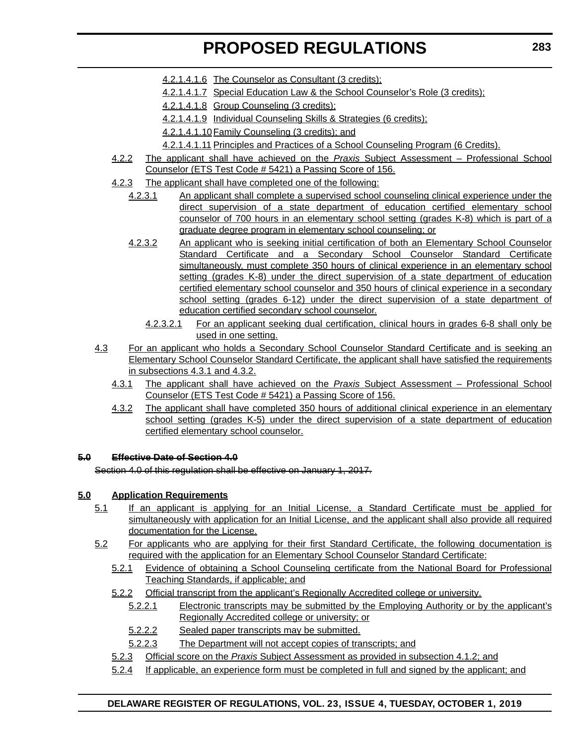- 4.2.1.4.1.6 The Counselor as Consultant (3 credits);
- 4.2.1.4.1.7 Special Education Law & the School Counselor's Role (3 credits);
- 4.2.1.4.1.8 Group Counseling (3 credits);
- 4.2.1.4.1.9 Individual Counseling Skills & Strategies (6 credits);

4.2.1.4.1.10Family Counseling (3 credits); and

- 4.2.1.4.1.11 Principles and Practices of a School Counseling Program (6 Credits).
- 4.2.2 The applicant shall have achieved on the *Praxis* Subject Assessment Professional School Counselor (ETS Test Code # 5421) a Passing Score of 156.
- 4.2.3 The applicant shall have completed one of the following:
	- 4.2.3.1 An applicant shall complete a supervised school counseling clinical experience under the direct supervision of a state department of education certified elementary school counselor of 700 hours in an elementary school setting (grades K-8) which is part of a graduate degree program in elementary school counseling; or
		- 4.2.3.2 An applicant who is seeking initial certification of both an Elementary School Counselor Standard Certificate and a Secondary School Counselor Standard Certificate simultaneously, must complete 350 hours of clinical experience in an elementary school setting (grades K-8) under the direct supervision of a state department of education certified elementary school counselor and 350 hours of clinical experience in a secondary school setting (grades 6-12) under the direct supervision of a state department of education certified secondary school counselor.
			- 4.2.3.2.1 For an applicant seeking dual certification, clinical hours in grades 6-8 shall only be used in one setting.
- 4.3 For an applicant who holds a Secondary School Counselor Standard Certificate and is seeking an Elementary School Counselor Standard Certificate, the applicant shall have satisfied the requirements in subsections 4.3.1 and 4.3.2.
	- 4.3.1 The applicant shall have achieved on the *Praxis* Subject Assessment Professional School Counselor (ETS Test Code # 5421) a Passing Score of 156.
	- 4.3.2 The applicant shall have completed 350 hours of additional clinical experience in an elementary school setting (grades K-5) under the direct supervision of a state department of education certified elementary school counselor.

### **5.0 Effective Date of Section 4.0**

Section 4.0 of this regulation shall be effective on January 1, 2017.

### **5.0 Application Requirements**

- 5.1 If an applicant is applying for an Initial License, a Standard Certificate must be applied for simultaneously with application for an Initial License, and the applicant shall also provide all required documentation for the License.
- 5.2 For applicants who are applying for their first Standard Certificate, the following documentation is required with the application for an Elementary School Counselor Standard Certificate:
	- 5.2.1 Evidence of obtaining a School Counseling certificate from the National Board for Professional Teaching Standards, if applicable; and
	- 5.2.2 Official transcript from the applicant's Regionally Accredited college or university.
		- 5.2.2.1 Electronic transcripts may be submitted by the Employing Authority or by the applicant's Regionally Accredited college or university; or
		- 5.2.2.2 Sealed paper transcripts may be submitted.
		- 5.2.2.3 The Department will not accept copies of transcripts; and
	- 5.2.3 Official score on the *Praxis* Subject Assessment as provided in subsection 4.1.2; and
	- 5.2.4 If applicable, an experience form must be completed in full and signed by the applicant; and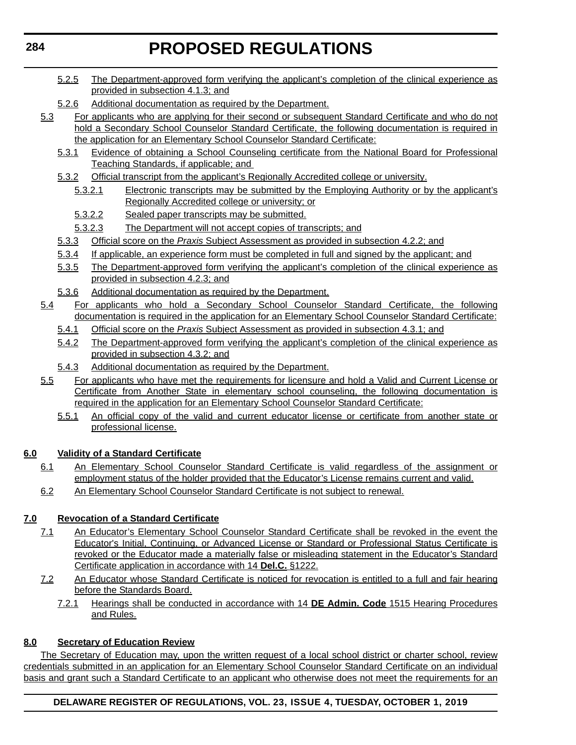- 5.2.5 The Department-approved form verifying the applicant's completion of the clinical experience as provided in subsection 4.1.3; and
- 5.2.6 Additional documentation as required by the Department.
- 5.3 For applicants who are applying for their second or subsequent Standard Certificate and who do not hold a Secondary School Counselor Standard Certificate, the following documentation is required in the application for an Elementary School Counselor Standard Certificate:
	- 5.3.1 Evidence of obtaining a School Counseling certificate from the National Board for Professional Teaching Standards, if applicable; and
	- 5.3.2 Official transcript from the applicant's Regionally Accredited college or university.
		- 5.3.2.1 Electronic transcripts may be submitted by the Employing Authority or by the applicant's Regionally Accredited college or university; or
		- 5.3.2.2 Sealed paper transcripts may be submitted.
		- 5.3.2.3 The Department will not accept copies of transcripts; and
	- 5.3.3 Official score on the *Praxis* Subject Assessment as provided in subsection 4.2.2; and
	- 5.3.4 If applicable, an experience form must be completed in full and signed by the applicant; and
	- 5.3.5 The Department-approved form verifying the applicant's completion of the clinical experience as provided in subsection 4.2.3; and
	- 5.3.6 Additional documentation as required by the Department.
- 5.4 For applicants who hold a Secondary School Counselor Standard Certificate, the following documentation is required in the application for an Elementary School Counselor Standard Certificate:
	- 5.4.1 Official score on the *Praxis* Subject Assessment as provided in subsection 4.3.1; and
	- 5.4.2 The Department-approved form verifying the applicant's completion of the clinical experience as provided in subsection 4.3.2; and
	- 5.4.3 Additional documentation as required by the Department.
- 5.5 For applicants who have met the requirements for licensure and hold a Valid and Current License or Certificate from Another State in elementary school counseling, the following documentation is required in the application for an Elementary School Counselor Standard Certificate:
	- 5.5.1 An official copy of the valid and current educator license or certificate from another state or professional license.

# **6.0 Validity of a Standard Certificate**

- 6.1 An Elementary School Counselor Standard Certificate is valid regardless of the assignment or employment status of the holder provided that the Educator's License remains current and valid.
- 6.2 An Elementary School Counselor Standard Certificate is not subject to renewal.

# **7.0 Revocation of a Standard Certificate**

- 7.1 An Educator's Elementary School Counselor Standard Certificate shall be revoked in the event the Educator's Initial, Continuing, or Advanced License or Standard or Professional Status Certificate is revoked or the Educator made a materially false or misleading statement in the Educator's Standard Certificate application in accordance with 14 **Del.C.** §1222.
- 7.2 An Educator whose Standard Certificate is noticed for revocation is entitled to a full and fair hearing before the Standards Board.
	- 7.2.1 Hearings shall be conducted in accordance with 14 **DE Admin. Code** 1515 Hearing Procedures and Rules.

### **8.0 Secretary of Education Review**

The Secretary of Education may, upon the written request of a local school district or charter school, review credentials submitted in an application for an Elementary School Counselor Standard Certificate on an individual basis and grant such a Standard Certificate to an applicant who otherwise does not meet the requirements for an

# **DELAWARE REGISTER OF REGULATIONS, VOL. 23, ISSUE 4, TUESDAY, OCTOBER 1, 2019**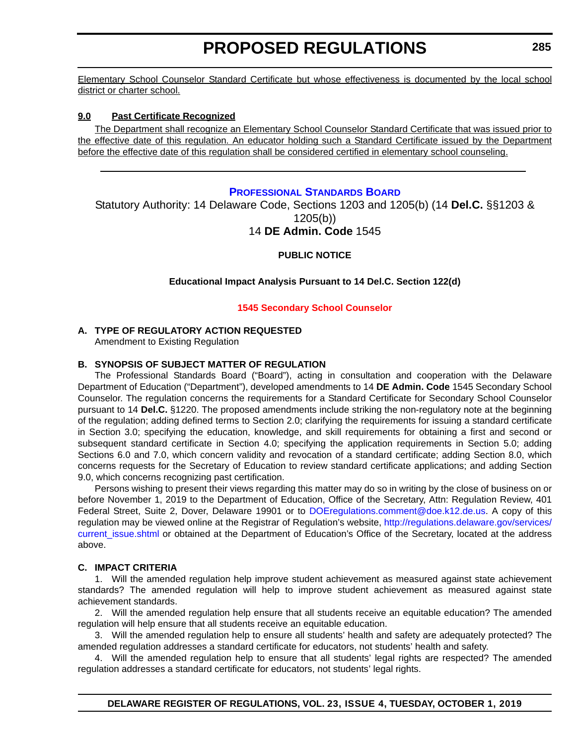<span id="page-30-0"></span>Elementary School Counselor Standard Certificate but whose effectiveness is documented by the local school district or charter school.

#### **9.0 Past Certificate Recognized**

The Department shall recognize an Elementary School Counselor Standard Certificate that was issued prior to the effective date of this regulation. An educator holding such a Standard Certificate issued by the Department before the effective date of this regulation shall be considered certified in elementary school counseling.

#### **[PROFESSIONAL STANDARDS BOARD](https://www.doe.k12.de.us/domain/172)**

Statutory Authority: 14 Delaware Code, Sections 1203 and 1205(b) (14 **Del.C.** §§1203 & 1205(b))

# 14 **DE Admin. Code** 1545

#### **PUBLIC NOTICE**

#### **Educational Impact Analysis Pursuant to 14 Del.C. Section 122(d)**

#### **[1545 Secondary School Counselor](#page-3-0)**

#### **A. TYPE OF REGULATORY ACTION REQUESTED**

Amendment to Existing Regulation

#### **B. SYNOPSIS OF SUBJECT MATTER OF REGULATION**

The Professional Standards Board ("Board"), acting in consultation and cooperation with the Delaware Department of Education ("Department"), developed amendments to 14 **DE Admin. Code** 1545 Secondary School Counselor. The regulation concerns the requirements for a Standard Certificate for Secondary School Counselor pursuant to 14 **Del.C.** §1220. The proposed amendments include striking the non-regulatory note at the beginning of the regulation; adding defined terms to Section 2.0; clarifying the requirements for issuing a standard certificate in Section 3.0; specifying the education, knowledge, and skill requirements for obtaining a first and second or subsequent standard certificate in Section 4.0; specifying the application requirements in Section 5.0; adding Sections 6.0 and 7.0, which concern validity and revocation of a standard certificate; adding Section 8.0, which concerns requests for the Secretary of Education to review standard certificate applications; and adding Section 9.0, which concerns recognizing past certification.

Persons wishing to present their views regarding this matter may do so in writing by the close of business on or before November 1, 2019 to the Department of Education, Office of the Secretary, Attn: Regulation Review, 401 Federal Street, Suite 2, Dover, Delaware 19901 or to [DOEregulations.comment@doe.k12.de.us](mailto:DOEregulations.comment@doe.k12.de.us). A copy of this regulation may be viewed online at the Registrar of Regulation's website, [http://regulations.delaware.gov/services/](http://regulations.delaware.gov/services/current_issue.shtml) current issue.shtml or obtained at the Department of Education's Office of the Secretary, located at the address above.

#### **C. IMPACT CRITERIA**

1. Will the amended regulation help improve student achievement as measured against state achievement standards? The amended regulation will help to improve student achievement as measured against state achievement standards.

2. Will the amended regulation help ensure that all students receive an equitable education? The amended regulation will help ensure that all students receive an equitable education.

3. Will the amended regulation help to ensure all students' health and safety are adequately protected? The amended regulation addresses a standard certificate for educators, not students' health and safety.

4. Will the amended regulation help to ensure that all students' legal rights are respected? The amended regulation addresses a standard certificate for educators, not students' legal rights.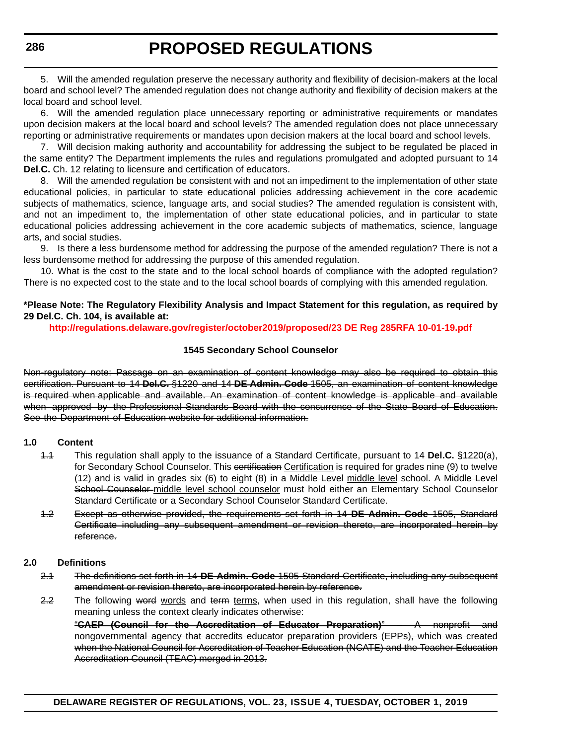5. Will the amended regulation preserve the necessary authority and flexibility of decision-makers at the local board and school level? The amended regulation does not change authority and flexibility of decision makers at the local board and school level.

6. Will the amended regulation place unnecessary reporting or administrative requirements or mandates upon decision makers at the local board and school levels? The amended regulation does not place unnecessary reporting or administrative requirements or mandates upon decision makers at the local board and school levels.

7. Will decision making authority and accountability for addressing the subject to be regulated be placed in the same entity? The Department implements the rules and regulations promulgated and adopted pursuant to 14 **Del.C.** Ch. 12 relating to licensure and certification of educators.

8. Will the amended regulation be consistent with and not an impediment to the implementation of other state educational policies, in particular to state educational policies addressing achievement in the core academic subjects of mathematics, science, language arts, and social studies? The amended regulation is consistent with, and not an impediment to, the implementation of other state educational policies, and in particular to state educational policies addressing achievement in the core academic subjects of mathematics, science, language arts, and social studies.

9. Is there a less burdensome method for addressing the purpose of the amended regulation? There is not a less burdensome method for addressing the purpose of this amended regulation.

10. What is the cost to the state and to the local school boards of compliance with the adopted regulation? There is no expected cost to the state and to the local school boards of complying with this amended regulation.

#### **\*Please Note: The Regulatory Flexibility Analysis and Impact Statement for this regulation, as required by 29 Del.C. Ch. 104, is available at:**

**<http://regulations.delaware.gov/register/october2019/proposed/23 DE Reg 285RFA 10-01-19.pdf>**

#### **1545 Secondary School Counselor**

Non-regulatory note: Passage on an examination of content knowledge may also be required to obtain this certification. Pursuant to 14 **Del.C.** §1220 and 14 **DE Admin. Code** 1505, an examination of content knowledge is required when applicable and available. An examination of content knowledge is applicable and available when approved by the Professional Standards Board with the concurrence of the State Board of Education. See the Department of Education website for additional information.

#### **1.0 Content**

- 1.1 This regulation shall apply to the issuance of a Standard Certificate, pursuant to 14 **Del.C.** §1220(a), for Secondary School Counselor. This certification Certification is required for grades nine (9) to twelve (12) and is valid in grades six (6) to eight (8) in a Middle Level middle level school. A Middle Level School Counselor middle level school counselor must hold either an Elementary School Counselor Standard Certificate or a Secondary School Counselor Standard Certificate.
- 1.2 Except as otherwise provided, the requirements set forth in 14 **DE Admin. Code** 1505, Standard Certificate including any subsequent amendment or revision thereto, are incorporated herein by reference.

#### **2.0 Definitions**

- 2.1 The definitions set forth in 14 **DE Admin. Code** 1505 Standard Certificate, including any subsequent amendment or revision thereto, are incorporated herein by reference.
- 2.2 The following word words and term terms, when used in this regulation, shall have the following meaning unless the context clearly indicates otherwise:

"**CAEP (Council for the Accreditation of Educator Preparation)**" – A nonprofit and nongovernmental agency that accredits educator preparation providers (EPPs), which was created when the National Council for Accreditation of Teacher Education (NCATE) and the Teacher Education Accreditation Council (TEAC) merged in 2013.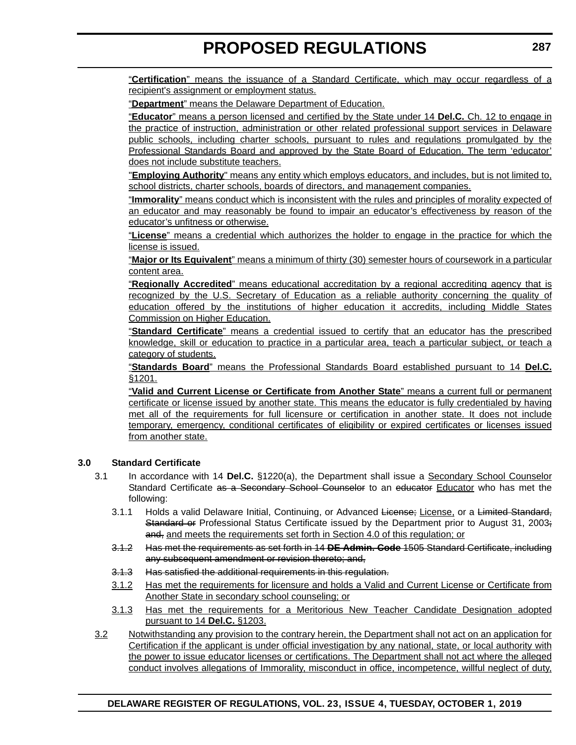"**Certification**" means the issuance of a Standard Certificate, which may occur regardless of a recipient's assignment or employment status.

"**Department**" means the Delaware Department of Education.

"**Educator**" means a person licensed and certified by the State under 14 **Del.C.** Ch. 12 to engage in the practice of instruction, administration or other related professional support services in Delaware public schools, including charter schools, pursuant to rules and regulations promulgated by the Professional Standards Board and approved by the State Board of Education. The term 'educator' does not include substitute teachers.

"**Employing Authority**" means any entity which employs educators, and includes, but is not limited to, school districts, charter schools, boards of directors, and management companies.

"**Immorality**" means conduct which is inconsistent with the rules and principles of morality expected of an educator and may reasonably be found to impair an educator's effectiveness by reason of the educator's unfitness or otherwise.

"**License**" means a credential which authorizes the holder to engage in the practice for which the license is issued.

"**Major or Its Equivalent**" means a minimum of thirty (30) semester hours of coursework in a particular content area.

"**Regionally Accredited**" means educational accreditation by a regional accrediting agency that is recognized by the U.S. Secretary of Education as a reliable authority concerning the quality of education offered by the institutions of higher education it accredits, including Middle States Commission on Higher Education.

"**Standard Certificate**" means a credential issued to certify that an educator has the prescribed knowledge, skill or education to practice in a particular area, teach a particular subject, or teach a category of students.

"**Standards Board**" means the Professional Standards Board established pursuant to 14 **Del.C.** §1201.

"**Valid and Current License or Certificate from Another State**" means a current full or permanent certificate or license issued by another state. This means the educator is fully credentialed by having met all of the requirements for full licensure or certification in another state. It does not include temporary, emergency, conditional certificates of eligibility or expired certificates or licenses issued from another state.

#### **3.0 Standard Certificate**

- 3.1 In accordance with 14 **Del.C.** §1220(a), the Department shall issue a Secondary School Counselor Standard Certificate as a Secondary School Counselor to an educator Educator who has met the following:
	- 3.1.1 Holds a valid Delaware Initial, Continuing, or Advanced License; License, or a Limited Standard, Standard or Professional Status Certificate issued by the Department prior to August 31, 2003; and, and meets the requirements set forth in Section 4.0 of this regulation; or
	- 3.1.2 Has met the requirements as set forth in 14 **DE Admin. Code** 1505 Standard Certificate, including any subsequent amendment or revision thereto; and,
	- 3.1.3 Has satisfied the additional requirements in this regulation.
	- 3.1.2 Has met the requirements for licensure and holds a Valid and Current License or Certificate from Another State in secondary school counseling; or
	- 3.1.3 Has met the requirements for a Meritorious New Teacher Candidate Designation adopted pursuant to 14 **Del.C.** §1203.
- 3.2 Notwithstanding any provision to the contrary herein, the Department shall not act on an application for Certification if the applicant is under official investigation by any national, state, or local authority with the power to issue educator licenses or certifications. The Department shall not act where the alleged conduct involves allegations of Immorality, misconduct in office, incompetence, willful neglect of duty,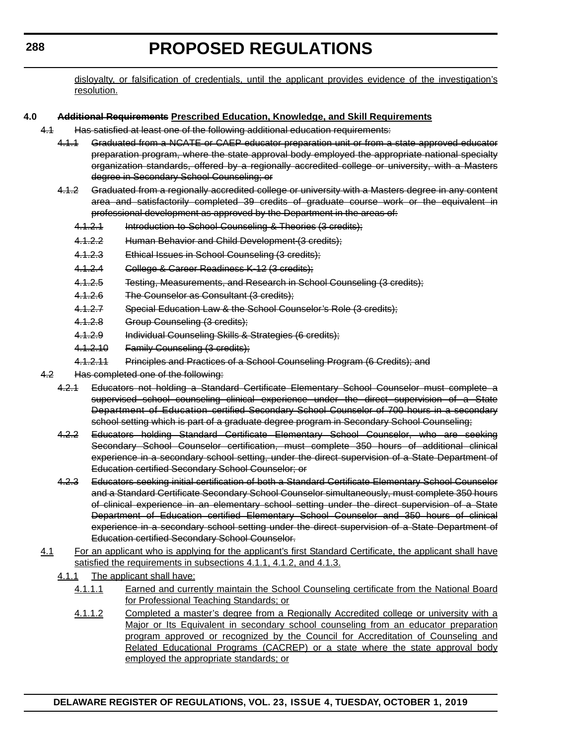disloyalty, or falsification of credentials, until the applicant provides evidence of the investigation's resolution.

#### **4.0 Additional Requirements Prescribed Education, Knowledge, and Skill Requirements**

- 4.1 Has satisfied at least one of the following additional education requirements:
	- 4.1.1 Graduated from a NCATE or CAEP educator preparation unit or from a state approved educator preparation program, where the state approval body employed the appropriate national specialty organization standards, offered by a regionally accredited college or university, with a Masters degree in Secondary School Counseling; or
	- 4.1.2 Graduated from a regionally accredited college or university with a Masters degree in any content area and satisfactorily completed 39 credits of graduate course work or the equivalent in professional development as approved by the Department in the areas of:
		- 4.1.2.1 Introduction to School Counseling & Theories (3 credits);
		- 4.1.2.2 Human Behavior and Child Development (3 credits);
		- 4.1.2.3 Ethical Issues in School Counseling (3 credits);
		- 4.1.2.4 College & Career Readiness K-12 (3 credits);
		- 4.1.2.5 Testing, Measurements, and Research in School Counseling (3 credits);
		- 4.1.2.6 The Counselor as Consultant (3 credits);
		- 4.1.2.7 Special Education Law & the School Counselor's Role (3 credits);
		- 4.1.2.8 Group Counseling (3 credits);
		- 4.1.2.9 Individual Counseling Skills & Strategies (6 credits);
		- 4.1.2.10 Family Counseling (3 credits);
		- 4.1.2.11 Principles and Practices of a School Counseling Program (6 Credits); and
- 4.2 Has completed one of the following:
	- 4.2.1 Educators not holding a Standard Certificate Elementary School Counselor must complete a supervised school counseling clinical experience under the direct supervision of a State Department of Education certified Secondary School Counselor of 700 hours in a secondary school setting which is part of a graduate degree program in Secondary School Counseling;
	- 4.2.2 Educators holding Standard Certificate Elementary School Counselor, who are seeking Secondary School Counselor certification, must complete 350 hours of additional clinical experience in a secondary school setting, under the direct supervision of a State Department of Education certified Secondary School Counselor; or
	- 4.2.3 Educators seeking initial certification of both a Standard Certificate Elementary School Counselor and a Standard Certificate Secondary School Counselor simultaneously, must complete 350 hours of clinical experience in an elementary school setting under the direct supervision of a State Department of Education certified Elementary School Counselor and 350 hours of clinical experience in a secondary school setting under the direct supervision of a State Department of Education certified Secondary School Counselor.
- 4.1 For an applicant who is applying for the applicant's first Standard Certificate, the applicant shall have satisfied the requirements in subsections 4.1.1, 4.1.2, and 4.1.3.
	- 4.1.1 The applicant shall have:
		- 4.1.1.1 Earned and currently maintain the School Counseling certificate from the National Board for Professional Teaching Standards; or
		- 4.1.1.2 Completed a master's degree from a Regionally Accredited college or university with a Major or Its Equivalent in secondary school counseling from an educator preparation program approved or recognized by the Council for Accreditation of Counseling and Related Educational Programs (CACREP) or a state where the state approval body employed the appropriate standards; or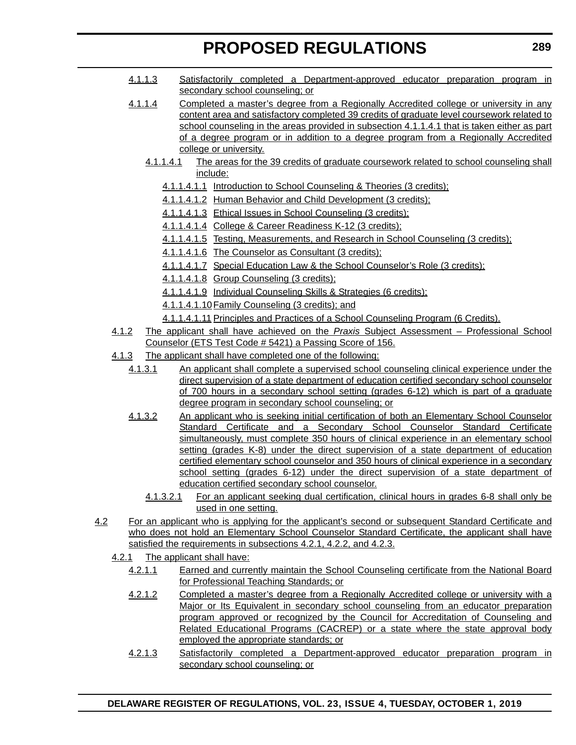- 4.1.1.3 Satisfactorily completed a Department-approved educator preparation program in secondary school counseling; or
- 4.1.1.4 Completed a master's degree from a Regionally Accredited college or university in any content area and satisfactory completed 39 credits of graduate level coursework related to school counseling in the areas provided in subsection 4.1.1.4.1 that is taken either as part of a degree program or in addition to a degree program from a Regionally Accredited college or university.
	- 4.1.1.4.1 The areas for the 39 credits of graduate coursework related to school counseling shall include:
		- 4.1.1.4.1.1 Introduction to School Counseling & Theories (3 credits);
		- 4.1.1.4.1.2 Human Behavior and Child Development (3 credits);
		- 4.1.1.4.1.3 Ethical Issues in School Counseling (3 credits);
		- 4.1.1.4.1.4 College & Career Readiness K-12 (3 credits);
		- 4.1.1.4.1.5 Testing, Measurements, and Research in School Counseling (3 credits);
		- 4.1.1.4.1.6 The Counselor as Consultant (3 credits);
		- 4.1.1.4.1.7 Special Education Law & the School Counselor's Role (3 credits);
		- 4.1.1.4.1.8 Group Counseling (3 credits);
		- 4.1.1.4.1.9 Individual Counseling Skills & Strategies (6 credits);
		- 4.1.1.4.1.10Family Counseling (3 credits); and
		- 4.1.1.4.1.11 Principles and Practices of a School Counseling Program (6 Credits).
- 4.1.2 The applicant shall have achieved on the *Praxis* Subject Assessment Professional School Counselor (ETS Test Code # 5421) a Passing Score of 156.
- 4.1.3 The applicant shall have completed one of the following:
	- 4.1.3.1 An applicant shall complete a supervised school counseling clinical experience under the direct supervision of a state department of education certified secondary school counselor of 700 hours in a secondary school setting (grades 6-12) which is part of a graduate degree program in secondary school counseling; or
	- 4.1.3.2 An applicant who is seeking initial certification of both an Elementary School Counselor Standard Certificate and a Secondary School Counselor Standard Certificate simultaneously, must complete 350 hours of clinical experience in an elementary school setting (grades K-8) under the direct supervision of a state department of education certified elementary school counselor and 350 hours of clinical experience in a secondary school setting (grades 6-12) under the direct supervision of a state department of education certified secondary school counselor.
		- 4.1.3.2.1 For an applicant seeking dual certification, clinical hours in grades 6-8 shall only be used in one setting.
- 4.2 For an applicant who is applying for the applicant's second or subsequent Standard Certificate and who does not hold an Elementary School Counselor Standard Certificate, the applicant shall have satisfied the requirements in subsections 4.2.1, 4.2.2, and 4.2.3.
	- 4.2.1 The applicant shall have:
		- 4.2.1.1 Earned and currently maintain the School Counseling certificate from the National Board for Professional Teaching Standards; or
		- 4.2.1.2 Completed a master's degree from a Regionally Accredited college or university with a Major or Its Equivalent in secondary school counseling from an educator preparation program approved or recognized by the Council for Accreditation of Counseling and Related Educational Programs (CACREP) or a state where the state approval body employed the appropriate standards; or
		- 4.2.1.3 Satisfactorily completed a Department-approved educator preparation program in secondary school counseling; or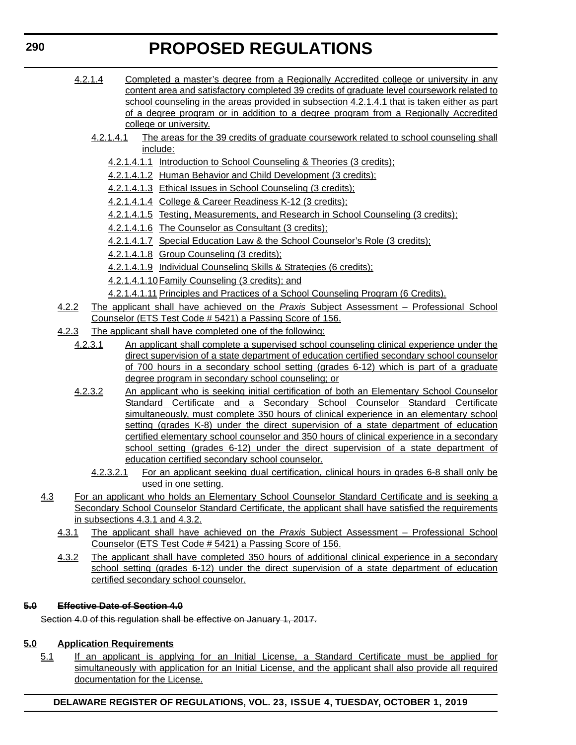- 4.2.1.4 Completed a master's degree from a Regionally Accredited college or university in any content area and satisfactory completed 39 credits of graduate level coursework related to school counseling in the areas provided in subsection 4.2.1.4.1 that is taken either as part of a degree program or in addition to a degree program from a Regionally Accredited college or university.
	- 4.2.1.4.1 The areas for the 39 credits of graduate coursework related to school counseling shall include:
		- 4.2.1.4.1.1 Introduction to School Counseling & Theories (3 credits);
		- 4.2.1.4.1.2 Human Behavior and Child Development (3 credits);
		- 4.2.1.4.1.3 Ethical Issues in School Counseling (3 credits);
		- 4.2.1.4.1.4 College & Career Readiness K-12 (3 credits);
		- 4.2.1.4.1.5 Testing, Measurements, and Research in School Counseling (3 credits);
		- 4.2.1.4.1.6 The Counselor as Consultant (3 credits);
		- 4.2.1.4.1.7 Special Education Law & the School Counselor's Role (3 credits);
		- 4.2.1.4.1.8 Group Counseling (3 credits);
		- 4.2.1.4.1.9 Individual Counseling Skills & Strategies (6 credits);
		- 4.2.1.4.1.10Family Counseling (3 credits); and
		- 4.2.1.4.1.11 Principles and Practices of a School Counseling Program (6 Credits).
- 4.2.2 The applicant shall have achieved on the *Praxis* Subject Assessment Professional School Counselor (ETS Test Code # 5421) a Passing Score of 156.
- 4.2.3 The applicant shall have completed one of the following:
	- 4.2.3.1 An applicant shall complete a supervised school counseling clinical experience under the direct supervision of a state department of education certified secondary school counselor of 700 hours in a secondary school setting (grades 6-12) which is part of a graduate degree program in secondary school counseling; or
	- 4.2.3.2 An applicant who is seeking initial certification of both an Elementary School Counselor Standard Certificate and a Secondary School Counselor Standard Certificate simultaneously, must complete 350 hours of clinical experience in an elementary school setting (grades K-8) under the direct supervision of a state department of education certified elementary school counselor and 350 hours of clinical experience in a secondary school setting (grades 6-12) under the direct supervision of a state department of education certified secondary school counselor.
		- 4.2.3.2.1 For an applicant seeking dual certification, clinical hours in grades 6-8 shall only be used in one setting.
- 4.3 For an applicant who holds an Elementary School Counselor Standard Certificate and is seeking a Secondary School Counselor Standard Certificate, the applicant shall have satisfied the requirements in subsections 4.3.1 and 4.3.2.
	- 4.3.1 The applicant shall have achieved on the *Praxis* Subject Assessment Professional School Counselor (ETS Test Code # 5421) a Passing Score of 156.
	- 4.3.2 The applicant shall have completed 350 hours of additional clinical experience in a secondary school setting (grades 6-12) under the direct supervision of a state department of education certified secondary school counselor.

#### **5.0 Effective Date of Section 4.0**

Section 4.0 of this regulation shall be effective on January 1, 2017.

### **5.0 Application Requirements**

5.1 If an applicant is applying for an Initial License, a Standard Certificate must be applied for simultaneously with application for an Initial License, and the applicant shall also provide all required documentation for the License.

**DELAWARE REGISTER OF REGULATIONS, VOL. 23, ISSUE 4, TUESDAY, OCTOBER 1, 2019**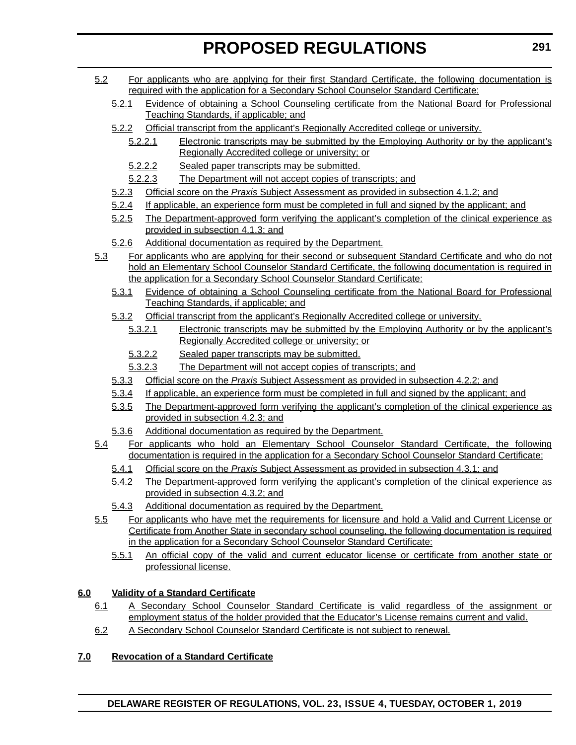- 5.2 For applicants who are applying for their first Standard Certificate, the following documentation is required with the application for a Secondary School Counselor Standard Certificate:
	- 5.2.1 Evidence of obtaining a School Counseling certificate from the National Board for Professional Teaching Standards, if applicable; and
	- 5.2.2 Official transcript from the applicant's Regionally Accredited college or university.
		- 5.2.2.1 Electronic transcripts may be submitted by the Employing Authority or by the applicant's Regionally Accredited college or university; or
		- 5.2.2.2 Sealed paper transcripts may be submitted.
		- 5.2.2.3 The Department will not accept copies of transcripts; and
	- 5.2.3 Official score on the *Praxis* Subject Assessment as provided in subsection 4.1.2; and
	- 5.2.4 If applicable, an experience form must be completed in full and signed by the applicant; and
	- 5.2.5 The Department-approved form verifying the applicant's completion of the clinical experience as provided in subsection 4.1.3; and
	- 5.2.6 Additional documentation as required by the Department.
- 5.3 For applicants who are applying for their second or subsequent Standard Certificate and who do not hold an Elementary School Counselor Standard Certificate, the following documentation is required in the application for a Secondary School Counselor Standard Certificate:
	- 5.3.1 Evidence of obtaining a School Counseling certificate from the National Board for Professional Teaching Standards, if applicable; and
	- 5.3.2 Official transcript from the applicant's Regionally Accredited college or university.
		- 5.3.2.1 Electronic transcripts may be submitted by the Employing Authority or by the applicant's Regionally Accredited college or university; or
		- 5.3.2.2 Sealed paper transcripts may be submitted.
		- 5.3.2.3 The Department will not accept copies of transcripts; and
	- 5.3.3 Official score on the *Praxis* Subject Assessment as provided in subsection 4.2.2; and
	- 5.3.4 If applicable, an experience form must be completed in full and signed by the applicant; and
	- 5.3.5 The Department-approved form verifying the applicant's completion of the clinical experience as provided in subsection 4.2.3; and
	- 5.3.6 Additional documentation as required by the Department.
- 5.4 For applicants who hold an Elementary School Counselor Standard Certificate, the following documentation is required in the application for a Secondary School Counselor Standard Certificate:
	- 5.4.1 Official score on the *Praxis* Subject Assessment as provided in subsection 4.3.1; and
	- 5.4.2 The Department-approved form verifying the applicant's completion of the clinical experience as provided in subsection 4.3.2; and
	- 5.4.3 Additional documentation as required by the Department.
- 5.5 For applicants who have met the requirements for licensure and hold a Valid and Current License or Certificate from Another State in secondary school counseling, the following documentation is required in the application for a Secondary School Counselor Standard Certificate:
	- 5.5.1 An official copy of the valid and current educator license or certificate from another state or professional license.

### **6.0 Validity of a Standard Certificate**

- 6.1 A Secondary School Counselor Standard Certificate is valid regardless of the assignment or employment status of the holder provided that the Educator's License remains current and valid.
- 6.2 A Secondary School Counselor Standard Certificate is not subject to renewal.

### **7.0 Revocation of a Standard Certificate**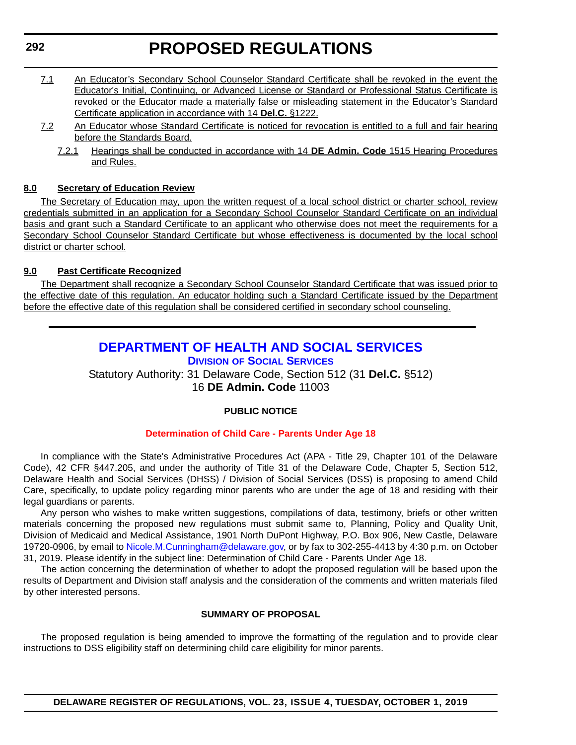- 7.1 An Educator's Secondary School Counselor Standard Certificate shall be revoked in the event the Educator's Initial, Continuing, or Advanced License or Standard or Professional Status Certificate is revoked or the Educator made a materially false or misleading statement in the Educator's Standard Certificate application in accordance with 14 **Del.C.** §1222.
- 7.2 An Educator whose Standard Certificate is noticed for revocation is entitled to a full and fair hearing before the Standards Board.
	- 7.2.1 Hearings shall be conducted in accordance with 14 **DE Admin. Code** 1515 Hearing Procedures and Rules.

#### **8.0 Secretary of Education Review**

The Secretary of Education may, upon the written request of a local school district or charter school, review credentials submitted in an application for a Secondary School Counselor Standard Certificate on an individual basis and grant such a Standard Certificate to an applicant who otherwise does not meet the requirements for a Secondary School Counselor Standard Certificate but whose effectiveness is documented by the local school district or charter school.

#### **9.0 Past Certificate Recognized**

The Department shall recognize a Secondary School Counselor Standard Certificate that was issued prior to the effective date of this regulation. An educator holding such a Standard Certificate issued by the Department before the effective date of this regulation shall be considered certified in secondary school counseling.

### **[DEPARTMENT OF HEALTH AND SOCIAL SERVICES](https://www.dhss.delaware.gov/dhss/dss/) DIVISION OF SOCIAL SERVICES**

Statutory Authority: 31 Delaware Code, Section 512 (31 **Del.C.** §512) 16 **DE Admin. Code** 11003

### **PUBLIC NOTICE**

### **[Determination of Child Care - Parents Under Age 18](#page-3-0)**

In compliance with the State's Administrative Procedures Act (APA - Title 29, Chapter 101 of the Delaware Code), 42 CFR §447.205, and under the authority of Title 31 of the Delaware Code, Chapter 5, Section 512, Delaware Health and Social Services (DHSS) / Division of Social Services (DSS) is proposing to amend Child Care, specifically, to update policy regarding minor parents who are under the age of 18 and residing with their legal guardians or parents.

Any person who wishes to make written suggestions, compilations of data, testimony, briefs or other written materials concerning the proposed new regulations must submit same to, Planning, Policy and Quality Unit, Division of Medicaid and Medical Assistance, 1901 North DuPont Highway, P.O. Box 906, New Castle, Delaware 19720-0906, by email to [Nicole.M.Cunningham@delaware.gov,](mailto:Nicole.M.Cunningham@delaware.gov) or by fax to 302-255-4413 by 4:30 p.m. on October 31, 2019. Please identify in the subject line: Determination of Child Care - Parents Under Age 18.

The action concerning the determination of whether to adopt the proposed regulation will be based upon the results of Department and Division staff analysis and the consideration of the comments and written materials filed by other interested persons.

#### **SUMMARY OF PROPOSAL**

The proposed regulation is being amended to improve the formatting of the regulation and to provide clear instructions to DSS eligibility staff on determining child care eligibility for minor parents.

**DELAWARE REGISTER OF REGULATIONS, VOL. 23, ISSUE 4, TUESDAY, OCTOBER 1, 2019**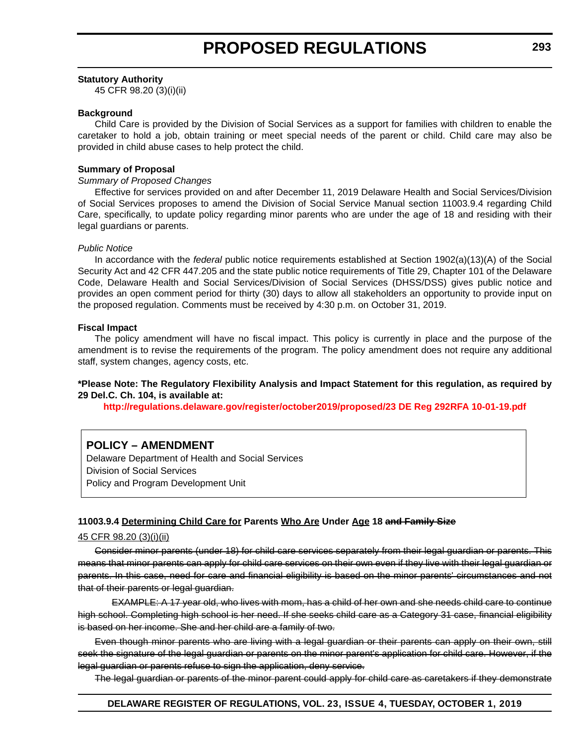#### **Statutory Authority**

45 CFR 98.20 (3)(i)(ii)

#### **Background**

Child Care is provided by the Division of Social Services as a support for families with children to enable the caretaker to hold a job, obtain training or meet special needs of the parent or child. Child care may also be provided in child abuse cases to help protect the child.

#### **Summary of Proposal**

#### *Summary of Proposed Changes*

Effective for services provided on and after December 11, 2019 Delaware Health and Social Services/Division of Social Services proposes to amend the Division of Social Service Manual section 11003.9.4 regarding Child Care, specifically, to update policy regarding minor parents who are under the age of 18 and residing with their legal guardians or parents.

#### *Public Notice*

In accordance with the *federal* public notice requirements established at Section 1902(a)(13)(A) of the Social Security Act and 42 CFR 447.205 and the state public notice requirements of Title 29, Chapter 101 of the Delaware Code, Delaware Health and Social Services/Division of Social Services (DHSS/DSS) gives public notice and provides an open comment period for thirty (30) days to allow all stakeholders an opportunity to provide input on the proposed regulation. Comments must be received by 4:30 p.m. on October 31, 2019.

#### **Fiscal Impact**

The policy amendment will have no fiscal impact. This policy is currently in place and the purpose of the amendment is to revise the requirements of the program. The policy amendment does not require any additional staff, system changes, agency costs, etc.

#### **\*Please Note: The Regulatory Flexibility Analysis and Impact Statement for this regulation, as required by 29 Del.C. Ch. 104, is available at:**

**<http://regulations.delaware.gov/register/october2019/proposed/23 DE Reg 292RFA 10-01-19.pdf>**

### **POLICY – AMENDMENT**

Delaware Department of Health and Social Services Division of Social Services Policy and Program Development Unit

#### **11003.9.4 Determining Child Care for Parents Who Are Under Age 18 and Family Size**

#### 45 CFR 98.20 (3)(i)(ii)

Consider minor parents (under 18) for child care services separately from their legal guardian or parents. This means that minor parents can apply for child care services on their own even if they live with their legal guardian or parents. In this case, need for care and financial eligibility is based on the minor parents' circumstances and not that of their parents or legal guardian.

EXAMPLE: A 17 year old, who lives with mom, has a child of her own and she needs child care to continue high school. Completing high school is her need. If she seeks child care as a Category 31 case, financial eligibility is based on her income. She and her child are a family of two.

Even though minor parents who are living with a legal guardian or their parents can apply on their own, still seek the signature of the legal guardian or parents on the minor parent's application for child care. However, if the legal guardian or parents refuse to sign the application, deny service.

The legal guardian or parents of the minor parent could apply for child care as caretakers if they demonstrate

#### **DELAWARE REGISTER OF REGULATIONS, VOL. 23, ISSUE 4, TUESDAY, OCTOBER 1, 2019**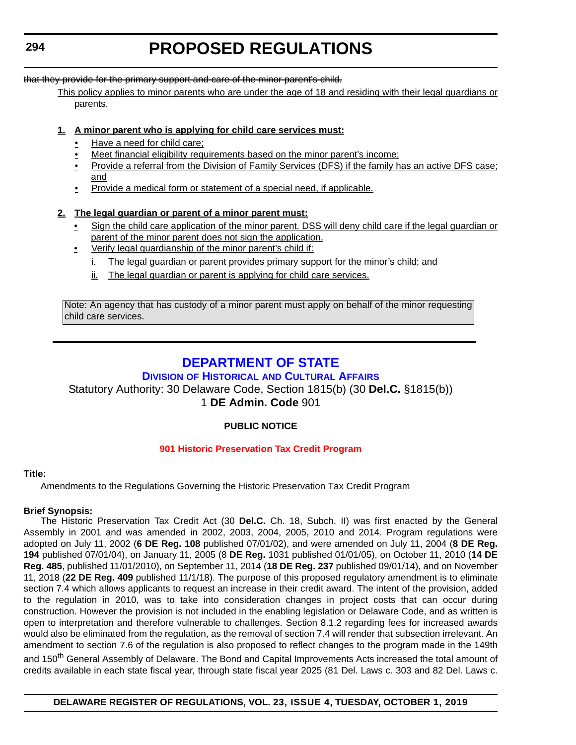that they provide for the primary support and care of the minor parent's child.

This policy applies to minor parents who are under the age of 18 and residing with their legal guardians or parents.

#### **1. A minor parent who is applying for child care services must:**

- Have a need for child care;
- Meet financial eligibility requirements based on the minor parent's income;
- Provide a referral from the Division of Family Services (DFS) if the family has an active DFS case; and
- Provide a medical form or statement of a special need, if applicable.

#### **2. The legal guardian or parent of a minor parent must:**

- Sign the child care application of the minor parent. DSS will deny child care if the legal guardian or parent of the minor parent does not sign the application.
- Verify legal guardianship of the minor parent's child if:
	- i. The legal guardian or parent provides primary support for the minor's child; and
	- ii. The legal guardian or parent is applying for child care services.

Note: An agency that has custody of a minor parent must apply on behalf of the minor requesting child care services.

### **[DEPARTMENT OF STATE](https://history.delaware.gov/)**

### **DIVISION OF HISTORICAL AND CULTURAL AFFAIRS**

#### Statutory Authority: 30 Delaware Code, Section 1815(b) (30 **Del.C.** §1815(b)) 1 **DE Admin. Code** 901

#### **PUBLIC NOTICE**

#### **[901 Historic Preservation Tax Credit Program](#page-3-0)**

#### **Title:**

Amendments to the Regulations Governing the Historic Preservation Tax Credit Program

#### **Brief Synopsis:**

The Historic Preservation Tax Credit Act (30 **Del.C.** Ch. 18, Subch. II) was first enacted by the General Assembly in 2001 and was amended in 2002, 2003, 2004, 2005, 2010 and 2014. Program regulations were adopted on July 11, 2002 (**6 DE Reg. 108** published 07/01/02), and were amended on July 11, 2004 (**8 DE Reg. 194** published 07/01/04), on January 11, 2005 (8 **DE Reg.** 1031 published 01/01/05), on October 11, 2010 (**14 DE Reg. 485**, published 11/01/2010), on September 11, 2014 (**18 DE Reg. 237** published 09/01/14), and on November 11, 2018 (**22 DE Reg. 409** published 11/1/18). The purpose of this proposed regulatory amendment is to eliminate section 7.4 which allows applicants to request an increase in their credit award. The intent of the provision, added to the regulation in 2010, was to take into consideration changes in project costs that can occur during construction. However the provision is not included in the enabling legislation or Delaware Code, and as written is open to interpretation and therefore vulnerable to challenges. Section 8.1.2 regarding fees for increased awards would also be eliminated from the regulation, as the removal of section 7.4 will render that subsection irrelevant. An amendment to section 7.6 of the regulation is also proposed to reflect changes to the program made in the 149th

and 150<sup>th</sup> General Assembly of Delaware. The Bond and Capital Improvements Acts increased the total amount of credits available in each state fiscal year, through state fiscal year 2025 (81 Del. Laws c. 303 and 82 Del. Laws c.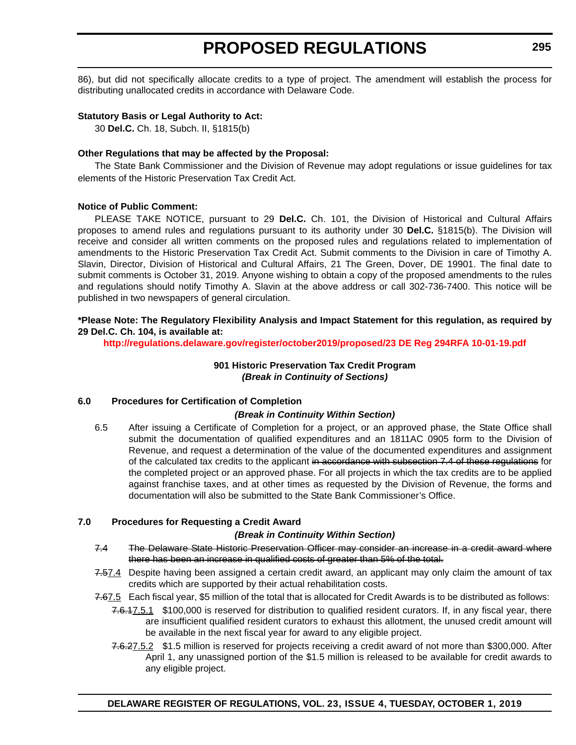86), but did not specifically allocate credits to a type of project. The amendment will establish the process for distributing unallocated credits in accordance with Delaware Code.

#### **Statutory Basis or Legal Authority to Act:**

30 **Del.C.** Ch. 18, Subch. II, §1815(b)

#### **Other Regulations that may be affected by the Proposal:**

The State Bank Commissioner and the Division of Revenue may adopt regulations or issue guidelines for tax elements of the Historic Preservation Tax Credit Act.

#### **Notice of Public Comment:**

PLEASE TAKE NOTICE, pursuant to 29 **Del.C.** Ch. 101, the Division of Historical and Cultural Affairs proposes to amend rules and regulations pursuant to its authority under 30 **Del.C.** §1815(b). The Division will receive and consider all written comments on the proposed rules and regulations related to implementation of amendments to the Historic Preservation Tax Credit Act. Submit comments to the Division in care of Timothy A. Slavin, Director, Division of Historical and Cultural Affairs, 21 The Green, Dover, DE 19901. The final date to submit comments is October 31, 2019. Anyone wishing to obtain a copy of the proposed amendments to the rules and regulations should notify Timothy A. Slavin at the above address or call 302-736-7400. This notice will be published in two newspapers of general circulation.

#### **\*Please Note: The Regulatory Flexibility Analysis and Impact Statement for this regulation, as required by 29 Del.C. Ch. 104, is available at:**

**<http://regulations.delaware.gov/register/october2019/proposed/23 DE Reg 294RFA 10-01-19.pdf>**

#### **901 Historic Preservation Tax Credit Program** *(Break in Continuity of Sections)*

#### **6.0 Procedures for Certification of Completion**

#### *(Break in Continuity Within Section)*

6.5 After issuing a Certificate of Completion for a project, or an approved phase, the State Office shall submit the documentation of qualified expenditures and an 1811AC 0905 form to the Division of Revenue, and request a determination of the value of the documented expenditures and assignment of the calculated tax credits to the applicant in accordance with subsection 7.4 of these regulations for the completed project or an approved phase. For all projects in which the tax credits are to be applied against franchise taxes, and at other times as requested by the Division of Revenue, the forms and documentation will also be submitted to the State Bank Commissioner's Office.

#### **7.0 Procedures for Requesting a Credit Award**

#### *(Break in Continuity Within Section)*

- 7.4 The Delaware State Historic Preservation Officer may consider an increase in a credit award where there has been an increase in qualified costs of greater than 5% of the total.
- 7.57.4 Despite having been assigned a certain credit award, an applicant may only claim the amount of tax credits which are supported by their actual rehabilitation costs.
- 7.67.5 Each fiscal year, \$5 million of the total that is allocated for Credit Awards is to be distributed as follows:
	- 7.6.17.5.1 \$100,000 is reserved for distribution to qualified resident curators. If, in any fiscal year, there are insufficient qualified resident curators to exhaust this allotment, the unused credit amount will be available in the next fiscal year for award to any eligible project.
	- 7.6.27.5.2 \$1.5 million is reserved for projects receiving a credit award of not more than \$300,000. After April 1, any unassigned portion of the \$1.5 million is released to be available for credit awards to any eligible project.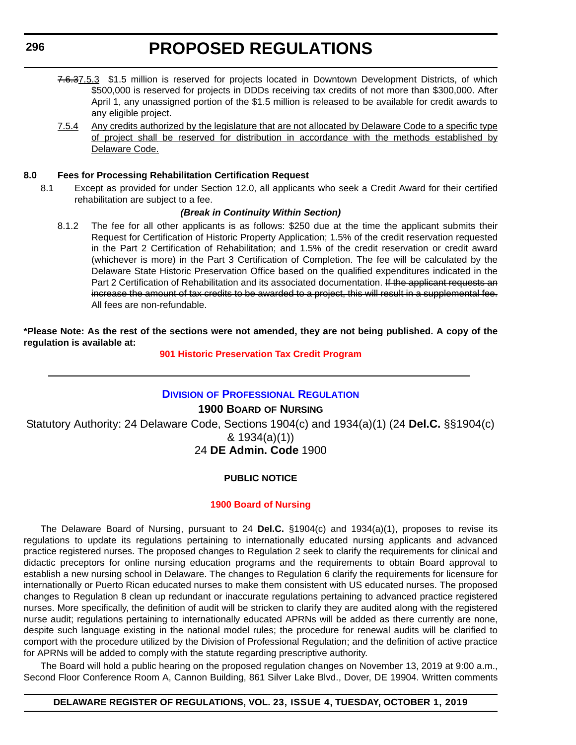- 7.6.37.5.3 \$1.5 million is reserved for projects located in Downtown Development Districts, of which \$500,000 is reserved for projects in DDDs receiving tax credits of not more than \$300,000. After April 1, any unassigned portion of the \$1.5 million is released to be available for credit awards to any eligible project.
- 7.5.4 Any credits authorized by the legislature that are not allocated by Delaware Code to a specific type of project shall be reserved for distribution in accordance with the methods established by Delaware Code.

#### **8.0 Fees for Processing Rehabilitation Certification Request**

8.1 Except as provided for under Section 12.0, all applicants who seek a Credit Award for their certified rehabilitation are subject to a fee.

#### *(Break in Continuity Within Section)*

8.1.2 The fee for all other applicants is as follows: \$250 due at the time the applicant submits their Request for Certification of Historic Property Application; 1.5% of the credit reservation requested in the Part 2 Certification of Rehabilitation; and 1.5% of the credit reservation or credit award (whichever is more) in the Part 3 Certification of Completion. The fee will be calculated by the Delaware State Historic Preservation Office based on the qualified expenditures indicated in the Part 2 Certification of Rehabilitation and its associated documentation. If the applicant requests an increase the amount of tax credits to be awarded to a project, this will result in a supplemental fee. All fees are non-refundable.

**\*Please Note: As the rest of the sections were not amended, they are not being published. A copy of the regulation is available at:**

#### **[901 Historic Preservation Tax Credit Program](http://regulations.delaware.gov/register/october2019/proposed/23 DE Reg 294 10-01-19.htm)**

#### **DIVISION [OF PROFESSIONAL REGULATION](https://dpr.delaware.gov/)**

#### **1900 BOARD OF NURSING**

Statutory Authority: 24 Delaware Code, Sections 1904(c) and 1934(a)(1) (24 **Del.C.** §§1904(c) & 1934(a)(1)) 24 **DE Admin. Code** 1900

#### **PUBLIC NOTICE**

#### **[1900 Board of Nursing](#page-3-0)**

The Delaware Board of Nursing, pursuant to 24 **Del.C.** §1904(c) and 1934(a)(1), proposes to revise its regulations to update its regulations pertaining to internationally educated nursing applicants and advanced practice registered nurses. The proposed changes to Regulation 2 seek to clarify the requirements for clinical and didactic preceptors for online nursing education programs and the requirements to obtain Board approval to establish a new nursing school in Delaware. The changes to Regulation 6 clarify the requirements for licensure for internationally or Puerto Rican educated nurses to make them consistent with US educated nurses. The proposed changes to Regulation 8 clean up redundant or inaccurate regulations pertaining to advanced practice registered nurses. More specifically, the definition of audit will be stricken to clarify they are audited along with the registered nurse audit; regulations pertaining to internationally educated APRNs will be added as there currently are none, despite such language existing in the national model rules; the procedure for renewal audits will be clarified to comport with the procedure utilized by the Division of Professional Regulation; and the definition of active practice for APRNs will be added to comply with the statute regarding prescriptive authority.

The Board will hold a public hearing on the proposed regulation changes on November 13, 2019 at 9:00 a.m., Second Floor Conference Room A, Cannon Building, 861 Silver Lake Blvd., Dover, DE 19904. Written comments

#### **DELAWARE REGISTER OF REGULATIONS, VOL. 23, ISSUE 4, TUESDAY, OCTOBER 1, 2019**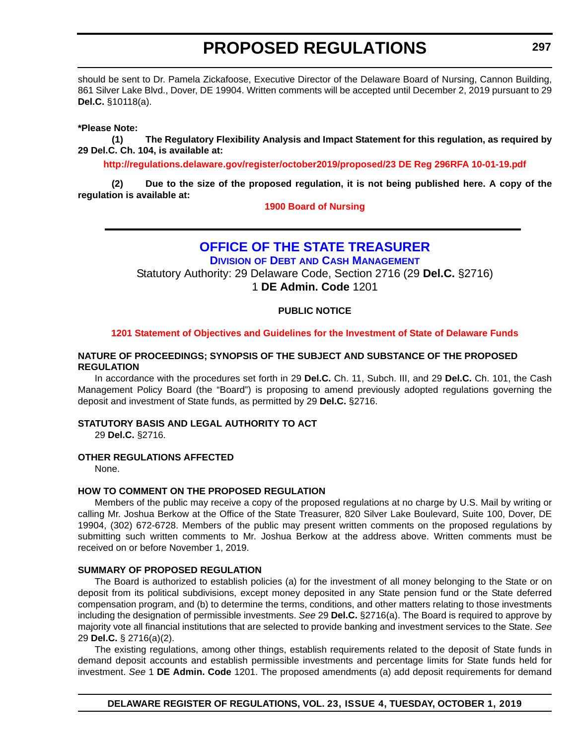should be sent to Dr. Pamela Zickafoose, Executive Director of the Delaware Board of Nursing, Cannon Building, 861 Silver Lake Blvd., Dover, DE 19904. Written comments will be accepted until December 2, 2019 pursuant to 29 **Del.C.** §10118(a).

**\*Please Note:** 

**(1) The Regulatory Flexibility Analysis and Impact Statement for this regulation, as required by 29 Del.C. Ch. 104, is available at:**

**<http://regulations.delaware.gov/register/october2019/proposed/23 DE Reg 296RFA 10-01-19.pdf>**

**(2) Due to the size of the proposed regulation, it is not being published here. A copy of the regulation is available at:**

**[1900 Board of Nursing](http://regulations.delaware.gov/register/october2019/proposed/23 DE Reg 296 10-01-19.htm)**

#### **[OFFICE OF THE STATE TREASURER](https://treasurer.delaware.gov/debt-cash-management/) DIVISION OF DEBT AND CASH MANAGEMENT**

Statutory Authority: 29 Delaware Code, Section 2716 (29 **Del.C.** §2716) 1 **DE Admin. Code** 1201

#### **PUBLIC NOTICE**

#### **[1201 Statement of Objectives and Guidelines for the Investment of State of Delaware Funds](#page-3-0)**

#### **NATURE OF PROCEEDINGS; SYNOPSIS OF THE SUBJECT AND SUBSTANCE OF THE PROPOSED REGULATION**

In accordance with the procedures set forth in 29 **Del.C.** Ch. 11, Subch. III, and 29 **Del.C.** Ch. 101, the Cash Management Policy Board (the "Board") is proposing to amend previously adopted regulations governing the deposit and investment of State funds, as permitted by 29 **Del.C.** §2716.

#### **STATUTORY BASIS AND LEGAL AUTHORITY TO ACT**

29 **Del.C.** §2716.

#### **OTHER REGULATIONS AFFECTED**

None.

#### **HOW TO COMMENT ON THE PROPOSED REGULATION**

Members of the public may receive a copy of the proposed regulations at no charge by U.S. Mail by writing or calling Mr. Joshua Berkow at the Office of the State Treasurer, 820 Silver Lake Boulevard, Suite 100, Dover, DE 19904, (302) 672-6728. Members of the public may present written comments on the proposed regulations by submitting such written comments to Mr. Joshua Berkow at the address above. Written comments must be received on or before November 1, 2019.

#### **SUMMARY OF PROPOSED REGULATION**

The Board is authorized to establish policies (a) for the investment of all money belonging to the State or on deposit from its political subdivisions, except money deposited in any State pension fund or the State deferred compensation program, and (b) to determine the terms, conditions, and other matters relating to those investments including the designation of permissible investments. *See* 29 **Del.C.** §2716(a). The Board is required to approve by majority vote all financial institutions that are selected to provide banking and investment services to the State. *See* 29 **Del.C.** § 2716(a)(2).

The existing regulations, among other things, establish requirements related to the deposit of State funds in demand deposit accounts and establish permissible investments and percentage limits for State funds held for investment. *See* 1 **DE Admin. Code** 1201. The proposed amendments (a) add deposit requirements for demand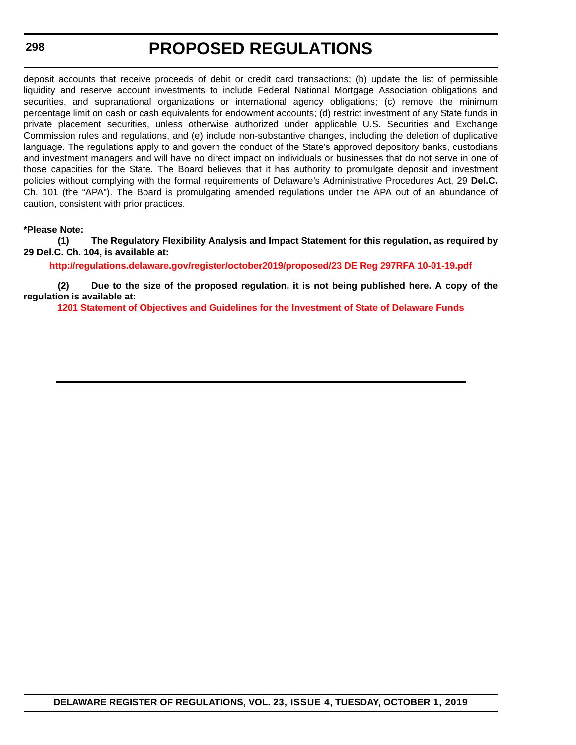#### **298**

### **PROPOSED REGULATIONS**

deposit accounts that receive proceeds of debit or credit card transactions; (b) update the list of permissible liquidity and reserve account investments to include Federal National Mortgage Association obligations and securities, and supranational organizations or international agency obligations; (c) remove the minimum percentage limit on cash or cash equivalents for endowment accounts; (d) restrict investment of any State funds in private placement securities, unless otherwise authorized under applicable U.S. Securities and Exchange Commission rules and regulations, and (e) include non-substantive changes, including the deletion of duplicative language. The regulations apply to and govern the conduct of the State's approved depository banks, custodians and investment managers and will have no direct impact on individuals or businesses that do not serve in one of those capacities for the State. The Board believes that it has authority to promulgate deposit and investment policies without complying with the formal requirements of Delaware's Administrative Procedures Act, 29 **Del.C.** Ch. 101 (the "APA"). The Board is promulgating amended regulations under the APA out of an abundance of caution, consistent with prior practices.

#### **\*Please Note:**

**(1) The Regulatory Flexibility Analysis and Impact Statement for this regulation, as required by 29 Del.C. Ch. 104, is available at:**

**<http://regulations.delaware.gov/register/october2019/proposed/23 DE Reg 297RFA 10-01-19.pdf>**

**(2) Due to the size of the proposed regulation, it is not being published here. A copy of the regulation is available at:**

**[1201 Statement of Objectives and Guidelines for the Investment of State of Delaware Funds](http://regulations.delaware.gov/register/october2019/proposed/23 DE Reg 297 10-01-19.htm)**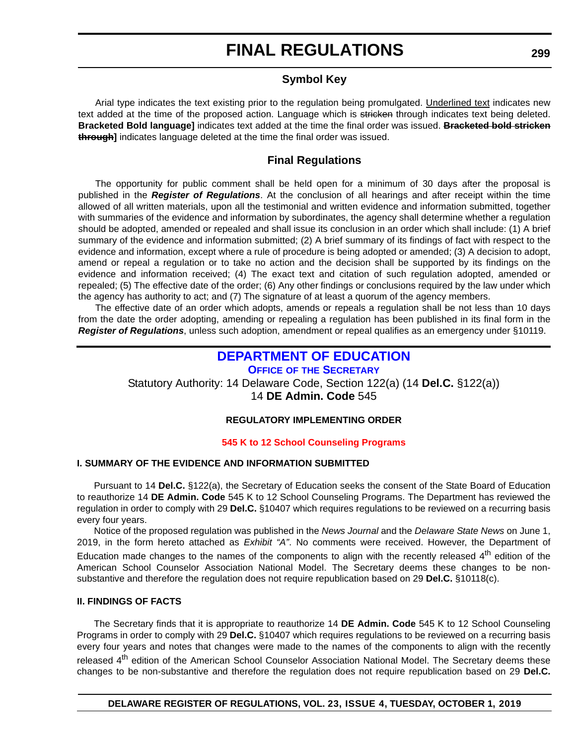#### **Symbol Key**

Arial type indicates the text existing prior to the regulation being promulgated. Underlined text indicates new text added at the time of the proposed action. Language which is stricken through indicates text being deleted. **Bracketed Bold language]** indicates text added at the time the final order was issued. **Bracketed bold stricken through]** indicates language deleted at the time the final order was issued.

### **Final Regulations**

The opportunity for public comment shall be held open for a minimum of 30 days after the proposal is published in the *Register of Regulations*. At the conclusion of all hearings and after receipt within the time allowed of all written materials, upon all the testimonial and written evidence and information submitted, together with summaries of the evidence and information by subordinates, the agency shall determine whether a regulation should be adopted, amended or repealed and shall issue its conclusion in an order which shall include: (1) A brief summary of the evidence and information submitted; (2) A brief summary of its findings of fact with respect to the evidence and information, except where a rule of procedure is being adopted or amended; (3) A decision to adopt, amend or repeal a regulation or to take no action and the decision shall be supported by its findings on the evidence and information received; (4) The exact text and citation of such regulation adopted, amended or repealed; (5) The effective date of the order; (6) Any other findings or conclusions required by the law under which the agency has authority to act; and (7) The signature of at least a quorum of the agency members.

The effective date of an order which adopts, amends or repeals a regulation shall be not less than 10 days from the date the order adopting, amending or repealing a regulation has been published in its final form in the *Register of Regulations*, unless such adoption, amendment or repeal qualifies as an emergency under §10119.

### **[DEPARTMENT OF EDUCATION](https://www.doe.k12.de.us/)**

**OFFICE OF THE SECRETARY**

Statutory Authority: 14 Delaware Code, Section 122(a) (14 **Del.C.** §122(a))

14 **DE Admin. Code** 545

#### **REGULATORY IMPLEMENTING ORDER**

#### **[545 K to 12 School Counseling Programs](#page-3-0)**

#### **I. SUMMARY OF THE EVIDENCE AND INFORMATION SUBMITTED**

Pursuant to 14 **Del.C.** §122(a), the Secretary of Education seeks the consent of the State Board of Education to reauthorize 14 **DE Admin. Code** 545 K to 12 School Counseling Programs. The Department has reviewed the regulation in order to comply with 29 **Del.C.** §10407 which requires regulations to be reviewed on a recurring basis every four years.

Notice of the proposed regulation was published in the *News Journal* and the *Delaware State News* on June 1, 2019, in the form hereto attached as *Exhibit "A"*. No comments were received. However, the Department of Education made changes to the names of the components to align with the recently released 4<sup>th</sup> edition of the American School Counselor Association National Model. The Secretary deems these changes to be nonsubstantive and therefore the regulation does not require republication based on 29 **Del.C.** §10118(c).

#### **II. FINDINGS OF FACTS**

The Secretary finds that it is appropriate to reauthorize 14 **DE Admin. Code** 545 K to 12 School Counseling Programs in order to comply with 29 **Del.C.** §10407 which requires regulations to be reviewed on a recurring basis every four years and notes that changes were made to the names of the components to align with the recently released 4<sup>th</sup> edition of the American School Counselor Association National Model. The Secretary deems these changes to be non-substantive and therefore the regulation does not require republication based on 29 **Del.C.**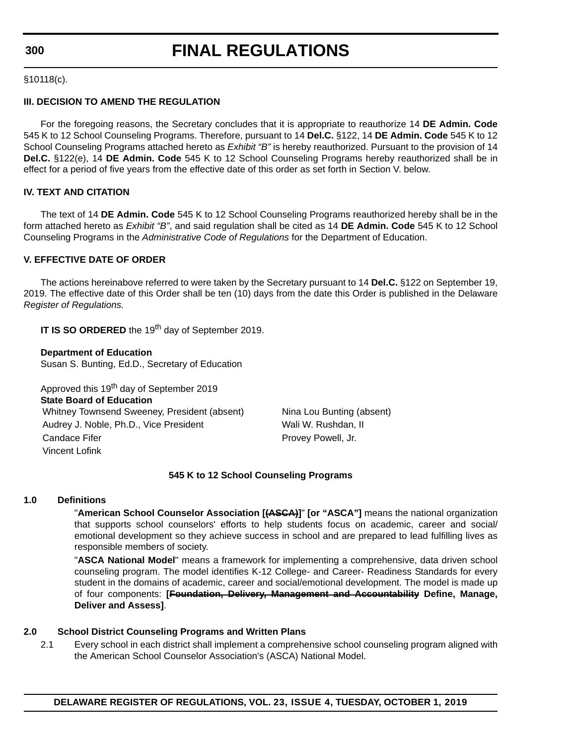#### **300**

# **FINAL REGULATIONS**

§10118(c).

#### **III. DECISION TO AMEND THE REGULATION**

For the foregoing reasons, the Secretary concludes that it is appropriate to reauthorize 14 **DE Admin. Code** 545 K to 12 School Counseling Programs. Therefore, pursuant to 14 **Del.C.** §122, 14 **DE Admin. Code** 545 K to 12 School Counseling Programs attached hereto as *Exhibit "B"* is hereby reauthorized. Pursuant to the provision of 14 **Del.C.** §122(e), 14 **DE Admin. Code** 545 K to 12 School Counseling Programs hereby reauthorized shall be in effect for a period of five years from the effective date of this order as set forth in Section V. below.

#### **IV. TEXT AND CITATION**

The text of 14 **DE Admin. Code** 545 K to 12 School Counseling Programs reauthorized hereby shall be in the form attached hereto as *Exhibit "B"*, and said regulation shall be cited as 14 **DE Admin. Code** 545 K to 12 School Counseling Programs in the *Administrative Code of Regulations* for the Department of Education.

#### **V. EFFECTIVE DATE OF ORDER**

The actions hereinabove referred to were taken by the Secretary pursuant to 14 **Del.C.** §122 on September 19, 2019. The effective date of this Order shall be ten (10) days from the date this Order is published in the Delaware *Register of Regulations.*

**IT IS SO ORDERED** the 19<sup>th</sup> day of September 2019.

#### **Department of Education**

Susan S. Bunting, Ed.D., Secretary of Education

Approved this 19<sup>th</sup> day of September 2019 **State Board of Education** Whitney Townsend Sweeney, President (absent) Nina Lou Bunting (absent) Audrey J. Noble, Ph.D., Vice President Wali W. Rushdan, II Candace Fifer **Provey Powell**, Jr. Vincent Lofink

#### **545 K to 12 School Counseling Programs**

#### **1.0 Definitions**

"**American School Counselor Association [(ASCA)]**" **[or "ASCA"]** means the national organization that supports school counselors' efforts to help students focus on academic, career and social/ emotional development so they achieve success in school and are prepared to lead fulfilling lives as responsible members of society.

"**ASCA National Model**" means a framework for implementing a comprehensive, data driven school counseling program. The model identifies K-12 College- and Career- Readiness Standards for every student in the domains of academic, career and social/emotional development. The model is made up of four components: **[Foundation, Delivery, Management and Accountability Define, Manage, Deliver and Assess]**.

#### **2.0 School District Counseling Programs and Written Plans**

2.1 Every school in each district shall implement a comprehensive school counseling program aligned with the American School Counselor Association's (ASCA) National Model.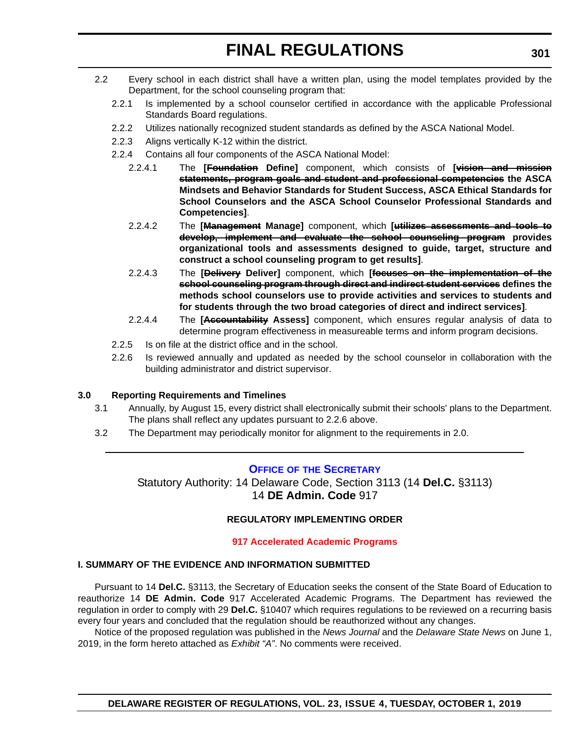- 2.2 Every school in each district shall have a written plan, using the model templates provided by the Department, for the school counseling program that:
	- 2.2.1 Is implemented by a school counselor certified in accordance with the applicable Professional Standards Board regulations.
	- 2.2.2 Utilizes nationally recognized student standards as defined by the ASCA National Model.
	- 2.2.3 Aligns vertically K-12 within the district.
	- 2.2.4 Contains all four components of the ASCA National Model:
		- 2.2.4.1 The **[Foundation Define]** component, which consists of **[vision and mission statements, program goals and student and professional competencies the ASCA Mindsets and Behavior Standards for Student Success, ASCA Ethical Standards for School Counselors and the ASCA School Counselor Professional Standards and Competencies]**.
		- 2.2.4.2 The **[Management Manage]** component, which **[utilizes assessments and tools to develop, implement and evaluate the school counseling program provides organizational tools and assessments designed to guide, target, structure and construct a school counseling program to get results]**.
		- 2.2.4.3 The **[Delivery Deliver]** component, which **[focuses on the implementation of the school counseling program through direct and indirect student services defines the methods school counselors use to provide activities and services to students and for students through the two broad categories of direct and indirect services]**.
		- 2.2.4.4 The **[Accountability Assess]** component, which ensures regular analysis of data to determine program effectiveness in measureable terms and inform program decisions.
	- 2.2.5 Is on file at the district office and in the school.
	- 2.2.6 Is reviewed annually and updated as needed by the school counselor in collaboration with the building administrator and district supervisor.

#### **3.0 Reporting Requirements and Timelines**

- 3.1 Annually, by August 15, every district shall electronically submit their schools' plans to the Department. The plans shall reflect any updates pursuant to 2.2.6 above.
- 3.2 The Department may periodically monitor for alignment to the requirements in 2.0.

#### **OFFICE OF [THE SECRETARY](https://www.doe.k12.de.us/)**

Statutory Authority: 14 Delaware Code, Section 3113 (14 **Del.C.** §3113) 14 **DE Admin. Code** 917

#### **REGULATORY IMPLEMENTING ORDER**

#### **[917 Accelerated Academic Programs](#page-3-0)**

#### **I. SUMMARY OF THE EVIDENCE AND INFORMATION SUBMITTED**

Pursuant to 14 **Del.C.** §3113, the Secretary of Education seeks the consent of the State Board of Education to reauthorize 14 **DE Admin. Code** 917 Accelerated Academic Programs. The Department has reviewed the regulation in order to comply with 29 **Del.C.** §10407 which requires regulations to be reviewed on a recurring basis every four years and concluded that the regulation should be reauthorized without any changes.

Notice of the proposed regulation was published in the *News Journal* and the *Delaware State News* on June 1, 2019, in the form hereto attached as *Exhibit "A"*. No comments were received.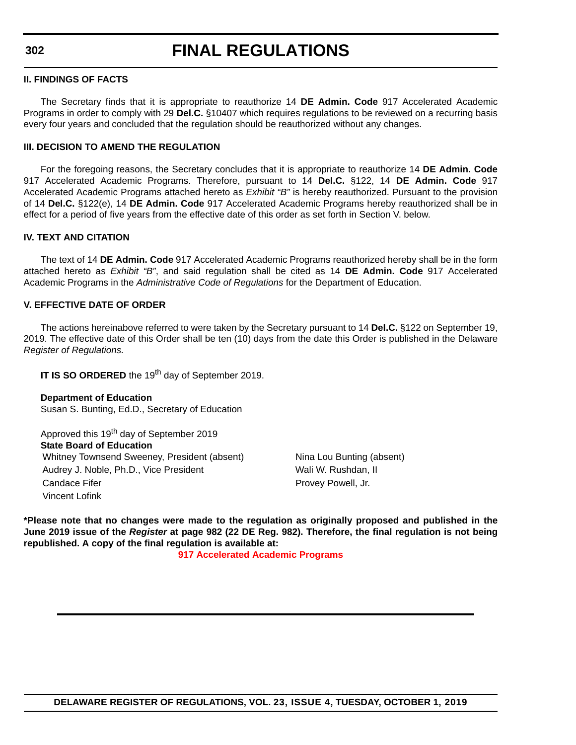**302**

# **FINAL REGULATIONS**

#### **II. FINDINGS OF FACTS**

The Secretary finds that it is appropriate to reauthorize 14 **DE Admin. Code** 917 Accelerated Academic Programs in order to comply with 29 **Del.C.** §10407 which requires regulations to be reviewed on a recurring basis every four years and concluded that the regulation should be reauthorized without any changes.

#### **III. DECISION TO AMEND THE REGULATION**

For the foregoing reasons, the Secretary concludes that it is appropriate to reauthorize 14 **DE Admin. Code** 917 Accelerated Academic Programs. Therefore, pursuant to 14 **Del.C.** §122, 14 **DE Admin. Code** 917 Accelerated Academic Programs attached hereto as *Exhibit "B"* is hereby reauthorized. Pursuant to the provision of 14 **Del.C.** §122(e), 14 **DE Admin. Code** 917 Accelerated Academic Programs hereby reauthorized shall be in effect for a period of five years from the effective date of this order as set forth in Section V. below.

#### **IV. TEXT AND CITATION**

The text of 14 **DE Admin. Code** 917 Accelerated Academic Programs reauthorized hereby shall be in the form attached hereto as *Exhibit "B"*, and said regulation shall be cited as 14 **DE Admin. Code** 917 Accelerated Academic Programs in the *Administrative Code of Regulations* for the Department of Education.

#### **V. EFFECTIVE DATE OF ORDER**

The actions hereinabove referred to were taken by the Secretary pursuant to 14 **Del.C.** §122 on September 19, 2019. The effective date of this Order shall be ten (10) days from the date this Order is published in the Delaware *Register of Regulations.*

**IT IS SO ORDERED** the 19<sup>th</sup> day of September 2019.

#### **Department of Education**

Susan S. Bunting, Ed.D., Secretary of Education

Approved this 19<sup>th</sup> day of September 2019 **State Board of Education** Whitney Townsend Sweeney, President (absent) Nina Lou Bunting (absent) Audrey J. Noble, Ph.D., Vice President Wali W. Rushdan, II Candace Fifer **Provey Powell**, Jr. Vincent Lofink

**\*Please note that no changes were made to the regulation as originally proposed and published in the June 2019 issue of the** *Register* **at page 982 (22 DE Reg. 982). Therefore, the final regulation is not being republished. A copy of the final regulation is available at:**

**[917 Accelerated Academic Programs](http://regulations.delaware.gov/register/october2019/final/23 DE Reg 301 10-01-19.htm)**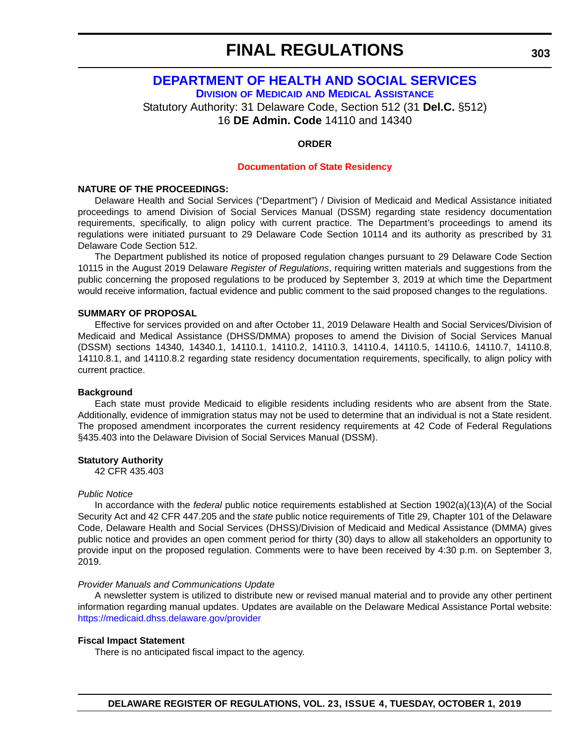# **[DEPARTMENT OF HEALTH AND SOCIAL SERVICES](https://www.dhss.delaware.gov/dhss/dmma/)**

**DIVISION OF MEDICAID AND MEDICAL ASSISTANCE**

Statutory Authority: 31 Delaware Code, Section 512 (31 **Del.C.** §512) 16 **DE Admin. Code** 14110 and 14340

#### **ORDER**

#### **[Documentation of State Residency](#page-3-0)**

#### **NATURE OF THE PROCEEDINGS:**

Delaware Health and Social Services ("Department") / Division of Medicaid and Medical Assistance initiated proceedings to amend Division of Social Services Manual (DSSM) regarding state residency documentation requirements, specifically, to align policy with current practice. The Department's proceedings to amend its regulations were initiated pursuant to 29 Delaware Code Section 10114 and its authority as prescribed by 31 Delaware Code Section 512.

The Department published its notice of proposed regulation changes pursuant to 29 Delaware Code Section 10115 in the August 2019 Delaware *Register of Regulations*, requiring written materials and suggestions from the public concerning the proposed regulations to be produced by September 3, 2019 at which time the Department would receive information, factual evidence and public comment to the said proposed changes to the regulations.

#### **SUMMARY OF PROPOSAL**

Effective for services provided on and after October 11, 2019 Delaware Health and Social Services/Division of Medicaid and Medical Assistance (DHSS/DMMA) proposes to amend the Division of Social Services Manual (DSSM) sections 14340, 14340.1, 14110.1, 14110.2, 14110.3, 14110.4, 14110.5, 14110.6, 14110.7, 14110.8, 14110.8.1, and 14110.8.2 regarding state residency documentation requirements, specifically, to align policy with current practice.

#### **Background**

Each state must provide Medicaid to eligible residents including residents who are absent from the State. Additionally, evidence of immigration status may not be used to determine that an individual is not a State resident. The proposed amendment incorporates the current residency requirements at 42 Code of Federal Regulations §435.403 into the Delaware Division of Social Services Manual (DSSM).

#### **Statutory Authority**

42 CFR 435.403

#### *Public Notice*

In accordance with the *federal* public notice requirements established at Section 1902(a)(13)(A) of the Social Security Act and 42 CFR 447.205 and the *state* public notice requirements of Title 29, Chapter 101 of the Delaware Code, Delaware Health and Social Services (DHSS)/Division of Medicaid and Medical Assistance (DMMA) gives public notice and provides an open comment period for thirty (30) days to allow all stakeholders an opportunity to provide input on the proposed regulation. Comments were to have been received by 4:30 p.m. on September 3, 2019.

#### *Provider Manuals and Communications Update*

A newsletter system is utilized to distribute new or revised manual material and to provide any other pertinent information regarding manual updates. Updates are available on the Delaware Medical Assistance Portal website: <https://medicaid.dhss.delaware.gov/provider>

#### **Fiscal Impact Statement**

There is no anticipated fiscal impact to the agency.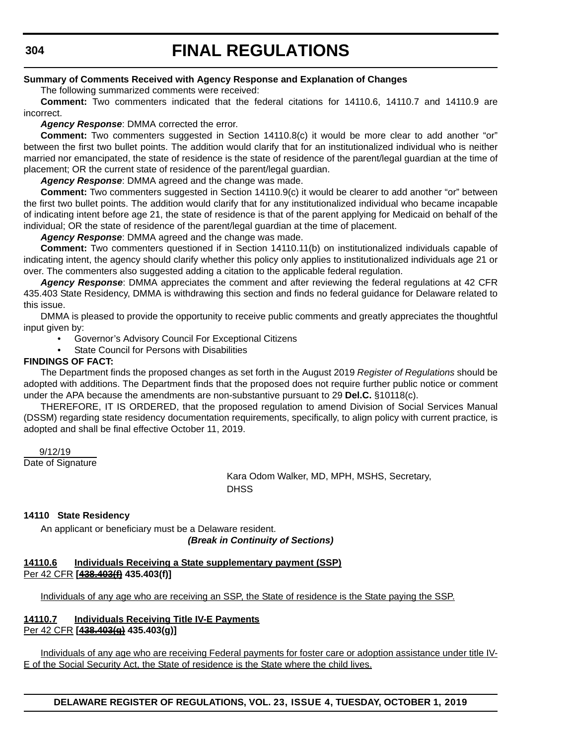#### **304**

# **FINAL REGULATIONS**

#### **Summary of Comments Received with Agency Response and Explanation of Changes**

The following summarized comments were received:

**Comment:** Two commenters indicated that the federal citations for 14110.6, 14110.7 and 14110.9 are incorrect.

#### *Agency Response*: DMMA corrected the error.

**Comment:** Two commenters suggested in Section 14110.8(c) it would be more clear to add another "or" between the first two bullet points. The addition would clarify that for an institutionalized individual who is neither married nor emancipated, the state of residence is the state of residence of the parent/legal guardian at the time of placement; OR the current state of residence of the parent/legal guardian.

*Agency Response*: DMMA agreed and the change was made.

**Comment:** Two commenters suggested in Section 14110.9(c) it would be clearer to add another "or" between the first two bullet points. The addition would clarify that for any institutionalized individual who became incapable of indicating intent before age 21, the state of residence is that of the parent applying for Medicaid on behalf of the individual; OR the state of residence of the parent/legal guardian at the time of placement.

*Agency Response*: DMMA agreed and the change was made.

**Comment:** Two commenters questioned if in Section 14110.11(b) on institutionalized individuals capable of indicating intent, the agency should clarify whether this policy only applies to institutionalized individuals age 21 or over. The commenters also suggested adding a citation to the applicable federal regulation.

*Agency Response*: DMMA appreciates the comment and after reviewing the federal regulations at 42 CFR 435.403 State Residency, DMMA is withdrawing this section and finds no federal guidance for Delaware related to this issue.

DMMA is pleased to provide the opportunity to receive public comments and greatly appreciates the thoughtful input given by:

• Governor's Advisory Council For Exceptional Citizens

State Council for Persons with Disabilities

#### **FINDINGS OF FACT:**

The Department finds the proposed changes as set forth in the August 2019 *Register of Regulations* should be adopted with additions. The Department finds that the proposed does not require further public notice or comment under the APA because the amendments are non-substantive pursuant to 29 **Del.C.** §10118(c).

THEREFORE, IT IS ORDERED, that the proposed regulation to amend Division of Social Services Manual (DSSM) regarding state residency documentation requirements, specifically, to align policy with current practice*,* is adopted and shall be final effective October 11, 2019.

9/12/19

Date of Signature

Kara Odom Walker, MD, MPH, MSHS, Secretary, **DHSS** 

#### **14110 State Residency**

An applicant or beneficiary must be a Delaware resident.

*(Break in Continuity of Sections)*

#### **14110.6 Individuals Receiving a State supplementary payment (SSP)** Per 42 CFR **[438.403(f) 435.403(f)]**

Individuals of any age who are receiving an SSP, the State of residence is the State paying the SSP.

#### **14110.7 Individuals Receiving Title IV-E Payments** Per 42 CFR **[438.403(g) 435.403(g)]**

Individuals of any age who are receiving Federal payments for foster care or adoption assistance under title IV-E of the Social Security Act, the State of residence is the State where the child lives.

**DELAWARE REGISTER OF REGULATIONS, VOL. 23, ISSUE 4, TUESDAY, OCTOBER 1, 2019**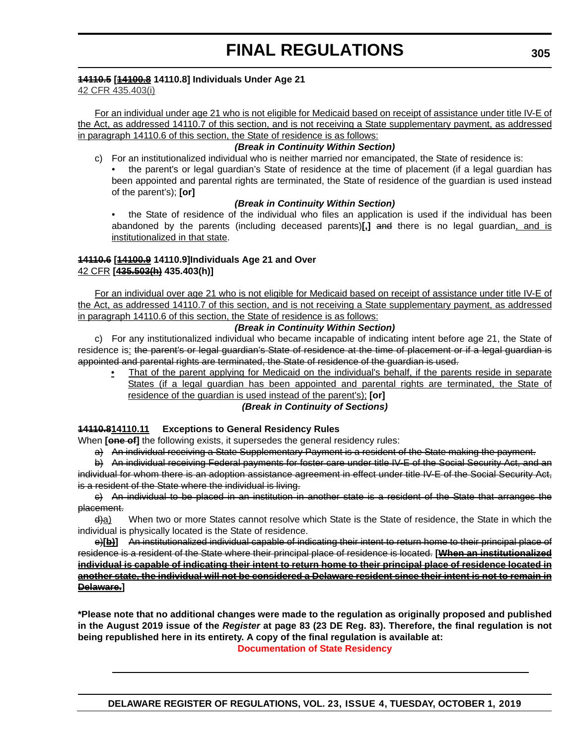#### **14110.5 [14100.8 14110.8] Individuals Under Age 21**

42 CFR 435.403(i)

For an individual under age 21 who is not eligible for Medicaid based on receipt of assistance under title IV-E of the Act, as addressed 14110.7 of this section, and is not receiving a State supplementary payment, as addressed in paragraph 14110.6 of this section, the State of residence is as follows:

#### *(Break in Continuity Within Section)*

- c) For an institutionalized individual who is neither married nor emancipated, the State of residence is:
	- the parent's or legal guardian's State of residence at the time of placement (if a legal guardian has been appointed and parental rights are terminated, the State of residence of the guardian is used instead of the parent's); **[or]**

#### *(Break in Continuity Within Section)*

• the State of residence of the individual who files an application is used if the individual has been abandoned by the parents (including deceased parents)[,] and there is no legal guardian, and is institutionalized in that state.

#### **14110.6 [14100.9 14110.9]Individuals Age 21 and Over** 42 CFR **[435.503(h) 435.403(h)]**

For an individual over age 21 who is not eligible for Medicaid based on receipt of assistance under title IV-E of the Act, as addressed 14110.7 of this section, and is not receiving a State supplementary payment, as addressed in paragraph 14110.6 of this section, the State of residence is as follows:

#### *(Break in Continuity Within Section)*

c) For any institutionalized individual who became incapable of indicating intent before age 21, the State of residence is: the parent's or legal guardian's State of residence at the time of placement or if a legal guardian is appointed and parental rights are terminated, the State of residence of the guardian is used.

• That of the parent applying for Medicaid on the individual's behalf, if the parents reside in separate States (if a legal guardian has been appointed and parental rights are terminated, the State of residence of the guardian is used instead of the parent's); **[or]**

*(Break in Continuity of Sections)*

#### **14110.814110.11 Exceptions to General Residency Rules**

When **[ene of]** the following exists, it supersedes the general residency rules:

a) An individual receiving a State Supplementary Payment is a resident of the State making the payment.

b) An individual receiving Federal payments for foster care under title IV-E of the Social Security Act, and an individual for whom there is an adoption assistance agreement in effect under title IV-E of the Social Security Act, is a resident of the State where the individual is living.

c) An individual to be placed in an institution in another state is a resident of the State that arranges the placement.

d)a) When two or more States cannot resolve which State is the State of residence, the State in which the individual is physically located is the State of residence.

e)[b] An institutionalized individual capable of indicating their intent to return home to their principal place of residence is a resident of the State where their principal place of residence is located. **[When an institutionalized individual is capable of indicating their intent to return home to their principal place of residence located in another state, the individual will not be considered a Delaware resident since their intent is not to remain in Delaware.]**

**\*Please note that no additional changes were made to the regulation as originally proposed and published in the August 2019 issue of the** *Register* **at page 83 (23 DE Reg. 83). Therefore, the final regulation is not being republished here in its entirety. A copy of the final regulation is available at:**

**[Documentation of State Residency](http://regulations.delaware.gov/register/october2019/final/23 DE Reg 303 10-01-19.htm)**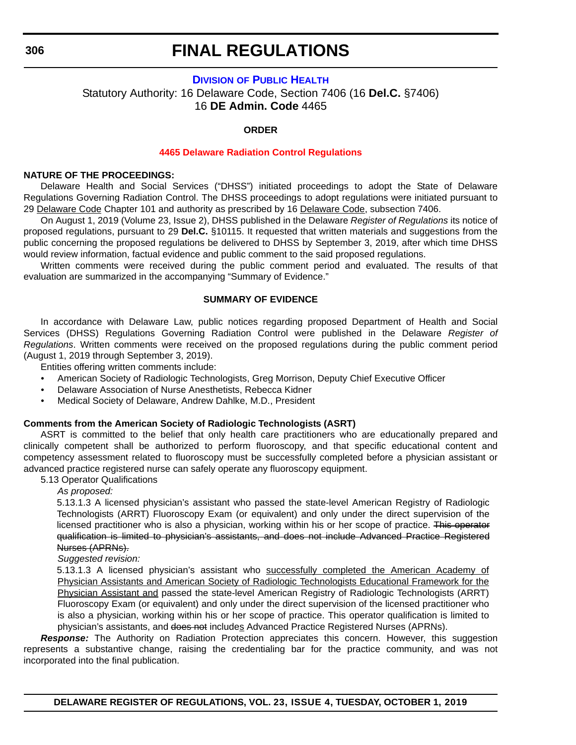#### **DIVISION [OF PUBLIC HEALTH](https://www.dhss.delaware.gov/dhss/dph/index.html)**

Statutory Authority: 16 Delaware Code, Section 7406 (16 **Del.C.** §7406) 16 **DE Admin. Code** 4465

#### **ORDER**

#### **[4465 Delaware Radiation Control Regulations](#page-3-0)**

#### **NATURE OF THE PROCEEDINGS:**

Delaware Health and Social Services ("DHSS") initiated proceedings to adopt the State of Delaware Regulations Governing Radiation Control. The DHSS proceedings to adopt regulations were initiated pursuant to 29 Delaware Code Chapter 101 and authority as prescribed by 16 Delaware Code, subsection 7406.

On August 1, 2019 (Volume 23, Issue 2), DHSS published in the Delaware *Register of Regulations* its notice of proposed regulations, pursuant to 29 **Del.C.** §10115. It requested that written materials and suggestions from the public concerning the proposed regulations be delivered to DHSS by September 3, 2019, after which time DHSS would review information, factual evidence and public comment to the said proposed regulations.

Written comments were received during the public comment period and evaluated. The results of that evaluation are summarized in the accompanying "Summary of Evidence."

#### **SUMMARY OF EVIDENCE**

In accordance with Delaware Law, public notices regarding proposed Department of Health and Social Services (DHSS) Regulations Governing Radiation Control were published in the Delaware *Register of Regulations*. Written comments were received on the proposed regulations during the public comment period (August 1, 2019 through September 3, 2019).

Entities offering written comments include:

- American Society of Radiologic Technologists, Greg Morrison, Deputy Chief Executive Officer
- Delaware Association of Nurse Anesthetists, Rebecca Kidner
- Medical Society of Delaware, Andrew Dahlke, M.D., President

#### **Comments from the American Society of Radiologic Technologists (ASRT)**

ASRT is committed to the belief that only health care practitioners who are educationally prepared and clinically competent shall be authorized to perform fluoroscopy, and that specific educational content and competency assessment related to fluoroscopy must be successfully completed before a physician assistant or advanced practice registered nurse can safely operate any fluoroscopy equipment.

5.13 Operator Qualifications

*As proposed:*

5.13.1.3 A licensed physician's assistant who passed the state-level American Registry of Radiologic Technologists (ARRT) Fluoroscopy Exam (or equivalent) and only under the direct supervision of the licensed practitioner who is also a physician, working within his or her scope of practice. This operator qualification is limited to physician's assistants, and does not include Advanced Practice Registered Nurses (APRNs).

*Suggested revision:*

5.13.1.3 A licensed physician's assistant who successfully completed the American Academy of Physician Assistants and American Society of Radiologic Technologists Educational Framework for the Physician Assistant and passed the state-level American Registry of Radiologic Technologists (ARRT) Fluoroscopy Exam (or equivalent) and only under the direct supervision of the licensed practitioner who is also a physician, working within his or her scope of practice. This operator qualification is limited to physician's assistants, and does not includes Advanced Practice Registered Nurses (APRNs).

**Response:** The Authority on Radiation Protection appreciates this concern. However, this suggestion represents a substantive change, raising the credentialing bar for the practice community, and was not incorporated into the final publication.

**DELAWARE REGISTER OF REGULATIONS, VOL. 23, ISSUE 4, TUESDAY, OCTOBER 1, 2019**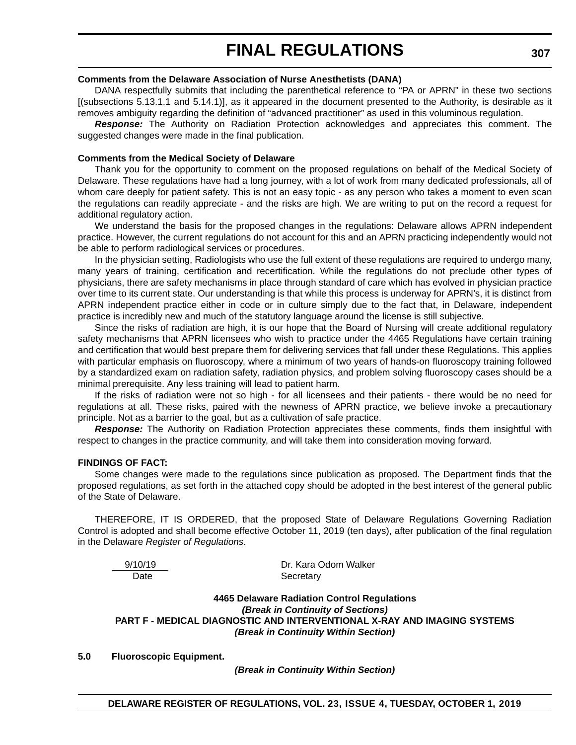#### **Comments from the Delaware Association of Nurse Anesthetists (DANA)**

DANA respectfully submits that including the parenthetical reference to "PA or APRN" in these two sections [(subsections 5.13.1.1 and 5.14.1)], as it appeared in the document presented to the Authority, is desirable as it removes ambiguity regarding the definition of "advanced practitioner" as used in this voluminous regulation.

*Response:* The Authority on Radiation Protection acknowledges and appreciates this comment. The suggested changes were made in the final publication.

#### **Comments from the Medical Society of Delaware**

Thank you for the opportunity to comment on the proposed regulations on behalf of the Medical Society of Delaware. These regulations have had a long journey, with a lot of work from many dedicated professionals, all of whom care deeply for patient safety. This is not an easy topic - as any person who takes a moment to even scan the regulations can readily appreciate - and the risks are high. We are writing to put on the record a request for additional regulatory action.

We understand the basis for the proposed changes in the regulations: Delaware allows APRN independent practice. However, the current regulations do not account for this and an APRN practicing independently would not be able to perform radiological services or procedures.

In the physician setting, Radiologists who use the full extent of these regulations are required to undergo many, many years of training, certification and recertification. While the regulations do not preclude other types of physicians, there are safety mechanisms in place through standard of care which has evolved in physician practice over time to its current state. Our understanding is that while this process is underway for APRN's, it is distinct from APRN independent practice either in code or in culture simply due to the fact that, in Delaware, independent practice is incredibly new and much of the statutory language around the license is still subjective.

Since the risks of radiation are high, it is our hope that the Board of Nursing will create additional regulatory safety mechanisms that APRN licensees who wish to practice under the 4465 Regulations have certain training and certification that would best prepare them for delivering services that fall under these Regulations. This applies with particular emphasis on fluoroscopy, where a minimum of two years of hands-on fluoroscopy training followed by a standardized exam on radiation safety, radiation physics, and problem solving fluoroscopy cases should be a minimal prerequisite. Any less training will lead to patient harm.

If the risks of radiation were not so high - for all licensees and their patients - there would be no need for regulations at all. These risks, paired with the newness of APRN practice, we believe invoke a precautionary principle. Not as a barrier to the goal, but as a cultivation of safe practice.

*Response:* The Authority on Radiation Protection appreciates these comments, finds them insightful with respect to changes in the practice community, and will take them into consideration moving forward.

#### **FINDINGS OF FACT:**

Some changes were made to the regulations since publication as proposed. The Department finds that the proposed regulations, as set forth in the attached copy should be adopted in the best interest of the general public of the State of Delaware.

THEREFORE, IT IS ORDERED, that the proposed State of Delaware Regulations Governing Radiation Control is adopted and shall become effective October 11, 2019 (ten days), after publication of the final regulation in the Delaware *Register of Regulations*.

$$
\frac{9/10/19}{\text{Date}}
$$

Dr. Kara Odom Walker Secretary

**4465 Delaware Radiation Control Regulations** *(Break in Continuity of Sections)* **PART F - MEDICAL DIAGNOSTIC AND INTERVENTIONAL X-RAY AND IMAGING SYSTEMS** *(Break in Continuity Within Section)*

**5.0 Fluoroscopic Equipment.**

*(Break in Continuity Within Section)*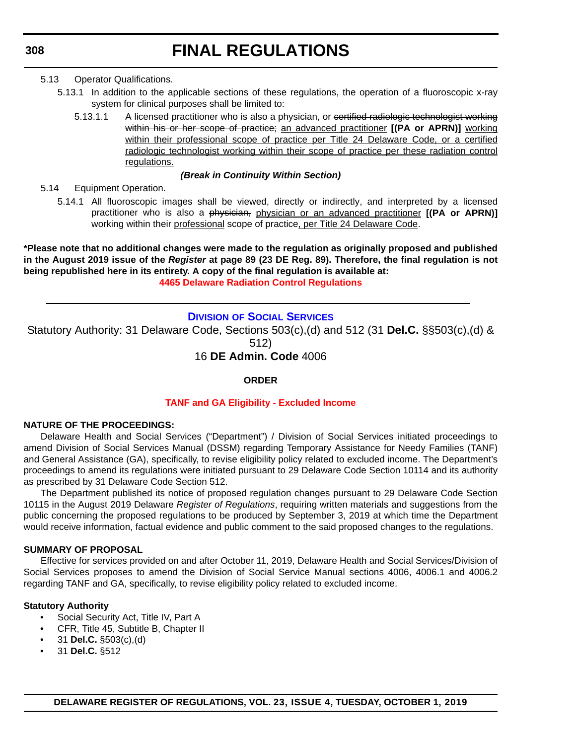#### 5.13 Operator Qualifications.

- 5.13.1 In addition to the applicable sections of these regulations, the operation of a fluoroscopic x-ray system for clinical purposes shall be limited to:
	- 5.13.1.1 A licensed practitioner who is also a physician, or contritied radiologic technologist working within his or her scope of practice; an advanced practitioner **[(PA or APRN)]** working within their professional scope of practice per Title 24 Delaware Code, or a certified radiologic technologist working within their scope of practice per these radiation control regulations.

#### *(Break in Continuity Within Section)*

5.14 Equipment Operation.

5.14.1 All fluoroscopic images shall be viewed, directly or indirectly, and interpreted by a licensed practitioner who is also a physician, physician or an advanced practitioner **[(PA or APRN)]** working within their professional scope of practice, per Title 24 Delaware Code.

**\*Please note that no additional changes were made to the regulation as originally proposed and published in the August 2019 issue of the** *Register* **at page 89 (23 DE Reg. 89). Therefore, the final regulation is not being republished here in its entirety. A copy of the final regulation is available at: [4465 Delaware Radiation Control Regulations](http://regulations.delaware.gov/register/october2019/final/23 DE Reg 306 10-01-19.htm)**

#### **DIVISION [OF SOCIAL SERVICES](https://www.dhss.delaware.gov/dhss/dss/)**

Statutory Authority: 31 Delaware Code, Sections 503(c),(d) and 512 (31 **Del.C.** §§503(c),(d) & 512)

16 **DE Admin. Code** 4006

#### **ORDER**

#### **[TANF and GA Eligibility - Excluded Income](#page-3-0)**

#### **NATURE OF THE PROCEEDINGS:**

Delaware Health and Social Services ("Department") / Division of Social Services initiated proceedings to amend Division of Social Services Manual (DSSM) regarding Temporary Assistance for Needy Families (TANF) and General Assistance (GA), specifically, to revise eligibility policy related to excluded income. The Department's proceedings to amend its regulations were initiated pursuant to 29 Delaware Code Section 10114 and its authority as prescribed by 31 Delaware Code Section 512.

The Department published its notice of proposed regulation changes pursuant to 29 Delaware Code Section 10115 in the August 2019 Delaware *Register of Regulations*, requiring written materials and suggestions from the public concerning the proposed regulations to be produced by September 3, 2019 at which time the Department would receive information, factual evidence and public comment to the said proposed changes to the regulations.

#### **SUMMARY OF PROPOSAL**

Effective for services provided on and after October 11, 2019, Delaware Health and Social Services/Division of Social Services proposes to amend the Division of Social Service Manual sections 4006, 4006.1 and 4006.2 regarding TANF and GA, specifically, to revise eligibility policy related to excluded income.

#### **Statutory Authority**

- Social Security Act, Title IV, Part A
- CFR, Title 45, Subtitle B, Chapter II
- 31 **Del.C.** §503(c),(d)
- 31 **Del.C.** §512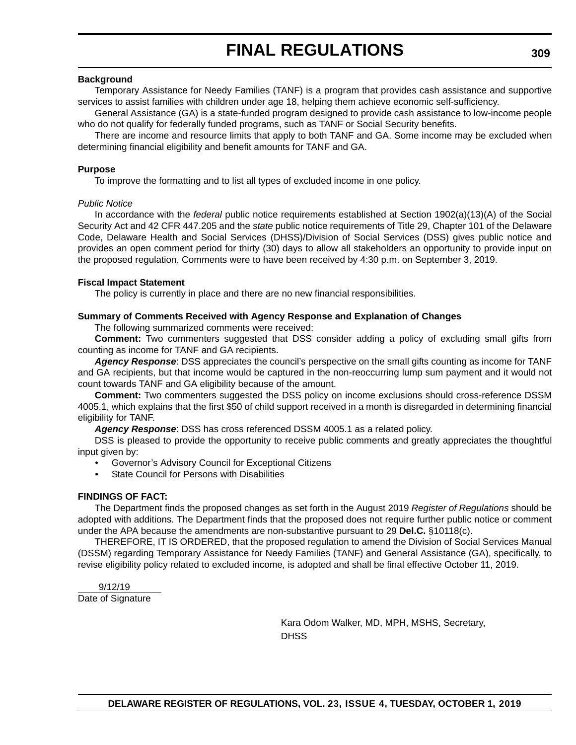#### **Background**

Temporary Assistance for Needy Families (TANF) is a program that provides cash assistance and supportive services to assist families with children under age 18, helping them achieve economic self-sufficiency.

General Assistance (GA) is a state-funded program designed to provide cash assistance to low-income people who do not qualify for federally funded programs, such as TANF or Social Security benefits.

There are income and resource limits that apply to both TANF and GA. Some income may be excluded when determining financial eligibility and benefit amounts for TANF and GA.

#### **Purpose**

To improve the formatting and to list all types of excluded income in one policy.

#### *Public Notice*

In accordance with the *federal* public notice requirements established at Section 1902(a)(13)(A) of the Social Security Act and 42 CFR 447.205 and the *state* public notice requirements of Title 29, Chapter 101 of the Delaware Code, Delaware Health and Social Services (DHSS)/Division of Social Services (DSS) gives public notice and provides an open comment period for thirty (30) days to allow all stakeholders an opportunity to provide input on the proposed regulation. Comments were to have been received by 4:30 p.m. on September 3, 2019.

#### **Fiscal Impact Statement**

The policy is currently in place and there are no new financial responsibilities.

#### **Summary of Comments Received with Agency Response and Explanation of Changes**

The following summarized comments were received:

**Comment:** Two commenters suggested that DSS consider adding a policy of excluding small gifts from counting as income for TANF and GA recipients.

*Agency Response*: DSS appreciates the council's perspective on the small gifts counting as income for TANF and GA recipients, but that income would be captured in the non-reoccurring lump sum payment and it would not count towards TANF and GA eligibility because of the amount.

**Comment:** Two commenters suggested the DSS policy on income exclusions should cross-reference DSSM 4005.1, which explains that the first \$50 of child support received in a month is disregarded in determining financial eligibility for TANF.

*Agency Response*: DSS has cross referenced DSSM 4005.1 as a related policy.

DSS is pleased to provide the opportunity to receive public comments and greatly appreciates the thoughtful input given by:

• Governor's Advisory Council for Exceptional Citizens

**State Council for Persons with Disabilities** 

#### **FINDINGS OF FACT:**

The Department finds the proposed changes as set forth in the August 2019 *Register of Regulations* should be adopted with additions. The Department finds that the proposed does not require further public notice or comment under the APA because the amendments are non-substantive pursuant to 29 **Del.C.** §10118(c).

THEREFORE, IT IS ORDERED, that the proposed regulation to amend the Division of Social Services Manual (DSSM) regarding Temporary Assistance for Needy Families (TANF) and General Assistance (GA), specifically, to revise eligibility policy related to excluded income*,* is adopted and shall be final effective October 11, 2019.

9/12/19

Date of Signature

Kara Odom Walker, MD, MPH, MSHS, Secretary, **DHSS**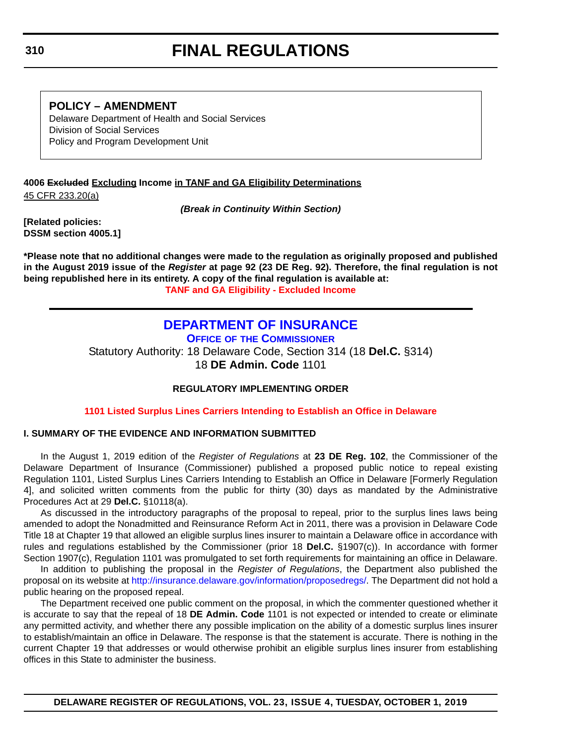### **POLICY – AMENDMENT**

Delaware Department of Health and Social Services Division of Social Services Policy and Program Development Unit

### **4006 Excluded Excluding Income in TANF and GA Eligibility Determinations**

45 CFR 233.20(a)

*(Break in Continuity Within Section)*

**[Related policies: DSSM section 4005.1]**

**\*Please note that no additional changes were made to the regulation as originally proposed and published in the August 2019 issue of the** *Register* **at page 92 (23 DE Reg. 92). Therefore, the final regulation is not being republished here in its entirety. A copy of the final regulation is available at: [TANF and GA Eligibility - Excluded Income](http://regulations.delaware.gov/register/october2019/final/23 DE Reg 308 10-01-19.htm)**

### **[DEPARTMENT OF INSURANCE](https://insurance.delaware.gov/)**

**OFFICE OF THE COMMISSIONER**

Statutory Authority: 18 Delaware Code, Section 314 (18 **Del.C.** §314) 18 **DE Admin. Code** 1101

#### **REGULATORY IMPLEMENTING ORDER**

**[1101 Listed Surplus Lines Carriers Intending to Establish an Office in Delaware](#page-4-0)**

#### **I. SUMMARY OF THE EVIDENCE AND INFORMATION SUBMITTED**

In the August 1, 2019 edition of the *Register of Regulations* at **23 DE Reg. 102**, the Commissioner of the Delaware Department of Insurance (Commissioner) published a proposed public notice to repeal existing Regulation 1101, Listed Surplus Lines Carriers Intending to Establish an Office in Delaware [Formerly Regulation 4], and solicited written comments from the public for thirty (30) days as mandated by the Administrative Procedures Act at 29 **Del.C.** §10118(a).

As discussed in the introductory paragraphs of the proposal to repeal, prior to the surplus lines laws being amended to adopt the Nonadmitted and Reinsurance Reform Act in 2011, there was a provision in Delaware Code Title 18 at Chapter 19 that allowed an eligible surplus lines insurer to maintain a Delaware office in accordance with rules and regulations established by the Commissioner (prior 18 **Del.C.** §1907(c)). In accordance with former Section 1907(c), Regulation 1101 was promulgated to set forth requirements for maintaining an office in Delaware.

In addition to publishing the proposal in the *Register of Regulations*, the Department also published the proposal on its website at<http://insurance.delaware.gov/information/proposedregs/>. The Department did not hold a public hearing on the proposed repeal.

The Department received one public comment on the proposal, in which the commenter questioned whether it is accurate to say that the repeal of 18 **DE Admin. Code** 1101 is not expected or intended to create or eliminate any permitted activity, and whether there any possible implication on the ability of a domestic surplus lines insurer to establish/maintain an office in Delaware. The response is that the statement is accurate. There is nothing in the current Chapter 19 that addresses or would otherwise prohibit an eligible surplus lines insurer from establishing offices in this State to administer the business.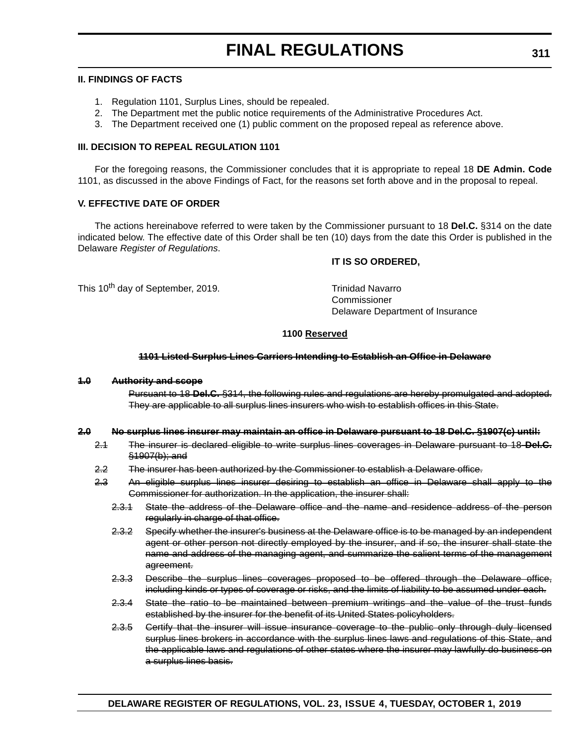#### **II. FINDINGS OF FACTS**

- 1. Regulation 1101, Surplus Lines, should be repealed.
- 2. The Department met the public notice requirements of the Administrative Procedures Act.
- 3. The Department received one (1) public comment on the proposed repeal as reference above.

#### **III. DECISION TO REPEAL REGULATION 1101**

For the foregoing reasons, the Commissioner concludes that it is appropriate to repeal 18 **DE Admin. Code** 1101, as discussed in the above Findings of Fact, for the reasons set forth above and in the proposal to repeal.

#### **V. EFFECTIVE DATE OF ORDER**

The actions hereinabove referred to were taken by the Commissioner pursuant to 18 **Del.C.** §314 on the date indicated below. The effective date of this Order shall be ten (10) days from the date this Order is published in the Delaware *Register of Regulations*.

#### **IT IS SO ORDERED,**

This 10<sup>th</sup> day of September, 2019. This 10<sup>th</sup> day of September, 2019.

Commissioner Delaware Department of Insurance

#### **1100 Reserved**

#### **1101 Listed Surplus Lines Carriers Intending to Establish an Office in Delaware**

#### **1.0 Authority and scope**

Pursuant to 18 **Del.C.** §314, the following rules and regulations are hereby promulgated and adopted. They are applicable to all surplus lines insurers who wish to establish offices in this State.

#### **2.0 No surplus lines insurer may maintain an office in Delaware pursuant to 18 Del.C. §1907(c) until:**

- 2.1 The insurer is declared eligible to write surplus lines coverages in Delaware pursuant to 18 **Del.C.** §1907(b); and
- 2.2 The insurer has been authorized by the Commissioner to establish a Delaware office.
- 2.3 An eligible surplus lines insurer desiring to establish an office in Delaware shall apply to the Commissioner for authorization. In the application, the insurer shall:
	- 2.3.1 State the address of the Delaware office and the name and residence address of the person regularly in charge of that office.
	- 2.3.2 Specify whether the insurer's business at the Delaware office is to be managed by an independent agent or other person not directly employed by the insurer, and if so, the insurer shall state the name and address of the managing agent, and summarize the salient terms of the management agreement.
	- 2.3.3 Describe the surplus lines coverages proposed to be offered through the Delaware office, including kinds or types of coverage or risks, and the limits of liability to be assumed under each.
	- 2.3.4 State the ratio to be maintained between premium writings and the value of the trust funds established by the insurer for the benefit of its United States policyholders.
	- 2.3.5 Certify that the insurer will issue insurance coverage to the public only through duly licensed surplus lines brokers in accordance with the surplus lines laws and regulations of this State, and the applicable laws and regulations of other states where the insurer may lawfully do business on a surplus lines basis.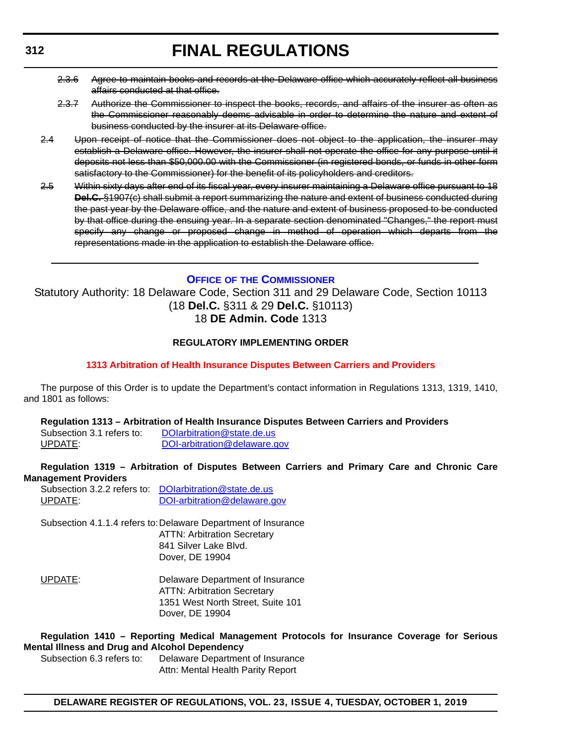- 2.3.6 Agree to maintain books and records at the Delaware office which accurately reflect all business affairs conducted at that office.
- 2.3.7 Authorize the Commissioner to inspect the books, records, and affairs of the insurer as often as the Commissioner reasonably deems advisable in order to determine the nature and extent of business conducted by the insurer at its Delaware office.
- 2.4 Upon receipt of notice that the Commissioner does not object to the application, the insurer may establish a Delaware office. However, the insurer shall not operate the office for any purpose until it deposits not less than \$50,000.00 with the Commissioner (in registered bonds, or funds in other form satisfactory to the Commissioner) for the benefit of its policyholders and creditors.
- 2.5 Within sixty days after end of its fiscal year, every insurer maintaining a Delaware office pursuant to 18 **Del.C.** §1907(c) shall submit a report summarizing the nature and extent of business conducted during the past year by the Delaware office, and the nature and extent of business proposed to be conducted by that office during the ensuing year. In a separate section denominated "Changes," the report must specify any change or proposed change in method of operation which departs from the representations made in the application to establish the Delaware office.

#### **OFFICE OF [THE COMMISSIONER](https://insurance.delaware.gov/)**

Statutory Authority: 18 Delaware Code, Section 311 and 29 Delaware Code, Section 10113 (18 **Del.C.** §311 & 29 **Del.C.** §10113) 18 **DE Admin. Code** 1313

#### **REGULATORY IMPLEMENTING ORDER**

#### **[1313 Arbitration of Health Insurance Disputes Between Carriers and Providers](#page-4-0)**

The purpose of this Order is to update the Department's contact information in Regulations 1313, 1319, 1410, and 1801 as follows:

#### **Regulation 1313 – Arbitration of Health Insurance Disputes Between Carriers and Providers**

Subsection 3.1 refers to: DOIarbitration@state.de.us UPDATE: [DOI-arbitration@delaware.gov](mailto:DOI-arbitration@delaware.gov)

#### **Regulation 1319 – Arbitration of Disputes Between Carriers and Primary Care and Chronic Care Management Providers**

|         | Subsection 3.2.2 refers to DOIarbitration@state.de.us |
|---------|-------------------------------------------------------|
| UPDATE: | DOI-arbitration@delaware.gov                          |

Subsection 4.1.1.4 refers to:Delaware Department of Insurance ATTN: Arbitration Secretary 841 Silver Lake Blvd. Dover, DE 19904

UPDATE: Delaware Department of Insurance ATTN: Arbitration Secretary 1351 West North Street, Suite 101 Dover, DE 19904

#### **Regulation 1410 – Reporting Medical Management Protocols for Insurance Coverage for Serious Mental Illness and Drug and Alcohol Dependency**

Subsection 6.3 refers to: Delaware Department of Insurance Attn: Mental Health Parity Report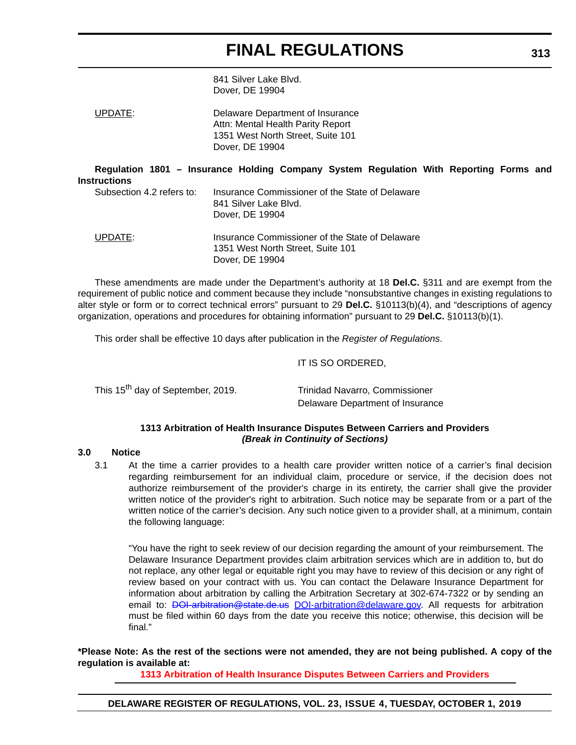841 Silver Lake Blvd. Dover, DE 19904

UPDATE: Delaware Department of Insurance Attn: Mental Health Parity Report 1351 West North Street, Suite 101 Dover, DE 19904

**Regulation 1801 – Insurance Holding Company System Regulation With Reporting Forms and Instructions**

| Subsection 4.2 refers to: | Insurance Commissioner of the State of Delaware<br>841 Silver Lake Blvd.<br>Dover, DE 19904 |
|---------------------------|---------------------------------------------------------------------------------------------|
| UPDATE:                   | Insurance Commissioner of the State of Delaware<br>1351 West North Street, Suite 101        |

Dover, DE 19904

These amendments are made under the Department's authority at 18 **Del.C.** §311 and are exempt from the requirement of public notice and comment because they include "nonsubstantive changes in existing regulations to alter style or form or to correct technical errors" pursuant to 29 **Del.C.** §10113(b)(4), and "descriptions of agency organization, operations and procedures for obtaining information" pursuant to 29 **Del.C.** §10113(b)(1).

This order shall be effective 10 days after publication in the *Register of Regulations*.

#### IT IS SO ORDERED,

| This 15 <sup>th</sup> day of September, 2019. | <b>Trinidad Navarro, Commissioner</b> |  |  |  |  |
|-----------------------------------------------|---------------------------------------|--|--|--|--|
|                                               | Delaware Department of Insurance      |  |  |  |  |

#### **1313 Arbitration of Health Insurance Disputes Between Carriers and Providers** *(Break in Continuity of Sections)*

#### **3.0 Notice**

3.1 At the time a carrier provides to a health care provider written notice of a carrier's final decision regarding reimbursement for an individual claim, procedure or service, if the decision does not authorize reimbursement of the provider's charge in its entirety, the carrier shall give the provider written notice of the provider's right to arbitration. Such notice may be separate from or a part of the written notice of the carrier's decision. Any such notice given to a provider shall, at a minimum, contain the following language:

"You have the right to seek review of our decision regarding the amount of your reimbursement. The Delaware Insurance Department provides claim arbitration services which are in addition to, but do not replace, any other legal or equitable right you may have to review of this decision or any right of review based on your contract with us. You can contact the Delaware Insurance Department for information about arbitration by calling the Arbitration Secretary at 302-674-7322 or by sending an email to: [DOI-arbitration@state.de.us](mailto:DOI-arbitration@state.de.us) [DOI-arbitration@delaware.gov.](mailto:DOI-arbitration@delaware.gov) All requests for arbitration must be filed within 60 days from the date you receive this notice; otherwise, this decision will be final."

#### **\*Please Note: As the rest of the sections were not amended, they are not being published. A copy of the regulation is available at:**

**[1313 Arbitration of Health Insurance Disputes Between Carriers and Providers](http://regulations.delaware.gov/register/october2019/final/23 DE Reg 312 10-01-19.htm)**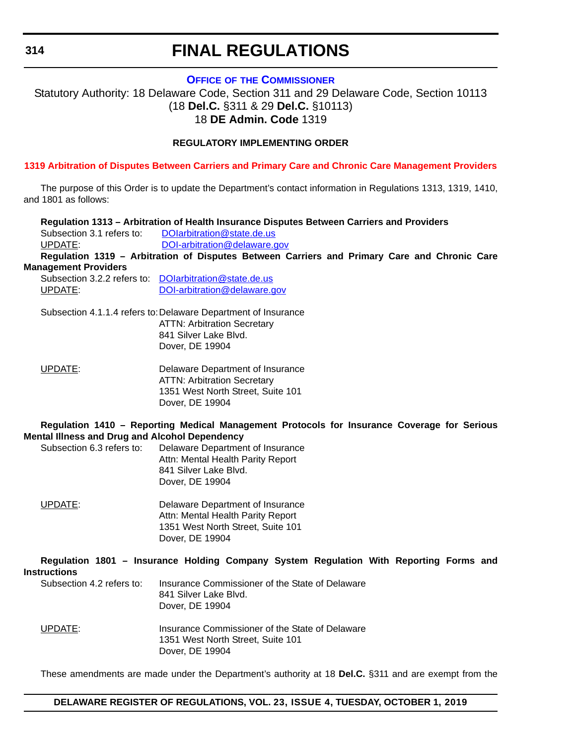**OFFICE OF [THE COMMISSIONER](https://insurance.delaware.gov/)**

Statutory Authority: 18 Delaware Code, Section 311 and 29 Delaware Code, Section 10113 (18 **Del.C.** §311 & 29 **Del.C.** §10113) 18 **DE Admin. Code** 1319

#### **REGULATORY IMPLEMENTING ORDER**

**[1319 Arbitration of Disputes Between Carriers and Primary Care and Chronic Care Management Providers](#page-4-0)**

The purpose of this Order is to update the Department's contact information in Regulations 1313, 1319, 1410, and 1801 as follows:

|                                                                             | Regulation 1313 - Arbitration of Health Insurance Disputes Between Carriers and Providers                                       |
|-----------------------------------------------------------------------------|---------------------------------------------------------------------------------------------------------------------------------|
| Subsection 3.1 refers to:                                                   | DOIarbitration@state.de.us                                                                                                      |
| UPDATE:                                                                     | DOI-arbitration@delaware.gov                                                                                                    |
|                                                                             | Regulation 1319 - Arbitration of Disputes Between Carriers and Primary Care and Chronic Care                                    |
| <b>Management Providers</b>                                                 |                                                                                                                                 |
|                                                                             | Subsection 3.2.2 refers to: DOIarbitration@state.de.us                                                                          |
| UPDATE:                                                                     | DOI-arbitration@delaware.gov                                                                                                    |
|                                                                             | Subsection 4.1.1.4 refers to: Delaware Department of Insurance                                                                  |
|                                                                             | <b>ATTN: Arbitration Secretary</b>                                                                                              |
|                                                                             | 841 Silver Lake Blvd.                                                                                                           |
|                                                                             | Dover, DE 19904                                                                                                                 |
| UPDATE:                                                                     | Delaware Department of Insurance                                                                                                |
|                                                                             | <b>ATTN: Arbitration Secretary</b>                                                                                              |
|                                                                             | 1351 West North Street, Suite 101                                                                                               |
|                                                                             | Dover, DE 19904                                                                                                                 |
| Mental Illness and Drug and Alcohol Dependency<br>Subsection 6.3 refers to: | Regulation 1410 - Reporting Medical Management Protocols for Insurance Coverage for Serious<br>Delaware Department of Insurance |
|                                                                             | Attn: Mental Health Parity Report<br>841 Silver Lake Blvd.<br>Dover, DE 19904                                                   |
| UPDATE:                                                                     | Delaware Department of Insurance<br>Attn: Mental Health Parity Report<br>1351 West North Street, Suite 101<br>Dover, DE 19904   |
| <b>Instructions</b>                                                         | Regulation 1801 - Insurance Holding Company System Regulation With Reporting Forms and                                          |
| Subsection 4.2 refers to:                                                   | Insurance Commissioner of the State of Delaware<br>841 Silver Lake Blvd.<br>Dover, DE 19904                                     |
| <b>UPDATE:</b>                                                              | Insurance Commissioner of the State of Delaware<br>1351 West North Street, Suite 101<br>Dover, DE 19904                         |
|                                                                             | These amendments are made under the Department's authority at 18 Del.C. §311 and are exempt from the                            |

#### **DELAWARE REGISTER OF REGULATIONS, VOL. 23, ISSUE 4, TUESDAY, OCTOBER 1, 2019**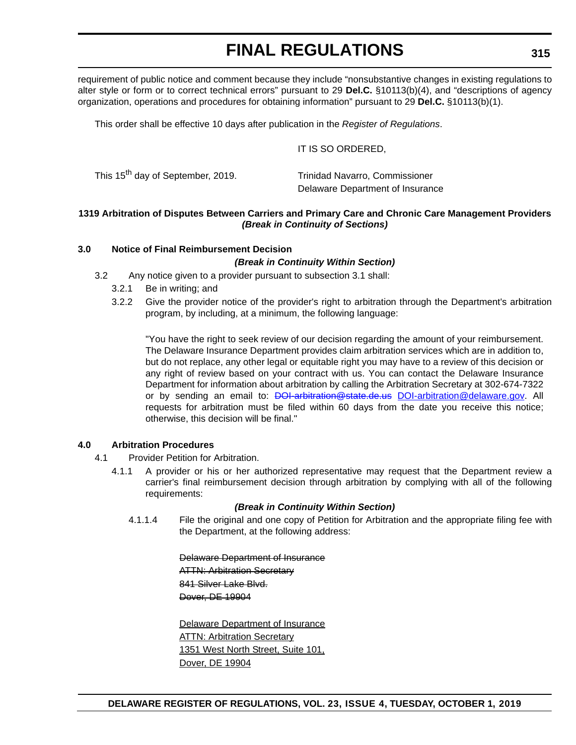requirement of public notice and comment because they include "nonsubstantive changes in existing regulations to alter style or form or to correct technical errors" pursuant to 29 **Del.C.** §10113(b)(4), and "descriptions of agency organization, operations and procedures for obtaining information" pursuant to 29 **Del.C.** §10113(b)(1).

This order shall be effective 10 days after publication in the *Register of Regulations*.

#### IT IS SO ORDERED,

| This 15 <sup>th</sup> day of September, 2019. | <b>Trinidad Navarro, Commissioner</b> |
|-----------------------------------------------|---------------------------------------|
|                                               | Delaware Department of Insurance      |

#### **1319 Arbitration of Disputes Between Carriers and Primary Care and Chronic Care Management Providers** *(Break in Continuity of Sections)*

#### **3.0 Notice of Final Reimbursement Decision**

#### *(Break in Continuity Within Section)*

- 3.2 Any notice given to a provider pursuant to subsection 3.1 shall:
	- 3.2.1 Be in writing; and
	- 3.2.2 Give the provider notice of the provider's right to arbitration through the Department's arbitration program, by including, at a minimum, the following language:

"You have the right to seek review of our decision regarding the amount of your reimbursement. The Delaware Insurance Department provides claim arbitration services which are in addition to, but do not replace, any other legal or equitable right you may have to a review of this decision or any right of review based on your contract with us. You can contact the Delaware Insurance Department for information about arbitration by calling the Arbitration Secretary at 302-674-7322 or by sending an email to: <del>DOI-arbitration@state.de.us</del> [DOI-arbitration@delaware.gov.](mailto:DOI-arbitration@delaware.gov) All requests for arbitration must be filed within 60 days from the date you receive this notice; otherwise, this decision will be final."

#### **4.0 Arbitration Procedures**

- 4.1 Provider Petition for Arbitration.
	- 4.1.1 A provider or his or her authorized representative may request that the Department review a carrier's final reimbursement decision through arbitration by complying with all of the following requirements:

#### *(Break in Continuity Within Section)*

4.1.1.4 File the original and one copy of Petition for Arbitration and the appropriate filing fee with the Department, at the following address:

> Delaware Department of Insurance ATTN: Arbitration Secretary 841 Silver Lake Blvd. Dover, DE 19904

Delaware Department of Insurance **ATTN: Arbitration Secretary** 1351 West North Street, Suite 101, Dover, DE 19904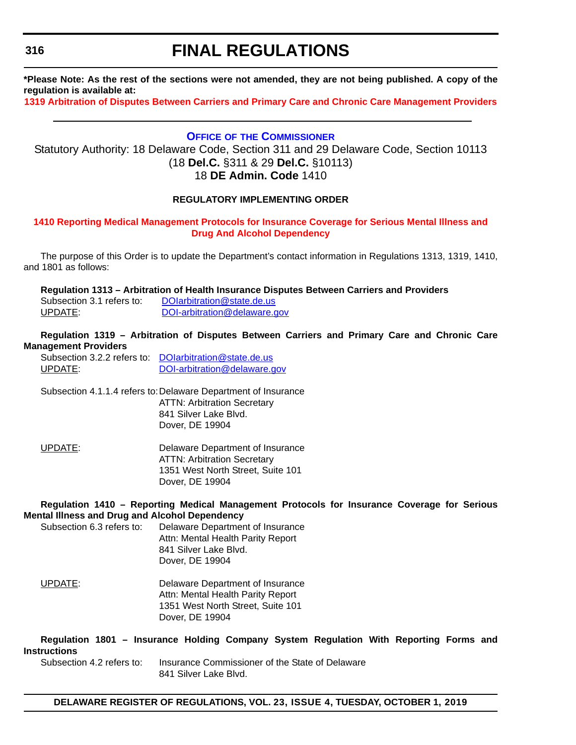**\*Please Note: As the rest of the sections were not amended, they are not being published. A copy of the regulation is available at:**

**[1319 Arbitration of Disputes Between Carriers and Primary Care and Chronic Care Management Providers](http://regulations.delaware.gov/register/october2019/final/23 DE Reg 314 10-01-19.htm)**

#### **OFFICE OF [THE COMMISSIONER](https://insurance.delaware.gov/)**

Statutory Authority: 18 Delaware Code, Section 311 and 29 Delaware Code, Section 10113 (18 **Del.C.** §311 & 29 **Del.C.** §10113) 18 **DE Admin. Code** 1410

#### **REGULATORY IMPLEMENTING ORDER**

#### **[1410 Reporting Medical Management Protocols for Insurance Coverage for Serious Mental Illness and](#page-4-0)  Drug And Alcohol Dependency**

The purpose of this Order is to update the Department's contact information in Regulations 1313, 1319, 1410, and 1801 as follows:

**Regulation 1313 – Arbitration of Health Insurance Disputes Between Carriers and Providers**

Subsection 3.1 refers to: DOIarbitration@state.de.us UPDATE: [DOI-arbitration@delaware.gov](mailto:DOI-arbitration@delaware.gov)

#### **Regulation 1319 – Arbitration of Disputes Between Carriers and Primary Care and Chronic Care Management Providers**

Subsection 3.2.2 refers to: [DOIarbitration@state.de.us](mailto:DOI-arbitration@state.de.us) UPDATE: [DOI-arbitration@delaware.gov](mailto:DOI-arbitration@delaware.gov)

Subsection 4.1.1.4 refers to:Delaware Department of Insurance ATTN: Arbitration Secretary 841 Silver Lake Blvd. Dover, DE 19904

UPDATE: Delaware Department of Insurance ATTN: Arbitration Secretary 1351 West North Street, Suite 101 Dover, DE 19904

#### **Regulation 1410 – Reporting Medical Management Protocols for Insurance Coverage for Serious Mental Illness and Drug and Alcohol Dependency**

Subsection 6.3 refers to: Delaware Department of Insurance Attn: Mental Health Parity Report 841 Silver Lake Blvd. Dover, DE 19904

UPDATE: Delaware Department of Insurance Attn: Mental Health Parity Report 1351 West North Street, Suite 101 Dover, DE 19904

**Regulation 1801 – Insurance Holding Company System Regulation With Reporting Forms and Instructions**

Subsection 4.2 refers to: Insurance Commissioner of the State of Delaware 841 Silver Lake Blvd.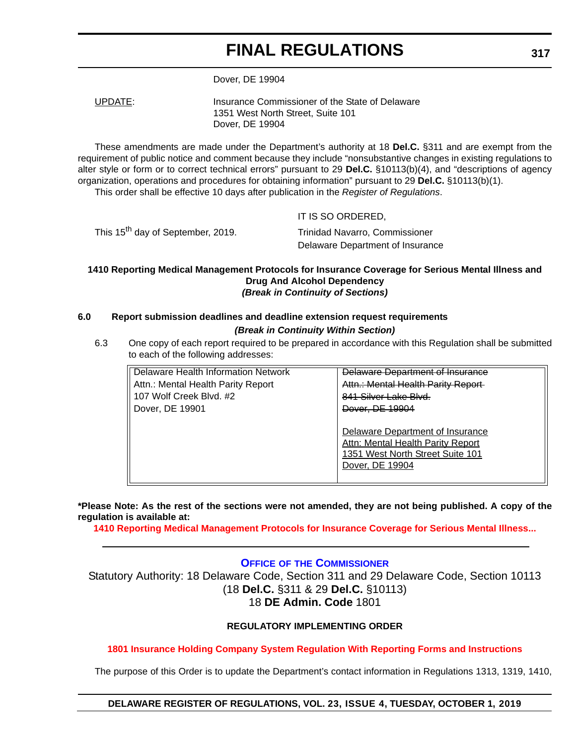Dover, DE 19904

UPDATE: Insurance Commissioner of the State of Delaware 1351 West North Street, Suite 101 Dover, DE 19904

These amendments are made under the Department's authority at 18 **Del.C.** §311 and are exempt from the requirement of public notice and comment because they include "nonsubstantive changes in existing regulations to alter style or form or to correct technical errors" pursuant to 29 **Del.C.** §10113(b)(4), and "descriptions of agency organization, operations and procedures for obtaining information" pursuant to 29 **Del.C.** §10113(b)(1). This order shall be effective 10 days after publication in the *Register of Regulations*.

IT IS SO ORDERED,

This 15<sup>th</sup> day of September, 2019. Trinidad Navarro, Commissioner

Delaware Department of Insurance

#### **1410 Reporting Medical Management Protocols for Insurance Coverage for Serious Mental Illness and Drug And Alcohol Dependency** *(Break in Continuity of Sections)*

#### **6.0 Report submission deadlines and deadline extension request requirements** *(Break in Continuity Within Section)*

6.3 One copy of each report required to be prepared in accordance with this Regulation shall be submitted to each of the following addresses:

| Delaware Health Information Network | <del>Delaware Department of Insurance</del>                                                                                         |
|-------------------------------------|-------------------------------------------------------------------------------------------------------------------------------------|
| Attn.: Mental Health Parity Report  | Attn.: Mental Health Parity Report                                                                                                  |
| 107 Wolf Creek Blvd. #2             | 841 Silver Lake Blyd                                                                                                                |
| Dover, DE 19901                     | Dover, DE 19904                                                                                                                     |
|                                     | Delaware Department of Insurance<br><b>Attn: Mental Health Parity Report</b><br>1351 West North Street Suite 101<br>Dover, DE 19904 |

**\*Please Note: As the rest of the sections were not amended, they are not being published. A copy of the regulation is available at:**

**[1410 Reporting Medical Management Protocols for Insurance Coverage for Serious Mental Illness...](http://regulations.delaware.gov/register/october2019/final/23 DE Reg 316 10-01-19.htm)**

#### **OFFICE OF [THE COMMISSIONER](https://insurance.delaware.gov/)**

Statutory Authority: 18 Delaware Code, Section 311 and 29 Delaware Code, Section 10113 (18 **Del.C.** §311 & 29 **Del.C.** §10113) 18 **DE Admin. Code** 1801

#### **REGULATORY IMPLEMENTING ORDER**

#### **[1801 Insurance Holding Company System Regulation With Reporting Forms and Instructions](#page-4-0)**

The purpose of this Order is to update the Department's contact information in Regulations 1313, 1319, 1410,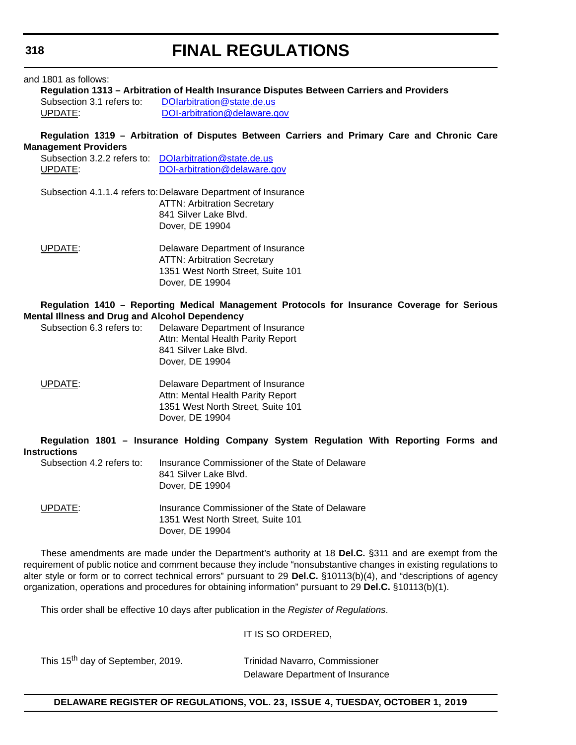#### and 1801 as follows:

**Regulation 1313 – Arbitration of Health Insurance Disputes Between Carriers and Providers** Subsection 3.1 refers to: DOIarbitration@state.de.us UPDATE: [DOI-arbitration@delaware.gov](mailto:DOI-arbitration@delaware.gov)

**Regulation 1319 – Arbitration of Disputes Between Carriers and Primary Care and Chronic Care Management Providers**

|         | Subsection 3.2.2 refers to DOIarbitration@state.de.us |
|---------|-------------------------------------------------------|
| UPDATE: | DOI-arbitration@delaware.gov                          |

Subsection 4.1.1.4 refers to:Delaware Department of Insurance ATTN: Arbitration Secretary 841 Silver Lake Blvd. Dover, DE 19904

| UPDATE: | Delaware Department of Insurance   |
|---------|------------------------------------|
|         | <b>ATTN: Arbitration Secretary</b> |
|         | 1351 West North Street, Suite 101  |
|         | Dover, DE 19904                    |

#### **Regulation 1410 – Reporting Medical Management Protocols for Insurance Coverage for Serious Mental Illness and Drug and Alcohol Dependency**

| Subsection 6.3 refers to: | Delaware Department of Insurance  |
|---------------------------|-----------------------------------|
|                           | Attn: Mental Health Parity Report |
|                           | 841 Silver Lake Blvd.             |
|                           | Dover, DE 19904                   |

UPDATE: Delaware Department of Insurance Attn: Mental Health Parity Report 1351 West North Street, Suite 101 Dover, DE 19904

|                                                                |  |                                          |  | Regulation 1801 - Insurance Holding Company System Regulation With Reporting Forms and |  |  |
|----------------------------------------------------------------|--|------------------------------------------|--|----------------------------------------------------------------------------------------|--|--|
| <b>Instructions</b>                                            |  |                                          |  |                                                                                        |  |  |
| Subsection 4.2 refers to:                                      |  | 841 Silver Lake Blvd.<br>Dover, DE 19904 |  | Insurance Commissioner of the State of Delaware                                        |  |  |
| $\mathsf{LIP}\mathsf{D}\mathsf{A}\mathsf{TF} \cdot \mathsf{I}$ |  |                                          |  | Insurance Commissioner of the State of Delaware                                        |  |  |

ommissioner of the State of Delaware 1351 West North Street, Suite 101 Dover, DE 19904

These amendments are made under the Department's authority at 18 **Del.C.** §311 and are exempt from the requirement of public notice and comment because they include "nonsubstantive changes in existing regulations to alter style or form or to correct technical errors" pursuant to 29 **Del.C.** §10113(b)(4), and "descriptions of agency organization, operations and procedures for obtaining information" pursuant to 29 **Del.C.** §10113(b)(1).

This order shall be effective 10 days after publication in the *Register of Regulations*.

IT IS SO ORDERED,

This 15<sup>th</sup> day of September, 2019. Trinidad Navarro, Commissioner

Delaware Department of Insurance

#### **DELAWARE REGISTER OF REGULATIONS, VOL. 23, ISSUE 4, TUESDAY, OCTOBER 1, 2019**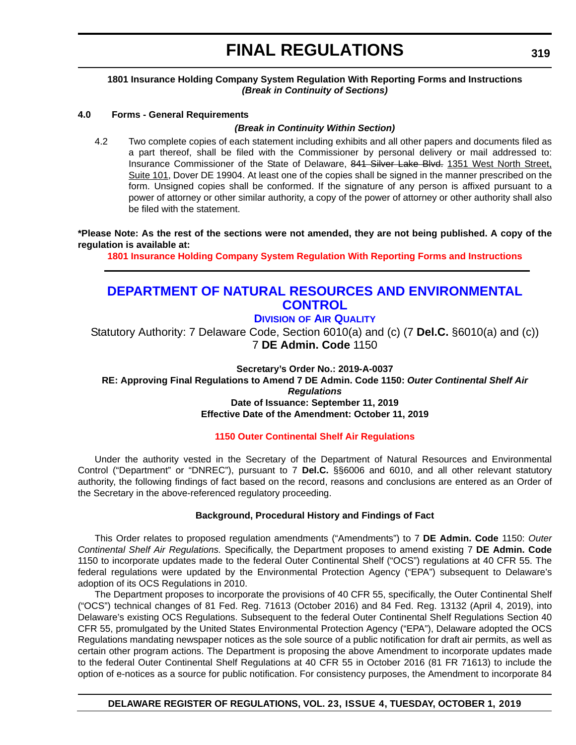#### **1801 Insurance Holding Company System Regulation With Reporting Forms and Instructions** *(Break in Continuity of Sections)*

#### **4.0 Forms - General Requirements**

#### *(Break in Continuity Within Section)*

4.2 Two complete copies of each statement including exhibits and all other papers and documents filed as a part thereof, shall be filed with the Commissioner by personal delivery or mail addressed to: Insurance Commissioner of the State of Delaware, 841 Silver Lake Blvd. 1351 West North Street, Suite 101, Dover DE 19904. At least one of the copies shall be signed in the manner prescribed on the form. Unsigned copies shall be conformed. If the signature of any person is affixed pursuant to a power of attorney or other similar authority, a copy of the power of attorney or other authority shall also be filed with the statement.

**\*Please Note: As the rest of the sections were not amended, they are not being published. A copy of the regulation is available at:**

**[1801 Insurance Holding Company System Regulation With Reporting Forms and Instructions](http://regulations.delaware.gov/register/october2019/final/23 DE Reg 317 10-01-19.htm)**

### **[DEPARTMENT OF NATURAL RESOURCES AND ENVIRONMENTAL](https://dnrec.alpha.delaware.gov/air/)  CONTROL**

#### **DIVISION OF AIR QUALITY**

Statutory Authority: 7 Delaware Code, Section 6010(a) and (c) (7 **Del.C.** §6010(a) and (c)) 7 **DE Admin. Code** 1150

**Secretary's Order No.: 2019-A-0037**

**RE: Approving Final Regulations to Amend 7 DE Admin. Code 1150:** *Outer Continental Shelf Air Regulations* **Date of Issuance: September 11, 2019 Effective Date of the Amendment: October 11, 2019**

#### **[1150 Outer Continental Shelf Air Regulations](#page-4-0)**

Under the authority vested in the Secretary of the Department of Natural Resources and Environmental Control ("Department" or "DNREC"), pursuant to 7 **Del.C.** §§6006 and 6010, and all other relevant statutory authority, the following findings of fact based on the record, reasons and conclusions are entered as an Order of the Secretary in the above-referenced regulatory proceeding.

#### **Background, Procedural History and Findings of Fact**

This Order relates to proposed regulation amendments ("Amendments") to 7 **DE Admin. Code** 1150: *Outer Continental Shelf Air Regulations.* Specifically, the Department proposes to amend existing 7 **DE Admin. Code** 1150 to incorporate updates made to the federal Outer Continental Shelf ("OCS") regulations at 40 CFR 55. The federal regulations were updated by the Environmental Protection Agency ("EPA") subsequent to Delaware's adoption of its OCS Regulations in 2010.

The Department proposes to incorporate the provisions of 40 CFR 55, specifically, the Outer Continental Shelf ("OCS") technical changes of 81 Fed. Reg. 71613 (October 2016) and 84 Fed. Reg. 13132 (April 4, 2019), into Delaware's existing OCS Regulations. Subsequent to the federal Outer Continental Shelf Regulations Section 40 CFR 55, promulgated by the United States Environmental Protection Agency ("EPA"), Delaware adopted the OCS Regulations mandating newspaper notices as the sole source of a public notification for draft air permits, as well as certain other program actions. The Department is proposing the above Amendment to incorporate updates made to the federal Outer Continental Shelf Regulations at 40 CFR 55 in October 2016 (81 FR 71613) to include the option of e-notices as a source for public notification. For consistency purposes, the Amendment to incorporate 84

#### **DELAWARE REGISTER OF REGULATIONS, VOL. 23, ISSUE 4, TUESDAY, OCTOBER 1, 2019**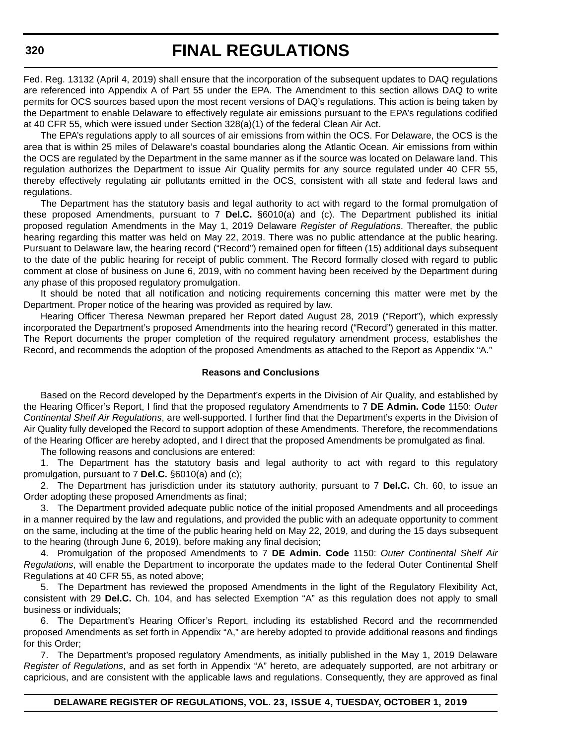Fed. Reg. 13132 (April 4, 2019) shall ensure that the incorporation of the subsequent updates to DAQ regulations are referenced into Appendix A of Part 55 under the EPA. The Amendment to this section allows DAQ to write permits for OCS sources based upon the most recent versions of DAQ's regulations. This action is being taken by the Department to enable Delaware to effectively regulate air emissions pursuant to the EPA's regulations codified at 40 CFR 55, which were issued under Section 328(a)(1) of the federal Clean Air Act.

The EPA's regulations apply to all sources of air emissions from within the OCS. For Delaware, the OCS is the area that is within 25 miles of Delaware's coastal boundaries along the Atlantic Ocean. Air emissions from within the OCS are regulated by the Department in the same manner as if the source was located on Delaware land. This regulation authorizes the Department to issue Air Quality permits for any source regulated under 40 CFR 55, thereby effectively regulating air pollutants emitted in the OCS, consistent with all state and federal laws and regulations.

The Department has the statutory basis and legal authority to act with regard to the formal promulgation of these proposed Amendments, pursuant to 7 **Del.C.** §6010(a) and (c). The Department published its initial proposed regulation Amendments in the May 1, 2019 Delaware *Register of Regulations*. Thereafter, the public hearing regarding this matter was held on May 22, 2019. There was no public attendance at the public hearing. Pursuant to Delaware law, the hearing record ("Record") remained open for fifteen (15) additional days subsequent to the date of the public hearing for receipt of public comment. The Record formally closed with regard to public comment at close of business on June 6, 2019, with no comment having been received by the Department during any phase of this proposed regulatory promulgation.

It should be noted that all notification and noticing requirements concerning this matter were met by the Department. Proper notice of the hearing was provided as required by law.

Hearing Officer Theresa Newman prepared her Report dated August 28, 2019 ("Report"), which expressly incorporated the Department's proposed Amendments into the hearing record ("Record") generated in this matter. The Report documents the proper completion of the required regulatory amendment process, establishes the Record, and recommends the adoption of the proposed Amendments as attached to the Report as Appendix "A."

#### **Reasons and Conclusions**

Based on the Record developed by the Department's experts in the Division of Air Quality, and established by the Hearing Officer's Report, I find that the proposed regulatory Amendments to 7 **DE Admin. Code** 1150: *Outer Continental Shelf Air Regulations*, are well-supported. I further find that the Department's experts in the Division of Air Quality fully developed the Record to support adoption of these Amendments. Therefore, the recommendations of the Hearing Officer are hereby adopted, and I direct that the proposed Amendments be promulgated as final.

The following reasons and conclusions are entered:

1. The Department has the statutory basis and legal authority to act with regard to this regulatory promulgation, pursuant to 7 **Del.C.** §6010(a) and (c);

2. The Department has jurisdiction under its statutory authority, pursuant to 7 **Del.C.** Ch. 60, to issue an Order adopting these proposed Amendments as final;

3. The Department provided adequate public notice of the initial proposed Amendments and all proceedings in a manner required by the law and regulations, and provided the public with an adequate opportunity to comment on the same, including at the time of the public hearing held on May 22, 2019, and during the 15 days subsequent to the hearing (through June 6, 2019), before making any final decision;

4. Promulgation of the proposed Amendments to 7 **DE Admin. Code** 1150: *Outer Continental Shelf Air Regulations*, will enable the Department to incorporate the updates made to the federal Outer Continental Shelf Regulations at 40 CFR 55, as noted above;

5. The Department has reviewed the proposed Amendments in the light of the Regulatory Flexibility Act, consistent with 29 **Del.C.** Ch. 104, and has selected Exemption "A" as this regulation does not apply to small business or individuals;

6. The Department's Hearing Officer's Report, including its established Record and the recommended proposed Amendments as set forth in Appendix "A," are hereby adopted to provide additional reasons and findings for this Order;

7. The Department's proposed regulatory Amendments, as initially published in the May 1, 2019 Delaware *Register of Regulations*, and as set forth in Appendix "A" hereto, are adequately supported, are not arbitrary or capricious, and are consistent with the applicable laws and regulations. Consequently, they are approved as final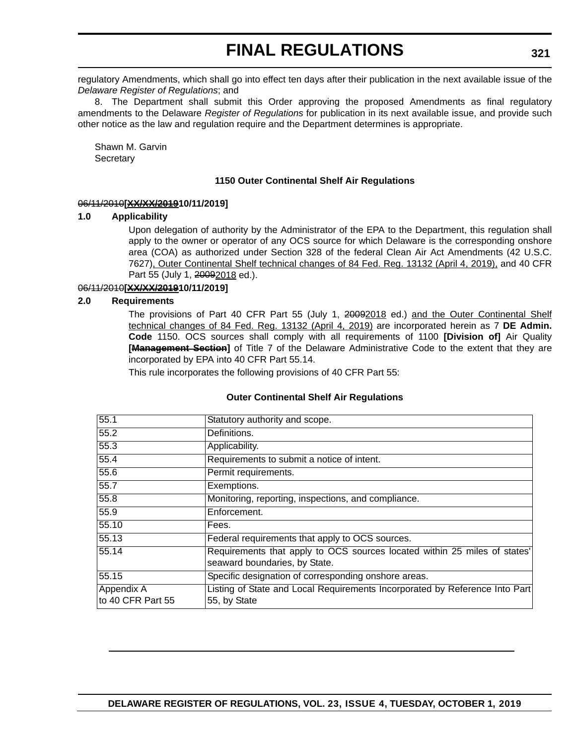regulatory Amendments, which shall go into effect ten days after their publication in the next available issue of the *Delaware Register of Regulations*; and

8. The Department shall submit this Order approving the proposed Amendments as final regulatory amendments to the Delaware *Register of Regulations* for publication in its next available issue, and provide such other notice as the law and regulation require and the Department determines is appropriate.

Shawn M. Garvin **Secretary** 

#### **1150 Outer Continental Shelf Air Regulations**

#### 06/11/2010**[XX/XX/201910/11/2019]**

#### **1.0 Applicability**

Upon delegation of authority by the Administrator of the EPA to the Department, this regulation shall apply to the owner or operator of any OCS source for which Delaware is the corresponding onshore area (COA) as authorized under Section 328 of the federal Clean Air Act Amendments (42 U.S.C. 7627), Outer Continental Shelf technical changes of 84 Fed. Reg. 13132 (April 4, 2019), and 40 CFR Part 55 (July 1, 20092018 ed.).

#### 06/11/2010**[XX/XX/201910/11/2019]**

#### **2.0 Requirements**

The provisions of Part 40 CFR Part 55 (July 1, 20092018 ed.) and the Outer Continental Shelf technical changes of 84 Fed. Reg. 13132 (April 4, 2019) are incorporated herein as 7 **DE Admin. Code** 1150. OCS sources shall comply with all requirements of 1100 **[Division of]** Air Quality **[Management Section]** of Title 7 of the Delaware Administrative Code to the extent that they are incorporated by EPA into 40 CFR Part 55.14.

This rule incorporates the following provisions of 40 CFR Part 55:

#### **Outer Continental Shelf Air Regulations**

| 55.1              | Statutory authority and scope.                                                                             |
|-------------------|------------------------------------------------------------------------------------------------------------|
| 55.2              | Definitions.                                                                                               |
| 55.3              | Applicability.                                                                                             |
| 55.4              | Requirements to submit a notice of intent.                                                                 |
| 55.6              | Permit requirements.                                                                                       |
| 55.7              | Exemptions.                                                                                                |
| 55.8              | Monitoring, reporting, inspections, and compliance.                                                        |
| 55.9              | Enforcement.                                                                                               |
| 55.10             | Fees.                                                                                                      |
| 55.13             | Federal requirements that apply to OCS sources.                                                            |
| 55.14             | Requirements that apply to OCS sources located within 25 miles of states'<br>seaward boundaries, by State. |
|                   |                                                                                                            |
| 55.15             | Specific designation of corresponding onshore areas.                                                       |
| Appendix A        | Listing of State and Local Requirements Incorporated by Reference Into Part                                |
| to 40 CFR Part 55 | 55, by State                                                                                               |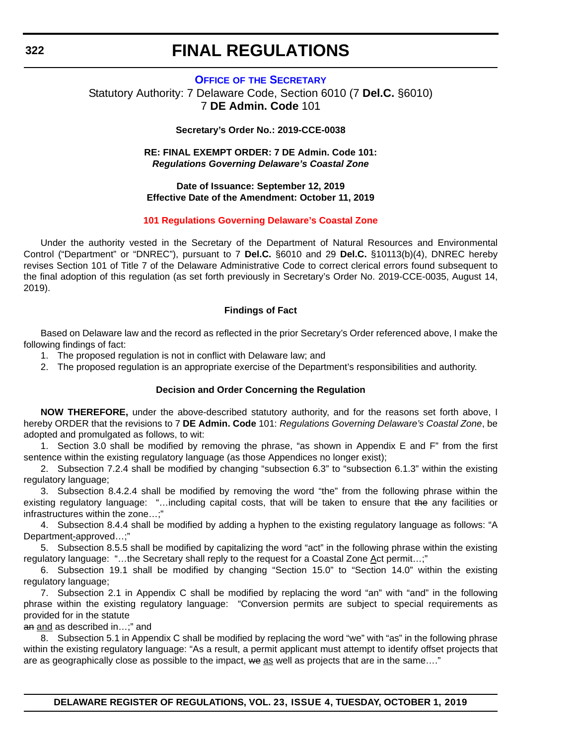#### **OFFICE OF [THE SECRETARY](https://dnrec.alpha.delaware.gov/secretary-garvin/)** Statutory Authority: 7 Delaware Code, Section 6010 (7 **Del.C.** §6010)

7 **DE Admin. Code** 101

#### **Secretary's Order No.: 2019-CCE-0038**

#### **RE: FINAL EXEMPT ORDER: 7 DE Admin. Code 101:** *Regulations Governing Delaware's Coastal Zone*

#### **Date of Issuance: September 12, 2019 Effective Date of the Amendment: October 11, 2019**

#### **[101 Regulations Governing Delaware's Coastal Zone](#page-4-0)**

Under the authority vested in the Secretary of the Department of Natural Resources and Environmental Control ("Department" or "DNREC"), pursuant to 7 **Del.C.** §6010 and 29 **Del.C.** §10113(b)(4), DNREC hereby revises Section 101 of Title 7 of the Delaware Administrative Code to correct clerical errors found subsequent to the final adoption of this regulation (as set forth previously in Secretary's Order No. 2019-CCE-0035, August 14, 2019).

#### **Findings of Fact**

Based on Delaware law and the record as reflected in the prior Secretary's Order referenced above, I make the following findings of fact:

- 1. The proposed regulation is not in conflict with Delaware law; and
- 2. The proposed regulation is an appropriate exercise of the Department's responsibilities and authority.

#### **Decision and Order Concerning the Regulation**

**NOW THEREFORE,** under the above-described statutory authority, and for the reasons set forth above, I hereby ORDER that the revisions to 7 **DE Admin. Code** 101: *Regulations Governing Delaware's Coastal Zone*, be adopted and promulgated as follows, to wit:

1. Section 3.0 shall be modified by removing the phrase, "as shown in Appendix E and F" from the first sentence within the existing regulatory language (as those Appendices no longer exist);

2. Subsection 7.2.4 shall be modified by changing "subsection 6.3" to "subsection 6.1.3" within the existing regulatory language;

3. Subsection 8.4.2.4 shall be modified by removing the word "the" from the following phrase within the existing regulatory language: "…including capital costs, that will be taken to ensure that the any facilities or infrastructures within the zone…;"

4. Subsection 8.4.4 shall be modified by adding a hyphen to the existing regulatory language as follows: "A Department-approved…;"

5. Subsection 8.5.5 shall be modified by capitalizing the word "act" in the following phrase within the existing regulatory language: "…the Secretary shall reply to the request for a Coastal Zone Act permit…;"

6. Subsection 19.1 shall be modified by changing "Section 15.0" to "Section 14.0" within the existing regulatory language;

7. Subsection 2.1 in Appendix C shall be modified by replacing the word "an" with "and" in the following phrase within the existing regulatory language: "Conversion permits are subject to special requirements as provided for in the statute

an and as described in...;" and

8. Subsection 5.1 in Appendix C shall be modified by replacing the word "we" with "as" in the following phrase within the existing regulatory language: "As a result, a permit applicant must attempt to identify offset projects that are as geographically close as possible to the impact, we as well as projects that are in the same...."

**DELAWARE REGISTER OF REGULATIONS, VOL. 23, ISSUE 4, TUESDAY, OCTOBER 1, 2019**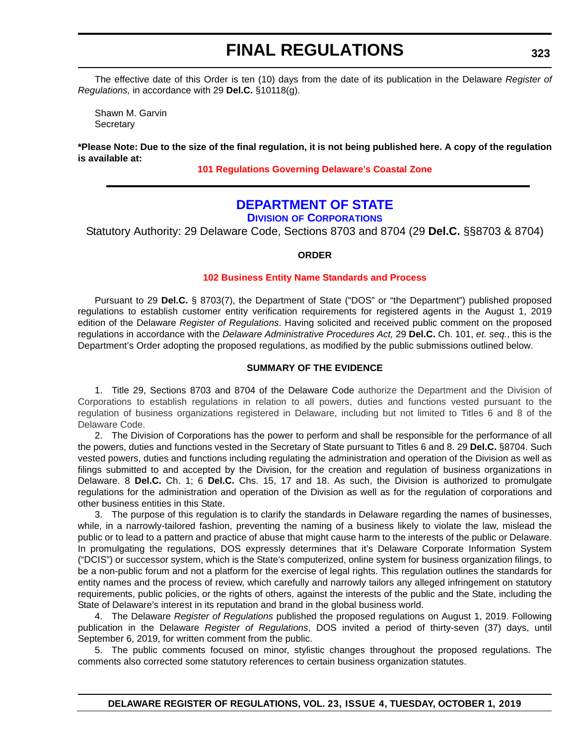The effective date of this Order is ten (10) days from the date of its publication in the Delaware *Register of Regulations,* in accordance with 29 **Del.C.** §10118(g).

Shawn M. Garvin **Secretary** 

**\*Please Note: Due to the size of the final regulation, it is not being published here. A copy of the regulation is available at:**

**[101 Regulations Governing Delaware's Coastal Zone](http://regulations.delaware.gov/register/october2019/final/23 DE Reg 322 10-01-19.htm)**

### **[DEPARTMENT OF STATE](https://corp.delaware.gov/)**

**DIVISION OF CORPORATIONS**

Statutory Authority: 29 Delaware Code, Sections 8703 and 8704 (29 **Del.C.** §§8703 & 8704)

#### **ORDER**

#### **[102 Business Entity Name Standards and Process](#page-4-0)**

Pursuant to 29 **Del.C.** § 8703(7), the Department of State ("DOS" or "the Department") published proposed regulations to establish customer entity verification requirements for registered agents in the August 1, 2019 edition of the Delaware *Register of Regulations*. Having solicited and received public comment on the proposed regulations in accordance with the *Delaware Administrative Procedures Act,* 29 **Del.C.** Ch. 101, *et. seq.*, this is the Department's Order adopting the proposed regulations, as modified by the public submissions outlined below.

#### **SUMMARY OF THE EVIDENCE**

1. Title 29, Sections 8703 and 8704 of the Delaware Code authorize the Department and the Division of Corporations to establish regulations in relation to all powers, duties and functions vested pursuant to the regulation of business organizations registered in Delaware, including but not limited to Titles 6 and 8 of the Delaware Code.

2. The Division of Corporations has the power to perform and shall be responsible for the performance of all the powers, duties and functions vested in the Secretary of State pursuant to Titles 6 and 8. 29 **Del.C.** §8704. Such vested powers, duties and functions including regulating the administration and operation of the Division as well as filings submitted to and accepted by the Division, for the creation and regulation of business organizations in Delaware. 8 **Del.C.** Ch. 1; 6 **Del.C.** Chs. 15, 17 and 18. As such, the Division is authorized to promulgate regulations for the administration and operation of the Division as well as for the regulation of corporations and other business entities in this State.

3. The purpose of this regulation is to clarify the standards in Delaware regarding the names of businesses, while, in a narrowly-tailored fashion, preventing the naming of a business likely to violate the law, mislead the public or to lead to a pattern and practice of abuse that might cause harm to the interests of the public or Delaware. In promulgating the regulations, DOS expressly determines that it's Delaware Corporate Information System ("DCIS") or successor system, which is the State's computerized, online system for business organization filings, to be a non-public forum and not a platform for the exercise of legal rights. This regulation outlines the standards for entity names and the process of review, which carefully and narrowly tailors any alleged infringement on statutory requirements, public policies, or the rights of others, against the interests of the public and the State, including the State of Delaware's interest in its reputation and brand in the global business world.

4. The Delaware *Register of Regulations* published the proposed regulations on August 1, 2019. Following publication in the Delaware *Register of Regulations*, DOS invited a period of thirty-seven (37) days, until September 6, 2019, for written comment from the public.

5. The public comments focused on minor, stylistic changes throughout the proposed regulations. The comments also corrected some statutory references to certain business organization statutes.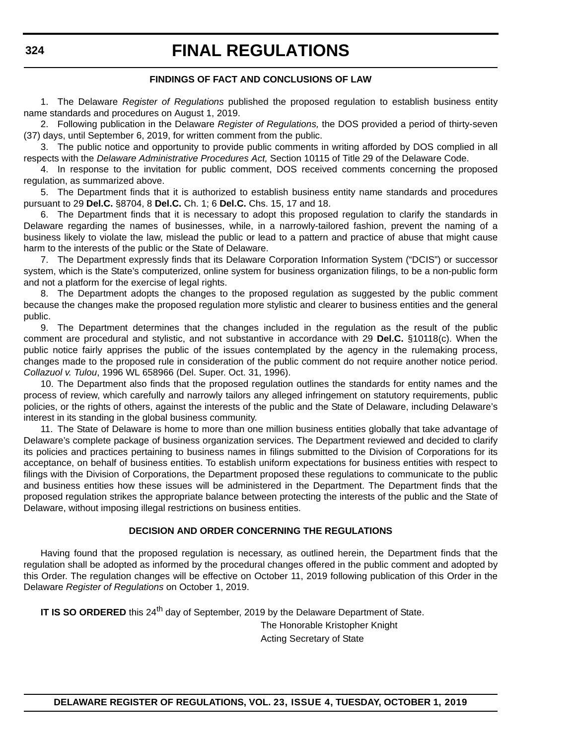#### **FINDINGS OF FACT AND CONCLUSIONS OF LAW**

1. The Delaware *Register of Regulations* published the proposed regulation to establish business entity name standards and procedures on August 1, 2019.

2. Following publication in the Delaware *Register of Regulations,* the DOS provided a period of thirty-seven (37) days, until September 6, 2019, for written comment from the public.

3. The public notice and opportunity to provide public comments in writing afforded by DOS complied in all respects with the *Delaware Administrative Procedures Act,* Section 10115 of Title 29 of the Delaware Code.

4. In response to the invitation for public comment, DOS received comments concerning the proposed regulation, as summarized above.

5. The Department finds that it is authorized to establish business entity name standards and procedures pursuant to 29 **Del.C.** §8704, 8 **Del.C.** Ch. 1; 6 **Del.C.** Chs. 15, 17 and 18.

6. The Department finds that it is necessary to adopt this proposed regulation to clarify the standards in Delaware regarding the names of businesses, while, in a narrowly-tailored fashion, prevent the naming of a business likely to violate the law, mislead the public or lead to a pattern and practice of abuse that might cause harm to the interests of the public or the State of Delaware.

7. The Department expressly finds that its Delaware Corporation Information System ("DCIS") or successor system, which is the State's computerized, online system for business organization filings, to be a non-public form and not a platform for the exercise of legal rights.

8. The Department adopts the changes to the proposed regulation as suggested by the public comment because the changes make the proposed regulation more stylistic and clearer to business entities and the general public.

9. The Department determines that the changes included in the regulation as the result of the public comment are procedural and stylistic, and not substantive in accordance with 29 **Del.C.** §10118(c). When the public notice fairly apprises the public of the issues contemplated by the agency in the rulemaking process, changes made to the proposed rule in consideration of the public comment do not require another notice period. *Collazuol v. Tulou*, 1996 WL 658966 (Del. Super. Oct. 31, 1996).

10. The Department also finds that the proposed regulation outlines the standards for entity names and the process of review, which carefully and narrowly tailors any alleged infringement on statutory requirements, public policies, or the rights of others, against the interests of the public and the State of Delaware, including Delaware's interest in its standing in the global business community.

11. The State of Delaware is home to more than one million business entities globally that take advantage of Delaware's complete package of business organization services. The Department reviewed and decided to clarify its policies and practices pertaining to business names in filings submitted to the Division of Corporations for its acceptance, on behalf of business entities. To establish uniform expectations for business entities with respect to filings with the Division of Corporations, the Department proposed these regulations to communicate to the public and business entities how these issues will be administered in the Department. The Department finds that the proposed regulation strikes the appropriate balance between protecting the interests of the public and the State of Delaware, without imposing illegal restrictions on business entities.

#### **DECISION AND ORDER CONCERNING THE REGULATIONS**

Having found that the proposed regulation is necessary, as outlined herein, the Department finds that the regulation shall be adopted as informed by the procedural changes offered in the public comment and adopted by this Order. The regulation changes will be effective on October 11, 2019 following publication of this Order in the Delaware *Register of Regulations* on October 1, 2019.

**IT IS SO ORDERED** this 24<sup>th</sup> day of September, 2019 by the Delaware Department of State.

The Honorable Kristopher Knight Acting Secretary of State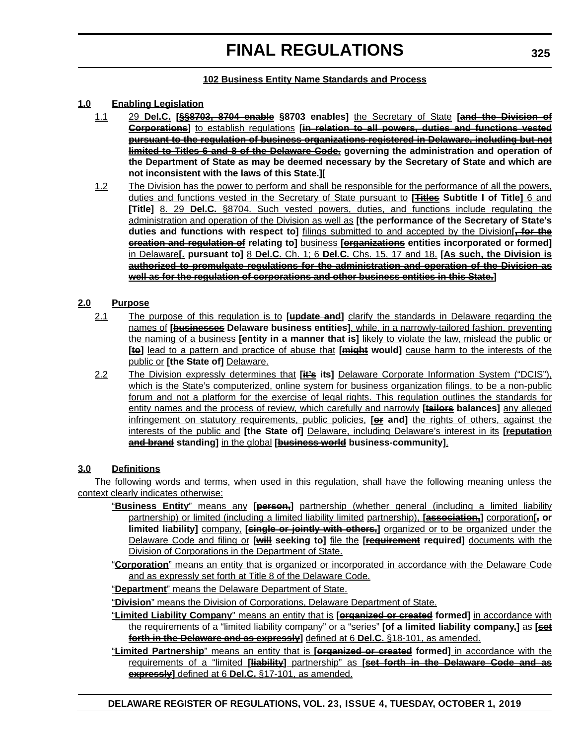#### **102 Business Entity Name Standards and Process**

#### **1.0 Enabling Legislation**

- 1.1 29 **Del.C. [§§8703, 8704 enable §8703 enables]** the Secretary of State **[and the Division of Corporations]** to establish regulations **[in relation to all powers, duties and functions vested pursuant to the regulation of business organizations registered in Delaware, including but not limited to Titles 6 and 8 of the Delaware Code. governing the administration and operation of the Department of State as may be deemed necessary by the Secretary of State and which are not inconsistent with the laws of this State.][**
- 1.2 The Division has the power to perform and shall be responsible for the performance of all the powers, duties and functions vested in the Secretary of State pursuant to **[Titles Subtitle I of Title]** 6 and **[Title]** 8. 29 **Del.C.** §8704. Such vested powers, duties, and functions include regulating the administration and operation of the Division as well as **[the performance of the Secretary of State's duties and functions with respect to]** filings submitted to and accepted by the Division**[, for the creation and regulation of relating to]** business **[organizations entities incorporated or formed]** in Delaware**[. pursuant to]** 8 **Del.C.** Ch. 1; 6 **Del.C.** Chs. 15, 17 and 18. **[As such, the Division is authorized to promulgate regulations for the administration and operation of the Division as well as for the regulation of corporations and other business entities in this State.]**

#### **2.0 Purpose**

- 2.1 The purpose of this regulation is to **[update and]** clarify the standards in Delaware regarding the names of **[businesses Delaware business entities]**, while, in a narrowly-tailored fashion, preventing the naming of a business **[entity in a manner that is]** likely to violate the law, mislead the public or **[te]** lead to a pattern and practice of abuse that [might would] cause harm to the interests of the public or **[the State of]** Delaware.
- 2.2 The Division expressly determines that **[it's its]** Delaware Corporate Information System ("DCIS"), which is the State's computerized, online system for business organization filings, to be a non-public forum and not a platform for the exercise of legal rights. This regulation outlines the standards for entity names and the process of review, which carefully and narrowly **[tailors balances]** any alleged infringement on statutory requirements, public policies, **[or and]** the rights of others, against the interests of the public and **[the State of]** Delaware, including Delaware's interest in its **[reputation and brand standing]** in the global **[business world business-community]**.

#### **3.0 Definitions**

The following words and terms, when used in this regulation, shall have the following meaning unless the context clearly indicates otherwise:

- "**Business Entity**" means any **[person,]** partnership (whether general (including a limited liability partnership) or limited (including a limited liability limited partnership), **[association,]** corporation**[, or limited liability]** company, **[single or jointly with others,]** organized or to be organized under the Delaware Code and filing or **[will seeking to]** file the **[requirement required]** documents with the Division of Corporations in the Department of State.
- "**Corporation**" means an entity that is organized or incorporated in accordance with the Delaware Code and as expressly set forth at Title 8 of the Delaware Code.

"**Department**" means the Delaware Department of State.

"**Division**" means the Division of Corporations, Delaware Department of State.

- "**Limited Liability Company**" means an entity that is **[organized or created formed]** in accordance with the requirements of a "limited liability company" or a "series" **[of a limited liability company,]** as **[set forth in the Delaware and as expressly]** defined at 6 **Del.C.** §18-101, as amended.
- "**Limited Partnership**" means an entity that is **[organized or created formed]** in accordance with the requirements of a "limited **[liability]** partnership" as **[set forth in the Delaware Code and as expressly]** defined at 6 **Del.C.** §17-101, as amended.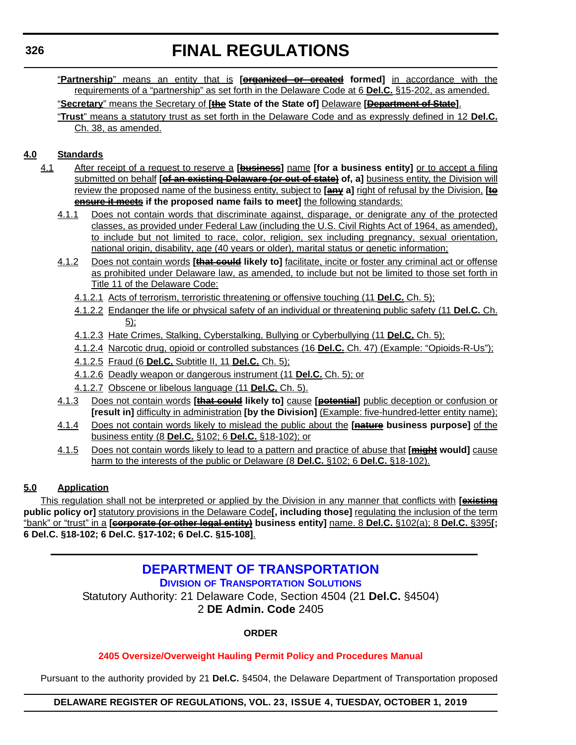"**Partnership**" means an entity that is **[organized or created formed]** in accordance with the requirements of a "partnership" as set forth in the Delaware Code at 6 **Del.C.** §15-202, as amended.

"**Secretary**" means the Secretary of **[the State of the State of]** Delaware **[Department of State]**.

"**Trust**" means a statutory trust as set forth in the Delaware Code and as expressly defined in 12 **Del.C.** Ch. 38, as amended.

#### **4.0 Standards**

- 4.1 After receipt of a request to reserve a **[business]** name **[for a business entity]** or to accept a filing submitted on behalf **[of an existing Delaware (or out of state)** of, a] business entity, the Division will review the proposed name of the business entity, subject to **[any a]** right of refusal by the Division, **[to ensure it meets if the proposed name fails to meet]** the following standards:
	- 4.1.1 Does not contain words that discriminate against, disparage, or denigrate any of the protected classes, as provided under Federal Law (including the U.S. Civil Rights Act of 1964, as amended), to include but not limited to race, color, religion, sex including pregnancy, sexual orientation, national origin, disability, age (40 years or older), marital status or genetic information;
	- 4.1.2 Does not contain words **[that could likely to]** facilitate, incite or foster any criminal act or offense as prohibited under Delaware law, as amended, to include but not be limited to those set forth in Title 11 of the Delaware Code:
		- 4.1.2.1 Acts of terrorism, terroristic threatening or offensive touching (11 **Del.C.** Ch. 5);
		- 4.1.2.2 Endanger the life or physical safety of an individual or threatening public safety (11 **Del.C.** Ch. 5);
		- 4.1.2.3 Hate Crimes, Stalking, Cyberstalking, Bullying or Cyberbullying (11 **Del.C.** Ch. 5);
		- 4.1.2.4 Narcotic drug, opioid or controlled substances (16 **Del.C.** Ch. 47) (Example: "Opioids-R-Us");
		- 4.1.2.5 Fraud (6 **Del.C.** Subtitle II, 11 **Del.C.** Ch. 5);
		- 4.1.2.6 Deadly weapon or dangerous instrument (11 **Del.C.** Ch. 5); or
		- 4.1.2.7 Obscene or libelous language (11 **Del.C.** Ch. 5).
	- 4.1.3 Does not contain words **[that could likely to]** cause **[potential]** public deception or confusion or **[result in]** difficulty in administration **[by the Division]** (Example: five-hundred-letter entity name);
	- 4.1.4 Does not contain words likely to mislead the public about the **[nature business purpose]** of the business entity (8 **Del.C.** §102; 6 **Del.C.** §18-102); or
	- 4.1.5 Does not contain words likely to lead to a pattern and practice of abuse that **[might would]** cause harm to the interests of the public or Delaware (8 **Del.C.** §102; 6 **Del.C.** §18-102).

#### **5.0 Application**

This regulation shall not be interpreted or applied by the Division in any manner that conflicts with **[existing public policy or]** statutory provisions in the Delaware Code**[, including those]** regulating the inclusion of the term "bank" or "trust" in a **[corporate (or other legal entity) business entity]** name. 8 **Del.C.** §102(a); 8 **Del.C.** §395**[; 6 Del.C. §18-102; 6 Del.C. §17-102; 6 Del.C. §15-108]**.

### **[DEPARTMENT OF TRANSPORTATION](https://deldot.gov/About/divisions/index.shtml) DIVISION OF TRANSPORTATION SOLUTIONS**

Statutory Authority: 21 Delaware Code, Section 4504 (21 **Del.C.** §4504) 2 **DE Admin. Code** 2405

#### **ORDER**

#### **[2405 Oversize/Overweight Hauling Permit Policy and Procedures Manual](#page-4-0)**

Pursuant to the authority provided by 21 **Del.C.** §4504, the Delaware Department of Transportation proposed

#### **DELAWARE REGISTER OF REGULATIONS, VOL. 23, ISSUE 4, TUESDAY, OCTOBER 1, 2019**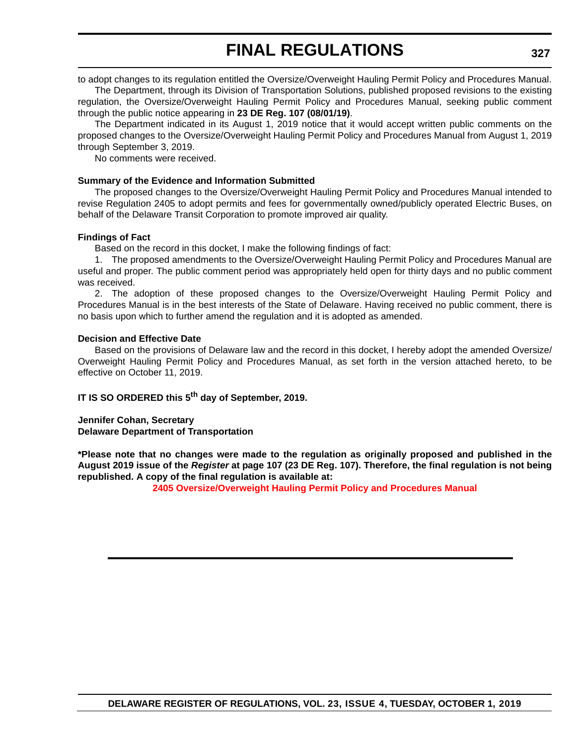to adopt changes to its regulation entitled the Oversize/Overweight Hauling Permit Policy and Procedures Manual. The Department, through its Division of Transportation Solutions, published proposed revisions to the existing regulation, the Oversize/Overweight Hauling Permit Policy and Procedures Manual, seeking public comment through the public notice appearing in **23 DE Reg. 107 (08/01/19)**.

The Department indicated in its August 1, 2019 notice that it would accept written public comments on the proposed changes to the Oversize/Overweight Hauling Permit Policy and Procedures Manual from August 1, 2019 through September 3, 2019.

No comments were received.

#### **Summary of the Evidence and Information Submitted**

The proposed changes to the Oversize/Overweight Hauling Permit Policy and Procedures Manual intended to revise Regulation 2405 to adopt permits and fees for governmentally owned/publicly operated Electric Buses, on behalf of the Delaware Transit Corporation to promote improved air quality.

#### **Findings of Fact**

Based on the record in this docket, I make the following findings of fact:

1. The proposed amendments to the Oversize/Overweight Hauling Permit Policy and Procedures Manual are useful and proper. The public comment period was appropriately held open for thirty days and no public comment was received.

2. The adoption of these proposed changes to the Oversize/Overweight Hauling Permit Policy and Procedures Manual is in the best interests of the State of Delaware. Having received no public comment, there is no basis upon which to further amend the regulation and it is adopted as amended.

#### **Decision and Effective Date**

Based on the provisions of Delaware law and the record in this docket, I hereby adopt the amended Oversize/ Overweight Hauling Permit Policy and Procedures Manual, as set forth in the version attached hereto, to be effective on October 11, 2019.

### **IT IS SO ORDERED this 5th day of September, 2019.**

**Jennifer Cohan, Secretary Delaware Department of Transportation**

**\*Please note that no changes were made to the regulation as originally proposed and published in the August 2019 issue of the** *Register* **at page 107 (23 DE Reg. 107). Therefore, the final regulation is not being republished. A copy of the final regulation is available at:**

**[2405 Oversize/Overweight Hauling Permit Policy and Procedures Manual](http://regulations.delaware.gov/register/october2019/final/23 DE Reg 326 10-01-19.htm)**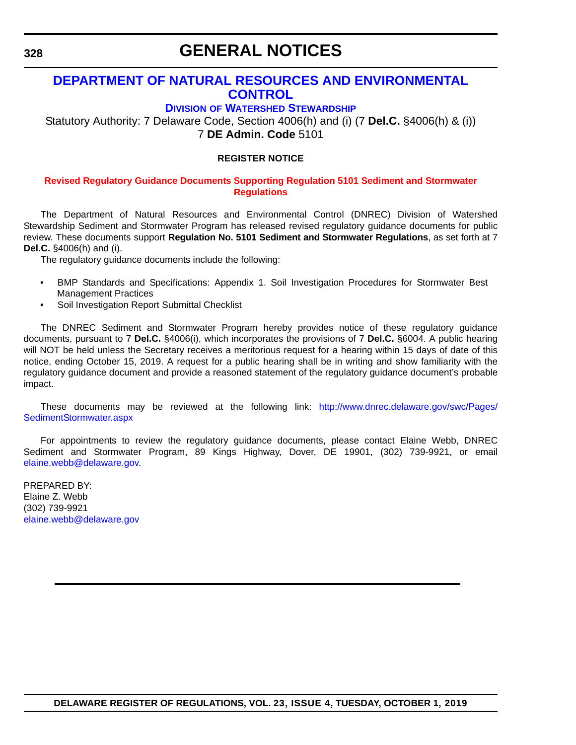# **GENERAL NOTICES**

# **[DEPARTMENT OF NATURAL RESOURCES AND ENVIRONMENTAL](https://dnrec.alpha.delaware.gov/watershed-stewardship/)  CONTROL**

# **DIVISION OF WATERSHED STEWARDSHIP**

Statutory Authority: 7 Delaware Code, Section 4006(h) and (i) (7 **Del.C.** §4006(h) & (i)) 7 **DE Admin. Code** 5101

# **REGISTER NOTICE**

#### **[Revised Regulatory Guidance Documents Supporting Regulation 5101 Sediment and Stormwater](#page-4-0)  Regulations**

The Department of Natural Resources and Environmental Control (DNREC) Division of Watershed Stewardship Sediment and Stormwater Program has released revised regulatory guidance documents for public review. These documents support **Regulation No. 5101 Sediment and Stormwater Regulations**, as set forth at 7 **Del.C.** §4006(h) and (i).

The regulatory guidance documents include the following:

- [BMP Standards and Specifications: Appendix 1. Soil Investigation Procedures for Stormwater Best](http://www.dnrec.delaware.gov/swc/Drainage/Documents/Sediment%20and%20Stormwater%20Program/2019%20February/Regulatory%20Guidance%20Documents%202019/BMP%20Stds%20and%20Specs%20-%20EFF%20FEB%202019.pdf) Management Practices
- Soil Investigation Report Submittal Checklist

The DNREC Sediment and Stormwater Program hereby provides notice of these regulatory guidance documents, pursuant to 7 **Del.C.** §4006(i), which incorporates the provisions of 7 **Del.C.** §6004. A public hearing will NOT be held unless the Secretary receives a meritorious request for a hearing within 15 days of date of this notice, ending October 15, 2019. A request for a public hearing shall be in writing and show familiarity with the regulatory guidance document and provide a reasoned statement of the regulatory guidance document's probable impact.

These documents may be reviewed at the following link: [http://www.dnrec.delaware.gov/swc/Pages/](http://www.dnrec.delaware.gov/swc/Pages/SedimentStormwater.aspx) [SedimentStormwater.aspx](http://www.dnrec.delaware.gov/swc/Pages/SedimentStormwater.aspx)

For appointments to review the regulatory guidance documents, please contact Elaine Webb, DNREC Sediment and Stormwater Program, 89 Kings Highway, Dover, DE 19901, (302) 739-9921, or email [elaine.webb@delaware.gov.](mailto:elaine.webb@delaware.gov)

PREPARED BY: Elaine Z. Webb (302) 739-9921 [elaine.webb@delaware.gov](mailto:elaine.webb@delaware.gov)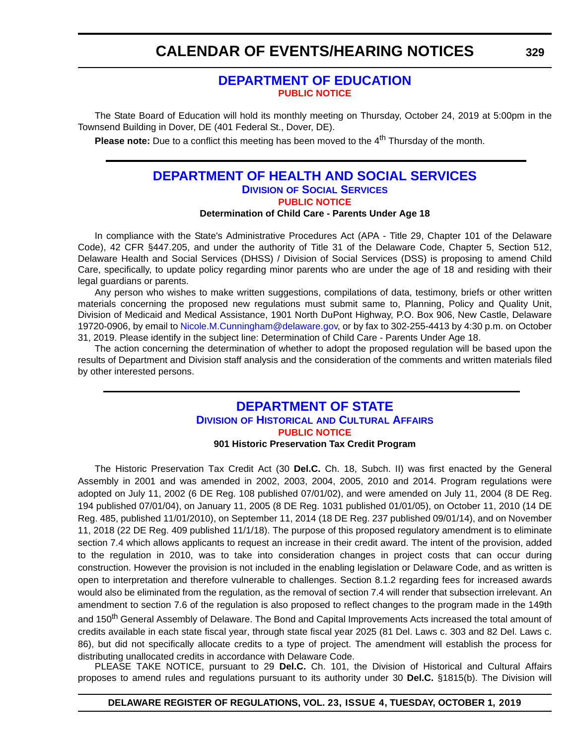# **CALENDAR OF EVENTS/HEARING NOTICES**

# **[DEPARTMENT OF EDUCATION](https://www.doe.k12.de.us/) [PUBLIC NOTICE](#page-4-0)**

The State Board of Education will hold its monthly meeting on Thursday, October 24, 2019 at 5:00pm in the Townsend Building in Dover, DE (401 Federal St., Dover, DE).

**Please note:** Due to a conflict this meeting has been moved to the 4<sup>th</sup> Thursday of the month.

# **[DEPARTMENT OF HEALTH AND SOCIAL SERVICES](https://www.dhss.delaware.gov/dhss/dss/) DIVISION OF SOCIAL SERVICES [PUBLIC NOTICE](#page-4-0)**

#### **Determination of Child Care - Parents Under Age 18**

In compliance with the State's Administrative Procedures Act (APA - Title 29, Chapter 101 of the Delaware Code), 42 CFR §447.205, and under the authority of Title 31 of the Delaware Code, Chapter 5, Section 512, Delaware Health and Social Services (DHSS) / Division of Social Services (DSS) is proposing to amend Child Care, specifically, to update policy regarding minor parents who are under the age of 18 and residing with their legal guardians or parents.

Any person who wishes to make written suggestions, compilations of data, testimony, briefs or other written materials concerning the proposed new regulations must submit same to, Planning, Policy and Quality Unit, Division of Medicaid and Medical Assistance, 1901 North DuPont Highway, P.O. Box 906, New Castle, Delaware 19720-0906, by email to [Nicole.M.Cunningham@delaware.gov,](mailto:Nicole.M.Cunningham@delaware.gov) or by fax to 302-255-4413 by 4:30 p.m. on October 31, 2019. Please identify in the subject line: Determination of Child Care - Parents Under Age 18.

The action concerning the determination of whether to adopt the proposed regulation will be based upon the results of Department and Division staff analysis and the consideration of the comments and written materials filed by other interested persons.

# **[DEPARTMENT OF STATE](https://history.delaware.gov/) DIVISION OF HISTORICAL AND CULTURAL AFFAIRS [PUBLIC NOTICE](#page-4-0)**

#### **901 Historic Preservation Tax Credit Program**

The Historic Preservation Tax Credit Act (30 **Del.C.** Ch. 18, Subch. II) was first enacted by the General Assembly in 2001 and was amended in 2002, 2003, 2004, 2005, 2010 and 2014. Program regulations were adopted on July 11, 2002 (6 DE Reg. 108 published 07/01/02), and were amended on July 11, 2004 (8 DE Reg. 194 published 07/01/04), on January 11, 2005 (8 DE Reg. 1031 published 01/01/05), on October 11, 2010 (14 DE Reg. 485, published 11/01/2010), on September 11, 2014 (18 DE Reg. 237 published 09/01/14), and on November 11, 2018 (22 DE Reg. 409 published 11/1/18). The purpose of this proposed regulatory amendment is to eliminate section 7.4 which allows applicants to request an increase in their credit award. The intent of the provision, added to the regulation in 2010, was to take into consideration changes in project costs that can occur during construction. However the provision is not included in the enabling legislation or Delaware Code, and as written is open to interpretation and therefore vulnerable to challenges. Section 8.1.2 regarding fees for increased awards would also be eliminated from the regulation, as the removal of section 7.4 will render that subsection irrelevant. An amendment to section 7.6 of the regulation is also proposed to reflect changes to the program made in the 149th and 150<sup>th</sup> General Assembly of Delaware. The Bond and Capital Improvements Acts increased the total amount of credits available in each state fiscal year, through state fiscal year 2025 (81 Del. Laws c. 303 and 82 Del. Laws c. 86), but did not specifically allocate credits to a type of project. The amendment will establish the process for distributing unallocated credits in accordance with Delaware Code.

PLEASE TAKE NOTICE, pursuant to 29 **Del.C.** Ch. 101, the Division of Historical and Cultural Affairs proposes to amend rules and regulations pursuant to its authority under 30 **Del.C.** §1815(b). The Division will